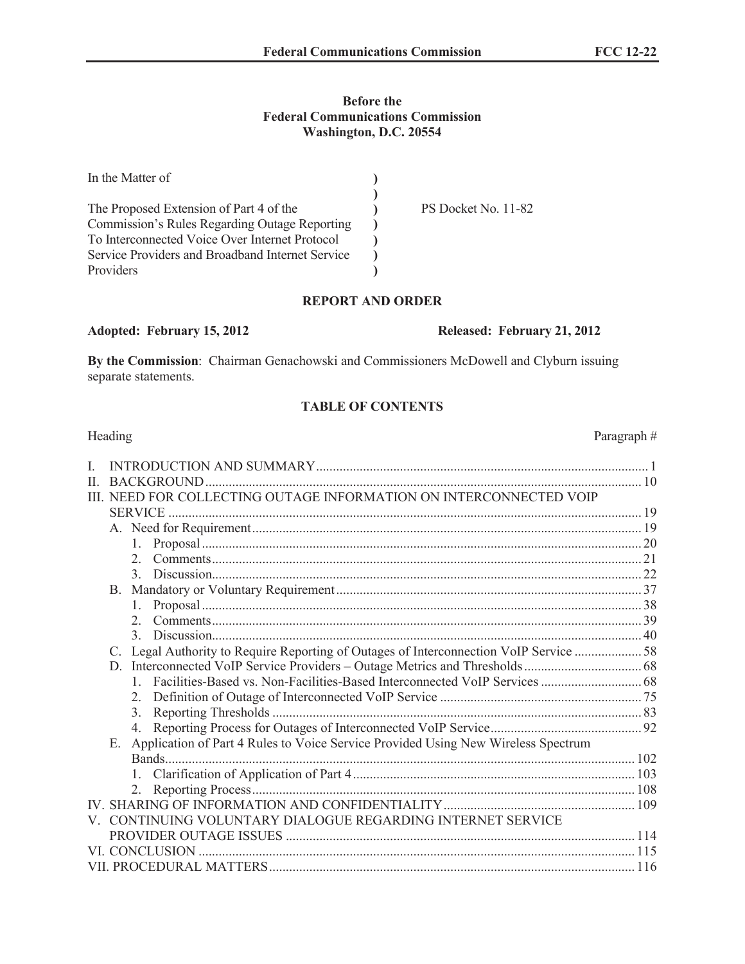#### **Before the Federal Communications Commission Washington, D.C. 20554**

| In the Matter of                                     |                     |
|------------------------------------------------------|---------------------|
|                                                      |                     |
| The Proposed Extension of Part 4 of the              | PS Docket No. 11-82 |
| <b>Commission's Rules Regarding Outage Reporting</b> |                     |
| To Interconnected Voice Over Internet Protocol       |                     |
| Service Providers and Broadband Internet Service     |                     |
| Providers                                            |                     |

#### **REPORT AND ORDER**

#### **Adopted: February 15, 2012 Released: February 21, 2012**

**By the Commission**: Chairman Genachowski and Commissioners McDowell and Clyburn issuing separate statements.

## **TABLE OF CONTENTS**

## Heading Paragraph  $\#$ I. INTRODUCTION AND SUMMARY................................................................................................... 1 II. BACKGROUND.................................................................................................................................. 10 III. NEED FOR COLLECTING OUTAGE INFORMATION ON INTERCONNECTED VOIP SERVICE ............................................................................................................................................. 19 A. Need for Requirement.................................................................................................................... 19 1. Proposal................................................................................................................................... 20 2. Comments................................................................................................................................ 21 3. Discussion................................................................................................................................ 22 B. Mandatory or Voluntary Requirement........................................................................................... 37 1. Proposal................................................................................................................................... 38 2. Comments................................................................................................................................ 39 3. Discussion................................................................................................................................ 40 C. Legal Authority to Require Reporting of Outages of Interconnection VoIP Service .................... 58 D. Interconnected VoIP Service Providers – Outage Metrics and Thresholds................................... 68 1. Facilities-Based vs. Non-Facilities-Based Interconnected VoIP Services.............................. 68 2. Definition of Outage of Interconnected VoIP Service ............................................................ 75 3. Reporting Thresholds .............................................................................................................. 83 4. Reporting Process for Outages of Interconnected VoIP Service............................................. 92 E. Application of Part 4 Rules to Voice Service Provided Using New Wireless Spectrum Bands............................................................................................................................................ 102 1. Clarification of Application of Part 4.................................................................................... 103 2. Reporting Process.................................................................................................................. 108 IV. SHARING OF INFORMATION AND CONFIDENTIALITY......................................................... 109 V. CONTINUING VOLUNTARY DIALOGUE REGARDING INTERNET SERVICE PROVIDER OUTAGE ISSUES ........................................................................................................ 114 VI. CONCLUSION .................................................................................................................................. 115 VII. PROCEDURAL MATTERS............................................................................................................. 116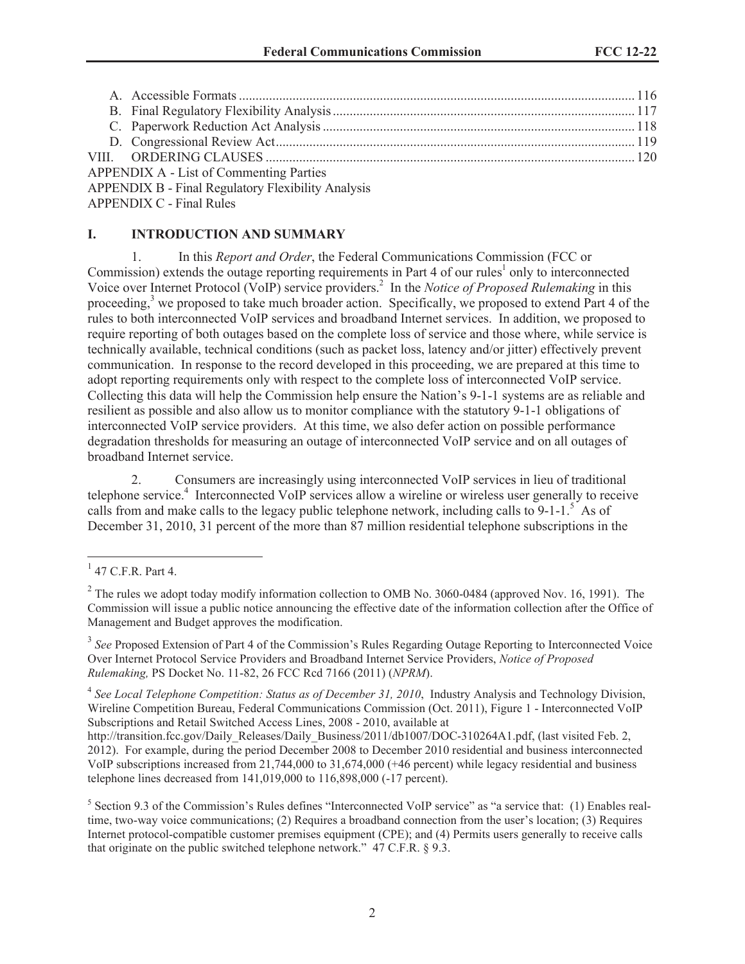| <b>APPENDIX A - List of Commenting Parties</b>            |  |
|-----------------------------------------------------------|--|
| <b>APPENDIX B - Final Regulatory Flexibility Analysis</b> |  |

APPENDIX C - Final Rules

## **I. INTRODUCTION AND SUMMARY**

1. In this *Report and Order*, the Federal Communications Commission (FCC or Commission) extends the outage reporting requirements in Part  $4$  of our rules<sup>1</sup> only to interconnected Voice over Internet Protocol (VoIP) service providers.<sup>2</sup> In the *Notice of Proposed Rulemaking* in this proceeding,<sup>3</sup> we proposed to take much broader action. Specifically, we proposed to extend Part 4 of the rules to both interconnected VoIP services and broadband Internet services. In addition, we proposed to require reporting of both outages based on the complete loss of service and those where, while service is technically available, technical conditions (such as packet loss, latency and/or jitter) effectively prevent communication. In response to the record developed in this proceeding, we are prepared at this time to adopt reporting requirements only with respect to the complete loss of interconnected VoIP service. Collecting this data will help the Commission help ensure the Nation's 9-1-1 systems are as reliable and resilient as possible and also allow us to monitor compliance with the statutory 9-1-1 obligations of interconnected VoIP service providers. At this time, we also defer action on possible performance degradation thresholds for measuring an outage of interconnected VoIP service and on all outages of broadband Internet service.

2. Consumers are increasingly using interconnected VoIP services in lieu of traditional telephone service.<sup>4</sup> Interconnected VoIP services allow a wireline or wireless user generally to receive calls from and make calls to the legacy public telephone network, including calls to  $9-1-1.5$  As of December 31, 2010, 31 percent of the more than 87 million residential telephone subscriptions in the

<sup>3</sup> See Proposed Extension of Part 4 of the Commission's Rules Regarding Outage Reporting to Interconnected Voice Over Internet Protocol Service Providers and Broadband Internet Service Providers, *Notice of Proposed Rulemaking,* PS Docket No. 11-82, 26 FCC Rcd 7166 (2011) (*NPRM*).

<sup>4</sup> See Local Telephone Competition: Status as of December 31, 2010, Industry Analysis and Technology Division, Wireline Competition Bureau, Federal Communications Commission (Oct. 2011), Figure 1 - Interconnected VoIP Subscriptions and Retail Switched Access Lines, 2008 - 2010, available at

http://transition.fcc.gov/Daily\_Releases/Daily\_Business/2011/db1007/DOC-310264A1.pdf, (last visited Feb. 2, 2012). For example, during the period December 2008 to December 2010 residential and business interconnected VoIP subscriptions increased from 21,744,000 to 31,674,000 (+46 percent) while legacy residential and business telephone lines decreased from 141,019,000 to 116,898,000 (-17 percent).

 $1$  47 C.F.R. Part 4.

 $2$  The rules we adopt today modify information collection to OMB No. 3060-0484 (approved Nov. 16, 1991). The Commission will issue a public notice announcing the effective date of the information collection after the Office of Management and Budget approves the modification.

<sup>&</sup>lt;sup>5</sup> Section 9.3 of the Commission's Rules defines "Interconnected VoIP service" as "a service that: (1) Enables realtime, two-way voice communications; (2) Requires a broadband connection from the user's location; (3) Requires Internet protocol-compatible customer premises equipment (CPE); and (4) Permits users generally to receive calls that originate on the public switched telephone network." 47 C.F.R. § 9.3.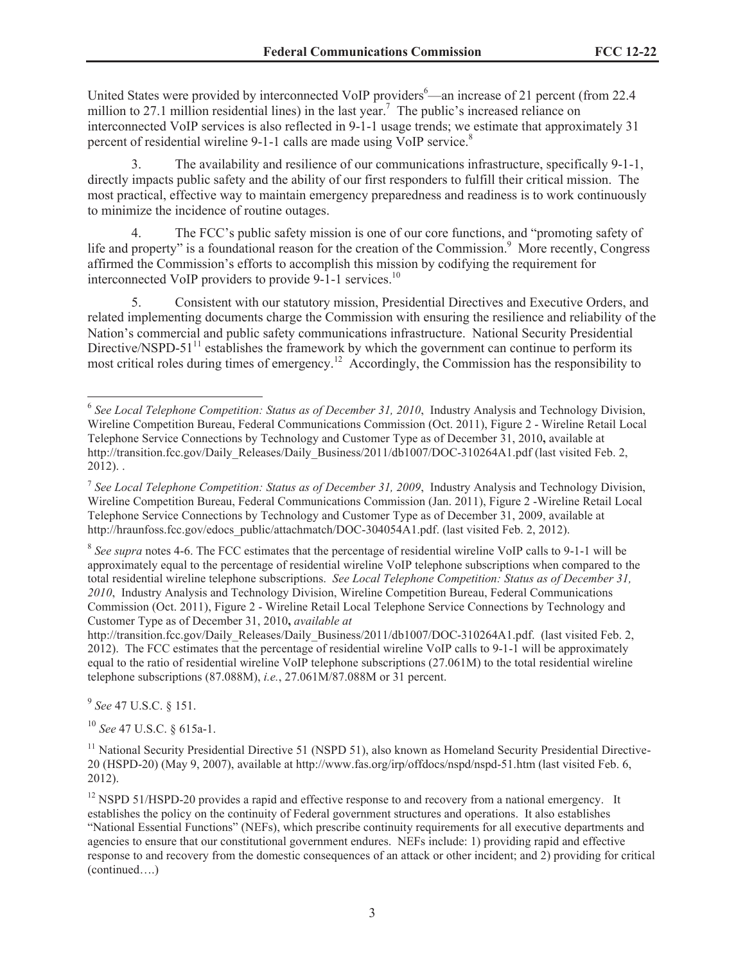United States were provided by interconnected VoIP providers  $6$ —an increase of 21 percent (from 22.4) million to 27.1 million residential lines) in the last year.<sup>7</sup> The public's increased reliance on interconnected VoIP services is also reflected in 9-1-1 usage trends; we estimate that approximately 31 percent of residential wireline 9-1-1 calls are made using VoIP service.<sup>8</sup>

3. The availability and resilience of our communications infrastructure, specifically 9-1-1, directly impacts public safety and the ability of our first responders to fulfill their critical mission. The most practical, effective way to maintain emergency preparedness and readiness is to work continuously to minimize the incidence of routine outages.

4. The FCC's public safety mission is one of our core functions, and "promoting safety of life and property" is a foundational reason for the creation of the Commission.<sup>9</sup> More recently, Congress affirmed the Commission's efforts to accomplish this mission by codifying the requirement for interconnected VoIP providers to provide 9-1-1 services.<sup>10</sup>

5. Consistent with our statutory mission, Presidential Directives and Executive Orders, and related implementing documents charge the Commission with ensuring the resilience and reliability of the Nation's commercial and public safety communications infrastructure. National Security Presidential Directive/NSPD-51 $^{11}$  establishes the framework by which the government can continue to perform its most critical roles during times of emergency.<sup>12</sup> Accordingly, the Commission has the responsibility to

http://transition.fcc.gov/Daily\_Releases/Daily\_Business/2011/db1007/DOC-310264A1.pdf. (last visited Feb. 2, 2012). The FCC estimates that the percentage of residential wireline VoIP calls to 9-1-1 will be approximately equal to the ratio of residential wireline VoIP telephone subscriptions (27.061M) to the total residential wireline telephone subscriptions (87.088M), *i.e.*, 27.061M/87.088M or 31 percent.

9 *See* 47 U.S.C. § 151.

<sup>10</sup> *See* 47 U.S.C. § 615a-1.

<sup>11</sup> National Security Presidential Directive 51 (NSPD 51), also known as Homeland Security Presidential Directive-20 (HSPD-20) (May 9, 2007), available at http://www.fas.org/irp/offdocs/nspd/nspd-51.htm (last visited Feb. 6, 2012).

<sup>12</sup> NSPD 51/HSPD-20 provides a rapid and effective response to and recovery from a national emergency. It establishes the policy on the continuity of Federal government structures and operations. It also establishes "National Essential Functions" (NEFs), which prescribe continuity requirements for all executive departments and agencies to ensure that our constitutional government endures. NEFs include: 1) providing rapid and effective response to and recovery from the domestic consequences of an attack or other incident; and 2) providing for critical (continued….)

<sup>&</sup>lt;sup>6</sup> See Local Telephone Competition: Status as of December 31, 2010, Industry Analysis and Technology Division, Wireline Competition Bureau, Federal Communications Commission (Oct. 2011), Figure 2 - Wireline Retail Local Telephone Service Connections by Technology and Customer Type as of December 31, 2010**,** available at http://transition.fcc.gov/Daily\_Releases/Daily\_Business/2011/db1007/DOC-310264A1.pdf (last visited Feb. 2, 2012). .

<sup>7</sup> *See Local Telephone Competition: Status as of December 31, 2009*, Industry Analysis and Technology Division, Wireline Competition Bureau, Federal Communications Commission (Jan. 2011), Figure 2 -Wireline Retail Local Telephone Service Connections by Technology and Customer Type as of December 31, 2009, available at http://hraunfoss.fcc.gov/edocs\_public/attachmatch/DOC-304054A1.pdf. (last visited Feb. 2, 2012).

<sup>&</sup>lt;sup>8</sup> See supra notes 4-6. The FCC estimates that the percentage of residential wireline VoIP calls to 9-1-1 will be approximately equal to the percentage of residential wireline VoIP telephone subscriptions when compared to the total residential wireline telephone subscriptions. *See Local Telephone Competition: Status as of December 31, 2010*, Industry Analysis and Technology Division, Wireline Competition Bureau, Federal Communications Commission (Oct. 2011), Figure 2 - Wireline Retail Local Telephone Service Connections by Technology and Customer Type as of December 31, 2010**,** *available at*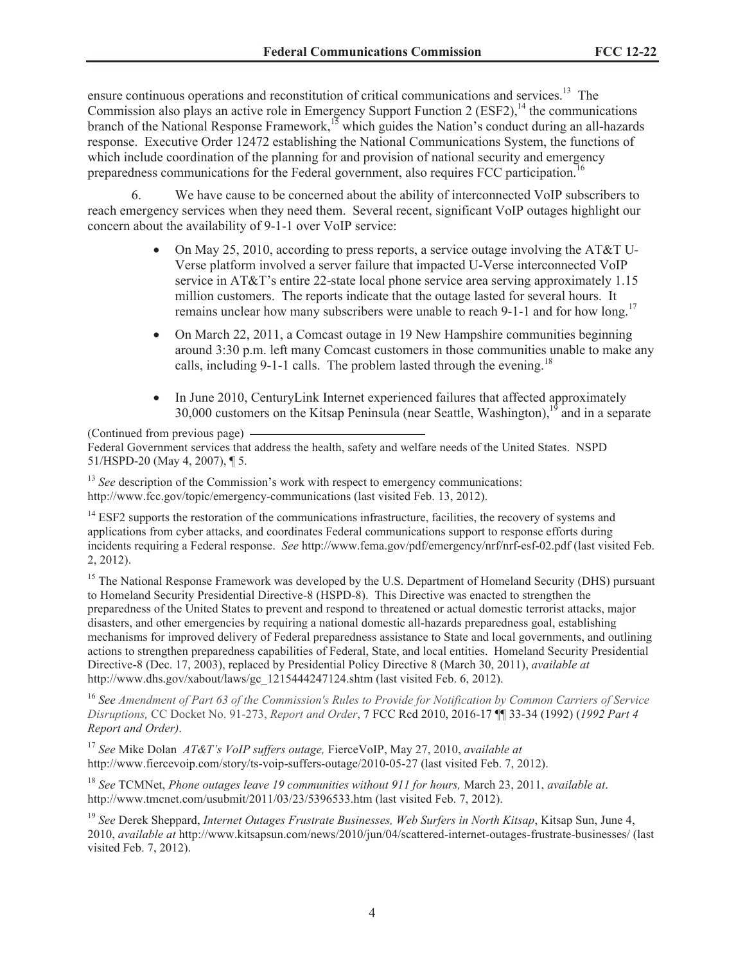ensure continuous operations and reconstitution of critical communications and services.<sup>13</sup> The Commission also plays an active role in Emergency Support Function 2 (ESF2),<sup>14</sup> the communications branch of the National Response Framework,<sup>15</sup> which guides the Nation's conduct during an all-hazards response. Executive Order 12472 establishing the National Communications System, the functions of which include coordination of the planning for and provision of national security and emergency preparedness communications for the Federal government, also requires FCC participation.<sup>16</sup>

6. We have cause to be concerned about the ability of interconnected VoIP subscribers to reach emergency services when they need them. Several recent, significant VoIP outages highlight our concern about the availability of 9-1-1 over VoIP service:

- On May 25, 2010, according to press reports, a service outage involving the AT&T U-Verse platform involved a server failure that impacted U-Verse interconnected VoIP service in AT&T's entire 22-state local phone service area serving approximately 1.15 million customers. The reports indicate that the outage lasted for several hours. It remains unclear how many subscribers were unable to reach 9-1-1 and for how long.<sup>17</sup>
- On March 22, 2011, a Comcast outage in 19 New Hampshire communities beginning around 3:30 p.m. left many Comcast customers in those communities unable to make any calls, including 9-1-1 calls. The problem lasted through the evening.<sup>18</sup>
- In June 2010, CenturyLink Internet experienced failures that affected approximately 30,000 customers on the Kitsap Peninsula (near Seattle, Washington), $19$  and in a separate

(Continued from previous page)

<sup>13</sup> *See* description of the Commission's work with respect to emergency communications: http://www.fcc.gov/topic/emergency-communications (last visited Feb. 13, 2012).

 $14$  ESF2 supports the restoration of the communications infrastructure, facilities, the recovery of systems and applications from cyber attacks, and coordinates Federal communications support to response efforts during incidents requiring a Federal response. *See* http://www.fema.gov/pdf/emergency/nrf/nrf-esf-02.pdf (last visited Feb. 2, 2012).

<sup>15</sup> The National Response Framework was developed by the U.S. Department of Homeland Security (DHS) pursuant to Homeland Security Presidential Directive-8 (HSPD-8). This Directive was enacted to strengthen the preparedness of the United States to prevent and respond to threatened or actual domestic terrorist attacks, major disasters, and other emergencies by requiring a national domestic all-hazards preparedness goal, establishing mechanisms for improved delivery of Federal preparedness assistance to State and local governments, and outlining actions to strengthen preparedness capabilities of Federal, State, and local entities. Homeland Security Presidential Directive-8 (Dec. 17, 2003), replaced by Presidential Policy Directive 8 (March 30, 2011), *available at* http://www.dhs.gov/xabout/laws/gc\_1215444247124.shtm (last visited Feb. 6, 2012).

<sup>16</sup> *See Amendment of Part 63 of the Commission's Rules to Provide for Notification by Common Carriers of Service Disruptions,* CC Docket No. 91-273, *Report and Order*, 7 FCC Rcd 2010, 2016-17 ¶¶ 33-34 (1992) (*1992 Part 4 Report and Order)*.

<sup>17</sup> *See* Mike Dolan *AT&T's VoIP suffers outage,* FierceVoIP, May 27, 2010, *available at* http://www.fiercevoip.com/story/ts-voip-suffers-outage/2010-05-27 (last visited Feb. 7, 2012).

<sup>18</sup> *See* TCMNet, *Phone outages leave 19 communities without 911 for hours,* March 23, 2011, *available at*. http://www.tmcnet.com/usubmit/2011/03/23/5396533.htm (last visited Feb. 7, 2012).

<sup>19</sup> *See* Derek Sheppard, *Internet Outages Frustrate Businesses, Web Surfers in North Kitsap*, Kitsap Sun, June 4, 2010, *available at* http://www.kitsapsun.com/news/2010/jun/04/scattered-internet-outages-frustrate-businesses/ (last visited Feb. 7, 2012).

Federal Government services that address the health, safety and welfare needs of the United States. NSPD 51/HSPD-20 (May 4, 2007), ¶ 5.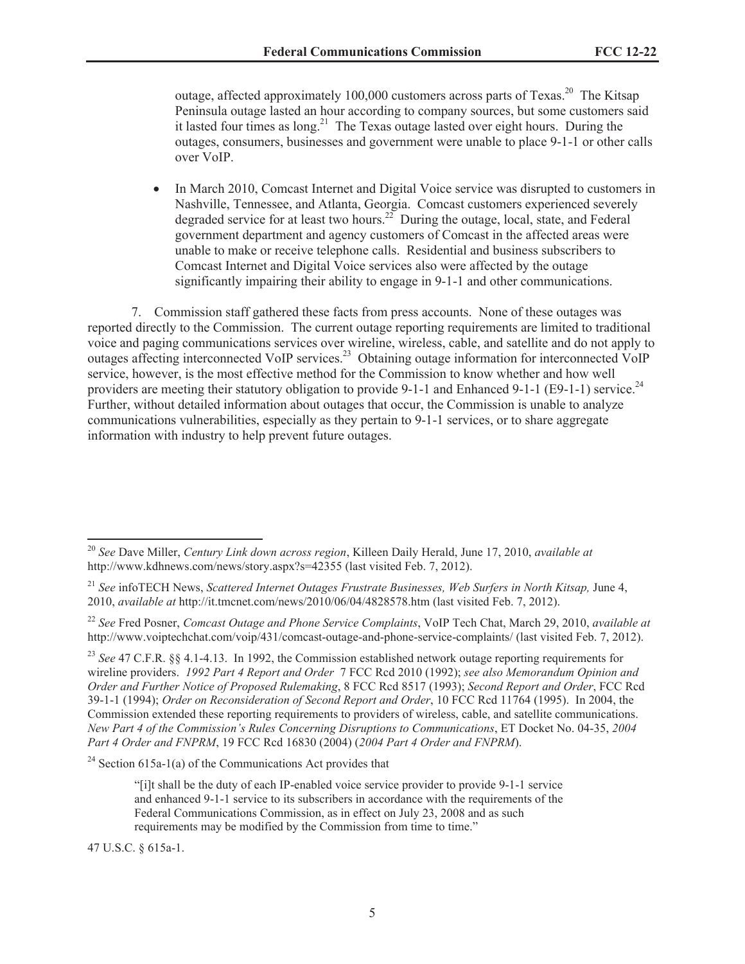outage, affected approximately 100,000 customers across parts of Texas.<sup>20</sup> The Kitsap Peninsula outage lasted an hour according to company sources, but some customers said it lasted four times as long.<sup>21</sup> The Texas outage lasted over eight hours. During the outages, consumers, businesses and government were unable to place 9-1-1 or other calls over VoIP.

• In March 2010, Comcast Internet and Digital Voice service was disrupted to customers in Nashville, Tennessee, and Atlanta, Georgia. Comcast customers experienced severely degraded service for at least two hours.<sup>22</sup> During the outage, local, state, and Federal government department and agency customers of Comcast in the affected areas were unable to make or receive telephone calls. Residential and business subscribers to Comcast Internet and Digital Voice services also were affected by the outage significantly impairing their ability to engage in 9-1-1 and other communications.

7. Commission staff gathered these facts from press accounts. None of these outages was reported directly to the Commission. The current outage reporting requirements are limited to traditional voice and paging communications services over wireline, wireless, cable, and satellite and do not apply to outages affecting interconnected VoIP services.<sup>23</sup> Obtaining outage information for interconnected VoIP service, however, is the most effective method for the Commission to know whether and how well providers are meeting their statutory obligation to provide 9-1-1 and Enhanced 9-1-1 (E9-1-1) service.<sup>24</sup> Further, without detailed information about outages that occur, the Commission is unable to analyze communications vulnerabilities, especially as they pertain to 9-1-1 services, or to share aggregate information with industry to help prevent future outages.

 $24$  Section 615a-1(a) of the Communications Act provides that

47 U.S.C. § 615a-1.

<sup>20</sup> *See* Dave Miller, *Century Link down across region*, Killeen Daily Herald, June 17, 2010, *available at* http://www.kdhnews.com/news/story.aspx?s=42355 (last visited Feb. 7, 2012).

<sup>21</sup> *See* infoTECH News, *Scattered Internet Outages Frustrate Businesses, Web Surfers in North Kitsap,* June 4, 2010, *available at* http://it.tmcnet.com/news/2010/06/04/4828578.htm (last visited Feb. 7, 2012).

<sup>22</sup> *See* Fred Posner, *Comcast Outage and Phone Service Complaints*, VoIP Tech Chat, March 29, 2010, *available at* http://www.voiptechchat.com/voip/431/comcast-outage-and-phone-service-complaints/ (last visited Feb. 7, 2012).

<sup>23</sup> *See* 47 C.F.R. §§ 4.1-4.13. In 1992, the Commission established network outage reporting requirements for wireline providers. *1992 Part 4 Report and Order* 7 FCC Rcd 2010 (1992); *see also Memorandum Opinion and Order and Further Notice of Proposed Rulemaking*, 8 FCC Rcd 8517 (1993); *Second Report and Order*, FCC Rcd 39-1-1 (1994); *Order on Reconsideration of Second Report and Order*, 10 FCC Rcd 11764 (1995). In 2004, the Commission extended these reporting requirements to providers of wireless, cable, and satellite communications. *New Part 4 of the Commission's Rules Concerning Disruptions to Communications*, ET Docket No. 04-35, *2004 Part 4 Order and FNPRM*, 19 FCC Rcd 16830 (2004) (*2004 Part 4 Order and FNPRM*).

<sup>&</sup>quot;[i]t shall be the duty of each IP-enabled voice service provider to provide 9-1-1 service and enhanced 9-1-1 service to its subscribers in accordance with the requirements of the Federal Communications Commission, as in effect on July 23, 2008 and as such requirements may be modified by the Commission from time to time."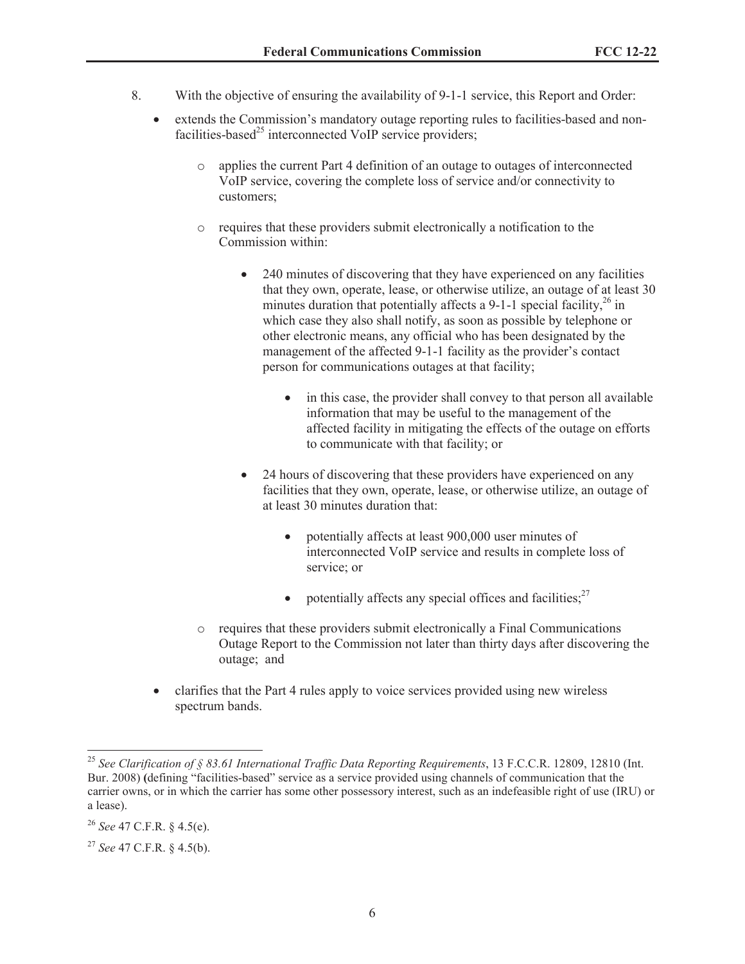- 8. With the objective of ensuring the availability of 9-1-1 service, this Report and Order:
	- extends the Commission's mandatory outage reporting rules to facilities-based and nonfacilities-based<sup>25</sup> interconnected VoIP service providers;
		- o applies the current Part 4 definition of an outage to outages of interconnected VoIP service, covering the complete loss of service and/or connectivity to customers;
		- o requires that these providers submit electronically a notification to the Commission within:
			- 240 minutes of discovering that they have experienced on any facilities that they own, operate, lease, or otherwise utilize, an outage of at least 30 minutes duration that potentially affects a 9-1-1 special facility,  $26$  in which case they also shall notify, as soon as possible by telephone or other electronic means, any official who has been designated by the management of the affected 9-1-1 facility as the provider's contact person for communications outages at that facility;
				- in this case, the provider shall convey to that person all available information that may be useful to the management of the affected facility in mitigating the effects of the outage on efforts to communicate with that facility; or
			- 24 hours of discovering that these providers have experienced on any facilities that they own, operate, lease, or otherwise utilize, an outage of at least 30 minutes duration that:
				- potentially affects at least 900,000 user minutes of interconnected VoIP service and results in complete loss of service; or
				- potentially affects any special offices and facilities; $2^7$
		- o requires that these providers submit electronically a Final Communications Outage Report to the Commission not later than thirty days after discovering the outage; and
	- clarifies that the Part 4 rules apply to voice services provided using new wireless spectrum bands.

<sup>25</sup> *See Clarification of § 83.61 International Traffic Data Reporting Requirements*, 13 F.C.C.R. 12809, 12810 (Int. Bur. 2008) **(**defining "facilities-based" service as a service provided using channels of communication that the carrier owns, or in which the carrier has some other possessory interest, such as an indefeasible right of use (IRU) or a lease).

<sup>26</sup> *See* 47 C.F.R. § 4.5(e).

<sup>27</sup> *See* 47 C.F.R. § 4.5(b).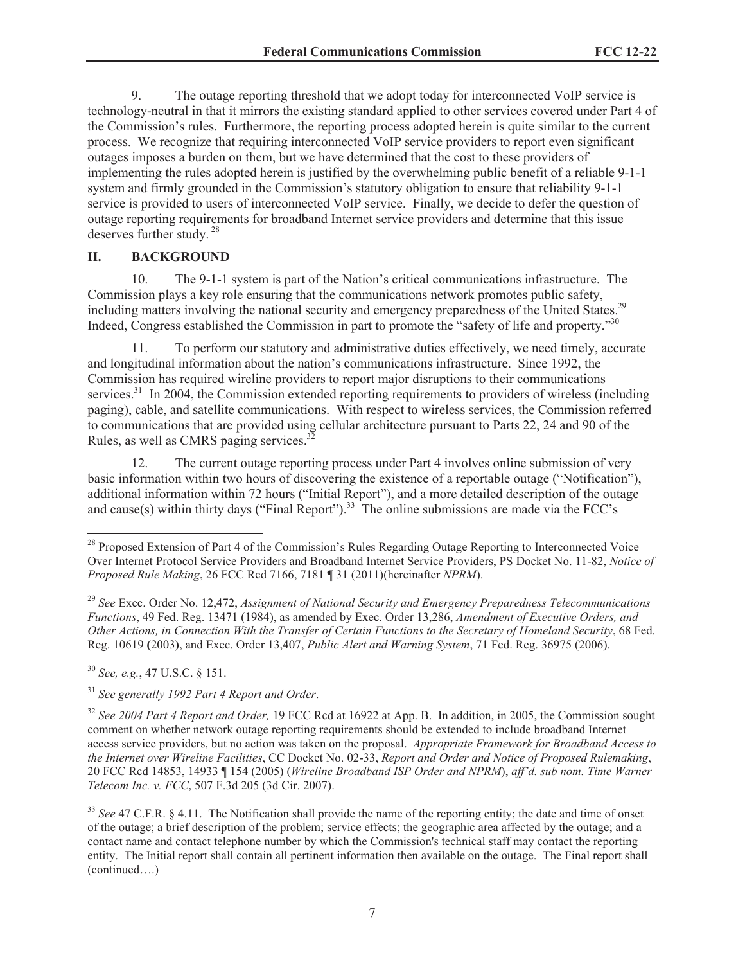9. The outage reporting threshold that we adopt today for interconnected VoIP service is technology-neutral in that it mirrors the existing standard applied to other services covered under Part 4 of the Commission's rules. Furthermore, the reporting process adopted herein is quite similar to the current process. We recognize that requiring interconnected VoIP service providers to report even significant outages imposes a burden on them, but we have determined that the cost to these providers of implementing the rules adopted herein is justified by the overwhelming public benefit of a reliable 9-1-1 system and firmly grounded in the Commission's statutory obligation to ensure that reliability 9-1-1 service is provided to users of interconnected VoIP service. Finally, we decide to defer the question of outage reporting requirements for broadband Internet service providers and determine that this issue deserves further study. <sup>28</sup>

#### **II. BACKGROUND**

10. The 9-1-1 system is part of the Nation's critical communications infrastructure. The Commission plays a key role ensuring that the communications network promotes public safety, including matters involving the national security and emergency preparedness of the United States.<sup>29</sup> Indeed, Congress established the Commission in part to promote the "safety of life and property."<sup>30</sup>

11. To perform our statutory and administrative duties effectively, we need timely, accurate and longitudinal information about the nation's communications infrastructure. Since 1992, the Commission has required wireline providers to report major disruptions to their communications services.<sup>31</sup> In 2004, the Commission extended reporting requirements to providers of wireless (including paging), cable, and satellite communications. With respect to wireless services, the Commission referred to communications that are provided using cellular architecture pursuant to Parts 22, 24 and 90 of the Rules, as well as CMRS paging services.<sup>32</sup>

12. The current outage reporting process under Part 4 involves online submission of very basic information within two hours of discovering the existence of a reportable outage ("Notification"), additional information within 72 hours ("Initial Report"), and a more detailed description of the outage and cause(s) within thirty days ("Final Report").<sup>33</sup> The online submissions are made via the FCC's

<sup>30</sup> *See, e.g.*, 47 U.S.C. § 151.

<sup>&</sup>lt;sup>28</sup> Proposed Extension of Part 4 of the Commission's Rules Regarding Outage Reporting to Interconnected Voice Over Internet Protocol Service Providers and Broadband Internet Service Providers, PS Docket No. 11-82, *Notice of Proposed Rule Making*, 26 FCC Rcd 7166, 7181 ¶ 31 (2011)(hereinafter *NPRM*).

<sup>29</sup> *See* Exec. Order No. 12,472, *Assignment of National Security and Emergency Preparedness Telecommunications Functions*, 49 Fed. Reg. 13471 (1984), as amended by Exec. Order 13,286, *Amendment of Executive Orders, and Other Actions, in Connection With the Transfer of Certain Functions to the Secretary of Homeland Security*, 68 Fed. Reg. 10619 **(**2003**)**, and Exec. Order 13,407, *Public Alert and Warning System*, 71 Fed. Reg. 36975 (2006).

<sup>31</sup> *See generally 1992 Part 4 Report and Order*.

<sup>32</sup> *See 2004 Part 4 Report and Order,* 19 FCC Rcd at 16922 at App. B. In addition, in 2005, the Commission sought comment on whether network outage reporting requirements should be extended to include broadband Internet access service providers, but no action was taken on the proposal. *Appropriate Framework for Broadband Access to the Internet over Wireline Facilities*, CC Docket No. 02-33, *Report and Order and Notice of Proposed Rulemaking*, 20 FCC Rcd 14853, 14933 ¶ 154 (2005) (*Wireline Broadband ISP Order and NPRM*), *aff'd. sub nom. Time Warner Telecom Inc. v. FCC*, 507 F.3d 205 (3d Cir. 2007).

<sup>&</sup>lt;sup>33</sup> See 47 C.F.R. § 4.11. The Notification shall provide the name of the reporting entity; the date and time of onset of the outage; a brief description of the problem; service effects; the geographic area affected by the outage; and a contact name and contact telephone number by which the Commission's technical staff may contact the reporting entity. The Initial report shall contain all pertinent information then available on the outage. The Final report shall (continued….)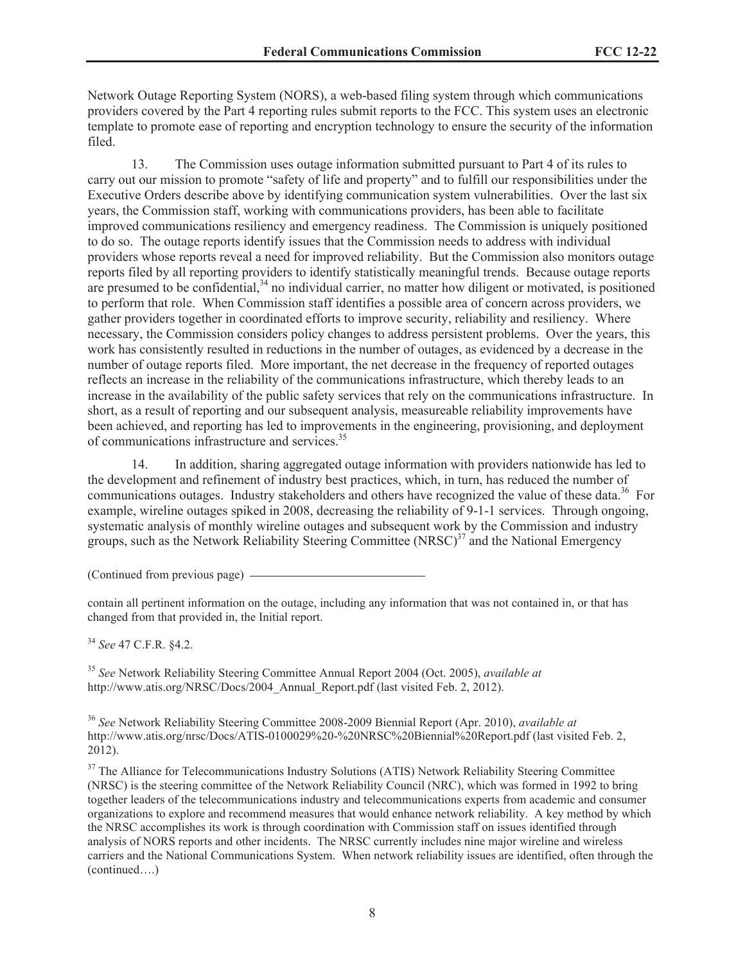Network Outage Reporting System (NORS), a web-based filing system through which communications providers covered by the Part 4 reporting rules submit reports to the FCC. This system uses an electronic template to promote ease of reporting and encryption technology to ensure the security of the information filed.

13. The Commission uses outage information submitted pursuant to Part 4 of its rules to carry out our mission to promote "safety of life and property" and to fulfill our responsibilities under the Executive Orders describe above by identifying communication system vulnerabilities. Over the last six years, the Commission staff, working with communications providers, has been able to facilitate improved communications resiliency and emergency readiness. The Commission is uniquely positioned to do so. The outage reports identify issues that the Commission needs to address with individual providers whose reports reveal a need for improved reliability. But the Commission also monitors outage reports filed by all reporting providers to identify statistically meaningful trends. Because outage reports are presumed to be confidential,<sup>34</sup> no individual carrier, no matter how diligent or motivated, is positioned to perform that role. When Commission staff identifies a possible area of concern across providers, we gather providers together in coordinated efforts to improve security, reliability and resiliency. Where necessary, the Commission considers policy changes to address persistent problems. Over the years, this work has consistently resulted in reductions in the number of outages, as evidenced by a decrease in the number of outage reports filed. More important, the net decrease in the frequency of reported outages reflects an increase in the reliability of the communications infrastructure, which thereby leads to an increase in the availability of the public safety services that rely on the communications infrastructure. In short, as a result of reporting and our subsequent analysis, measureable reliability improvements have been achieved, and reporting has led to improvements in the engineering, provisioning, and deployment of communications infrastructure and services.<sup>35</sup>

14. In addition, sharing aggregated outage information with providers nationwide has led to the development and refinement of industry best practices, which, in turn, has reduced the number of communications outages. Industry stakeholders and others have recognized the value of these data.<sup>36</sup> For example, wireline outages spiked in 2008, decreasing the reliability of 9-1-1 services. Through ongoing, systematic analysis of monthly wireline outages and subsequent work by the Commission and industry groups, such as the Network Reliability Steering Committee  $(NRSC)^{37}$  and the National Emergency

(Continued from previous page)

contain all pertinent information on the outage, including any information that was not contained in, or that has changed from that provided in, the Initial report.

<sup>34</sup> *See* 47 C.F.R. §4.2.

<sup>35</sup> *See* Network Reliability Steering Committee Annual Report 2004 (Oct. 2005), *available at* http://www.atis.org/NRSC/Docs/2004 Annual Report.pdf (last visited Feb. 2, 2012).

<sup>36</sup> *See* Network Reliability Steering Committee 2008-2009 Biennial Report (Apr. 2010), *available at* http://www.atis.org/nrsc/Docs/ATIS-0100029%20-%20NRSC%20Biennial%20Report.pdf (last visited Feb. 2, 2012).

<sup>37</sup> The Alliance for Telecommunications Industry Solutions (ATIS) Network Reliability Steering Committee (NRSC) is the steering committee of the Network Reliability Council (NRC), which was formed in 1992 to bring together leaders of the telecommunications industry and telecommunications experts from academic and consumer organizations to explore and recommend measures that would enhance network reliability. A key method by which the NRSC accomplishes its work is through coordination with Commission staff on issues identified through analysis of NORS reports and other incidents. The NRSC currently includes nine major wireline and wireless carriers and the National Communications System. When network reliability issues are identified, often through the (continued….)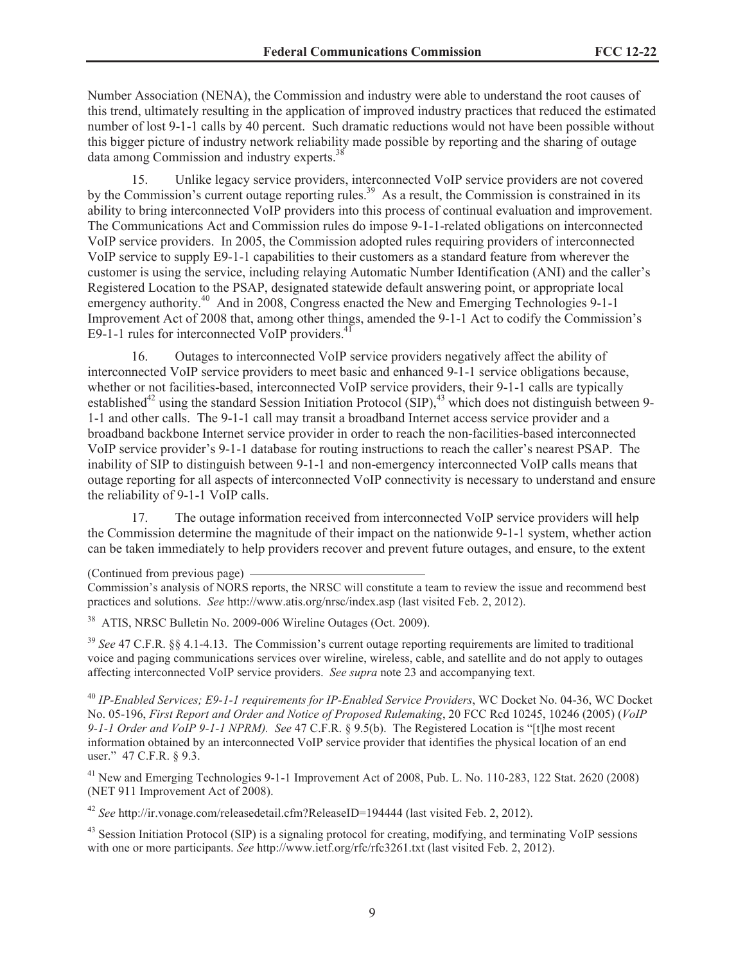Number Association (NENA), the Commission and industry were able to understand the root causes of this trend, ultimately resulting in the application of improved industry practices that reduced the estimated number of lost 9-1-1 calls by 40 percent. Such dramatic reductions would not have been possible without this bigger picture of industry network reliability made possible by reporting and the sharing of outage data among Commission and industry experts.<sup>38</sup>

15. Unlike legacy service providers, interconnected VoIP service providers are not covered by the Commission's current outage reporting rules.<sup>39</sup> As a result, the Commission is constrained in its ability to bring interconnected VoIP providers into this process of continual evaluation and improvement. The Communications Act and Commission rules do impose 9-1-1-related obligations on interconnected VoIP service providers. In 2005, the Commission adopted rules requiring providers of interconnected VoIP service to supply E9-1-1 capabilities to their customers as a standard feature from wherever the customer is using the service, including relaying Automatic Number Identification (ANI) and the caller's Registered Location to the PSAP, designated statewide default answering point, or appropriate local emergency authority.<sup>40</sup> And in 2008, Congress enacted the New and Emerging Technologies 9-1-1 Improvement Act of 2008 that, among other things, amended the 9-1-1 Act to codify the Commission's E9-1-1 rules for interconnected VoIP providers. $4$ 

16. Outages to interconnected VoIP service providers negatively affect the ability of interconnected VoIP service providers to meet basic and enhanced 9-1-1 service obligations because, whether or not facilities-based, interconnected VoIP service providers, their 9-1-1 calls are typically established<sup>42</sup> using the standard Session Initiation Protocol (SIP),  $43$  which does not distinguish between 9-1-1 and other calls. The 9-1-1 call may transit a broadband Internet access service provider and a broadband backbone Internet service provider in order to reach the non-facilities-based interconnected VoIP service provider's 9-1-1 database for routing instructions to reach the caller's nearest PSAP. The inability of SIP to distinguish between 9-1-1 and non-emergency interconnected VoIP calls means that outage reporting for all aspects of interconnected VoIP connectivity is necessary to understand and ensure the reliability of 9-1-1 VoIP calls.

17. The outage information received from interconnected VoIP service providers will help the Commission determine the magnitude of their impact on the nationwide 9-1-1 system, whether action can be taken immediately to help providers recover and prevent future outages, and ensure, to the extent

(Continued from previous page)

<sup>38</sup> ATIS, NRSC Bulletin No. 2009-006 Wireline Outages (Oct. 2009).

<sup>39</sup> See 47 C.F.R. §§ 4.1-4.13. The Commission's current outage reporting requirements are limited to traditional voice and paging communications services over wireline, wireless, cable, and satellite and do not apply to outages affecting interconnected VoIP service providers. *See supra* note 23 and accompanying text.

<sup>40</sup> *IP-Enabled Services; E9-1-1 requirements for IP-Enabled Service Providers*, WC Docket No. 04-36, WC Docket No. 05-196, *First Report and Order and Notice of Proposed Rulemaking*, 20 FCC Rcd 10245, 10246 (2005) (*VoIP 9-1-1 Order and VoIP 9-1-1 NPRM). See* 47 C.F.R. § 9.5(b). The Registered Location is "[t]he most recent information obtained by an interconnected VoIP service provider that identifies the physical location of an end user." 47 C.F.R. § 9.3.

<sup>41</sup> New and Emerging Technologies 9-1-1 Improvement Act of 2008, Pub. L. No. 110-283, 122 Stat. 2620 (2008) (NET 911 Improvement Act of 2008).

<sup>42</sup> *See* http://ir.vonage.com/releasedetail.cfm?ReleaseID=194444 (last visited Feb. 2, 2012).

<sup>43</sup> Session Initiation Protocol (SIP) is a signaling protocol for creating, modifying, and terminating VoIP sessions with one or more participants. *See* http://www.ietf.org/rfc/rfc3261.txt (last visited Feb. 2, 2012).

Commission's analysis of NORS reports, the NRSC will constitute a team to review the issue and recommend best practices and solutions. *See* http://www.atis.org/nrsc/index.asp (last visited Feb. 2, 2012).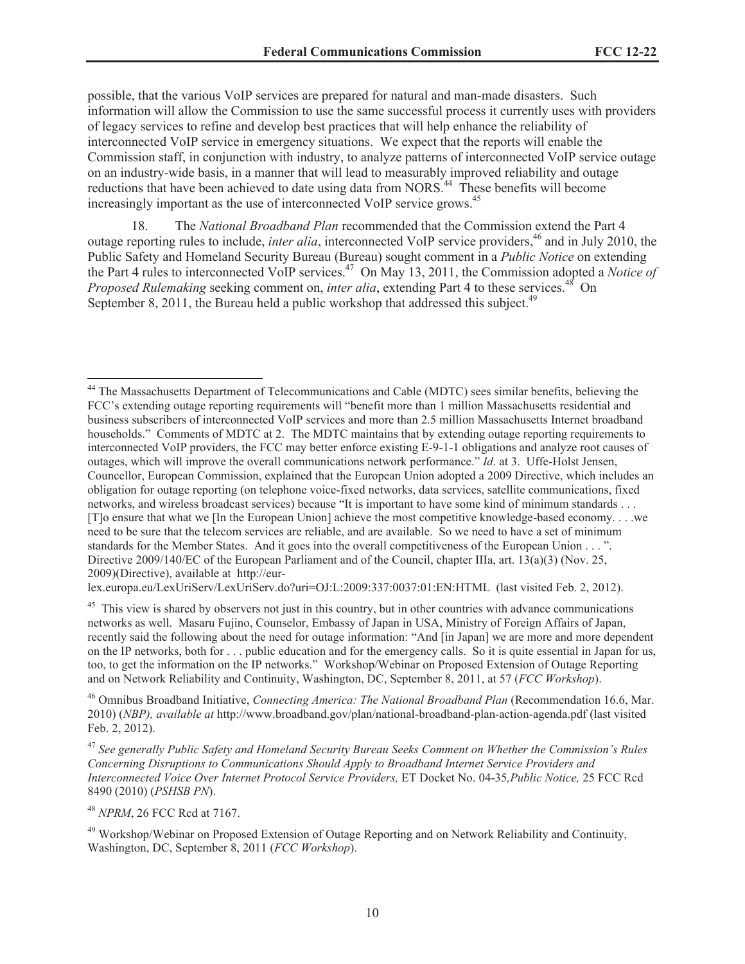possible, that the various VoIP services are prepared for natural and man-made disasters. Such information will allow the Commission to use the same successful process it currently uses with providers of legacy services to refine and develop best practices that will help enhance the reliability of interconnected VoIP service in emergency situations. We expect that the reports will enable the Commission staff, in conjunction with industry, to analyze patterns of interconnected VoIP service outage on an industry-wide basis, in a manner that will lead to measurably improved reliability and outage reductions that have been achieved to date using data from NORS.<sup>44</sup> These benefits will become increasingly important as the use of interconnected VoIP service grows.<sup>45</sup>

18. The *National Broadband Plan* recommended that the Commission extend the Part 4 outage reporting rules to include, *inter alia*, interconnected VoIP service providers,<sup>46</sup> and in July 2010, the Public Safety and Homeland Security Bureau (Bureau) sought comment in a *Public Notice* on extending the Part 4 rules to interconnected VoIP services.<sup>47</sup> On May 13, 2011, the Commission adopted a *Notice of Proposed Rulemaking* seeking comment on, *inter alia*, extending Part 4 to these services.<sup>48</sup> On September 8, 2011, the Bureau held a public workshop that addressed this subject.<sup>49</sup>

lex.europa.eu/LexUriServ/LexUriServ.do?uri=OJ:L:2009:337:0037:01:EN:HTML (last visited Feb. 2, 2012).

<sup>45</sup> This view is shared by observers not just in this country, but in other countries with advance communications networks as well. Masaru Fujino, Counselor, Embassy of Japan in USA, Ministry of Foreign Affairs of Japan, recently said the following about the need for outage information: "And [in Japan] we are more and more dependent on the IP networks, both for . . . public education and for the emergency calls. So it is quite essential in Japan for us, too, to get the information on the IP networks." Workshop/Webinar on Proposed Extension of Outage Reporting and on Network Reliability and Continuity, Washington, DC, September 8, 2011, at 57 (*FCC Workshop*).

<sup>46</sup> Omnibus Broadband Initiative, *Connecting America: The National Broadband Plan* (Recommendation 16.6, Mar. 2010) (*NBP), available at* http://www.broadband.gov/plan/national-broadband-plan-action-agenda.pdf (last visited Feb. 2, 2012).

<sup>47</sup> *See generally Public Safety and Homeland Security Bureau Seeks Comment on Whether the Commission's Rules Concerning Disruptions to Communications Should Apply to Broadband Internet Service Providers and Interconnected Voice Over Internet Protocol Service Providers,* ET Docket No. 04-35*,Public Notice,* 25 FCC Rcd 8490 (2010) (*PSHSB PN*).

<sup>48</sup> *NPRM*, 26 FCC Rcd at 7167.

<sup>49</sup> Workshop/Webinar on Proposed Extension of Outage Reporting and on Network Reliability and Continuity, Washington, DC, September 8, 2011 (*FCC Workshop*).

<sup>&</sup>lt;sup>44</sup> The Massachusetts Department of Telecommunications and Cable (MDTC) sees similar benefits, believing the FCC's extending outage reporting requirements will "benefit more than 1 million Massachusetts residential and business subscribers of interconnected VoIP services and more than 2.5 million Massachusetts Internet broadband households." Comments of MDTC at 2. The MDTC maintains that by extending outage reporting requirements to interconnected VoIP providers, the FCC may better enforce existing E-9-1-1 obligations and analyze root causes of outages, which will improve the overall communications network performance." *Id*. at 3. Uffe-Holst Jensen, Councellor, European Commission, explained that the European Union adopted a 2009 Directive, which includes an obligation for outage reporting (on telephone voice-fixed networks, data services, satellite communications, fixed networks, and wireless broadcast services) because "It is important to have some kind of minimum standards . . . [T]o ensure that what we [In the European Union] achieve the most competitive knowledge-based economy. . . .we need to be sure that the telecom services are reliable, and are available. So we need to have a set of minimum standards for the Member States. And it goes into the overall competitiveness of the European Union . . . ". Directive 2009/140/EC of the European Parliament and of the Council, chapter IIIa, art. 13(a)(3) (Nov. 25, 2009)(Directive), available at http://eur-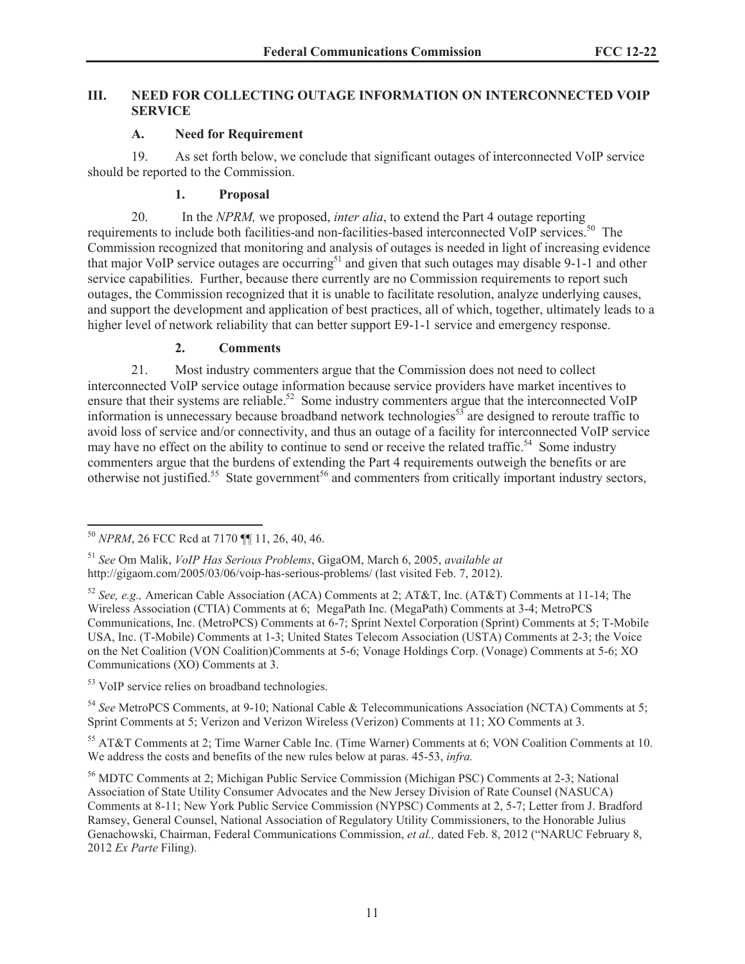## **III. NEED FOR COLLECTING OUTAGE INFORMATION ON INTERCONNECTED VOIP SERVICE**

# **A. Need for Requirement**

19. As set forth below, we conclude that significant outages of interconnected VoIP service should be reported to the Commission.

# **1. Proposal**

20. In the *NPRM,* we proposed, *inter alia*, to extend the Part 4 outage reporting requirements to include both facilities-and non-facilities-based interconnected VoIP services.<sup>50</sup> The Commission recognized that monitoring and analysis of outages is needed in light of increasing evidence that major VoIP service outages are occurring<sup>51</sup> and given that such outages may disable 9-1-1 and other service capabilities. Further, because there currently are no Commission requirements to report such outages, the Commission recognized that it is unable to facilitate resolution, analyze underlying causes, and support the development and application of best practices, all of which, together, ultimately leads to a higher level of network reliability that can better support E9-1-1 service and emergency response.

# **2. Comments**

21. Most industry commenters argue that the Commission does not need to collect interconnected VoIP service outage information because service providers have market incentives to ensure that their systems are reliable.<sup>52</sup> Some industry commenters argue that the interconnected VoIP information is unnecessary because broadband network technologies<sup>53</sup> are designed to reroute traffic to avoid loss of service and/or connectivity, and thus an outage of a facility for interconnected VoIP service may have no effect on the ability to continue to send or receive the related traffic.<sup>54</sup> Some industry commenters argue that the burdens of extending the Part 4 requirements outweigh the benefits or are otherwise not justified.<sup>55</sup> State government<sup>56</sup> and commenters from critically important industry sectors,

<sup>53</sup> VoIP service relies on broadband technologies.

<sup>54</sup> *See* MetroPCS Comments, at 9-10; National Cable & Telecommunications Association (NCTA) Comments at 5; Sprint Comments at 5; Verizon and Verizon Wireless (Verizon) Comments at 11; XO Comments at 3.

<sup>55</sup> AT&T Comments at 2; Time Warner Cable Inc. (Time Warner) Comments at 6; VON Coalition Comments at 10. We address the costs and benefits of the new rules below at paras. 45-53, *infra.*

<sup>50</sup> *NPRM*, 26 FCC Rcd at 7170 ¶¶ 11, 26, 40, 46.

<sup>51</sup> *See* Om Malik, *VoIP Has Serious Problems*, GigaOM, March 6, 2005, *available at* http://gigaom.com/2005/03/06/voip-has-serious-problems/ (last visited Feb. 7, 2012).

<sup>52</sup> *See, e.g.,* American Cable Association (ACA) Comments at 2; AT&T, Inc. (AT&T) Comments at 11-14; The Wireless Association (CTIA) Comments at 6; MegaPath Inc. (MegaPath) Comments at 3-4; MetroPCS Communications, Inc. (MetroPCS) Comments at 6-7; Sprint Nextel Corporation (Sprint) Comments at 5; T-Mobile USA, Inc. (T-Mobile) Comments at 1-3; United States Telecom Association (USTA) Comments at 2-3; the Voice on the Net Coalition (VON Coalition)Comments at 5-6; Vonage Holdings Corp. (Vonage) Comments at 5-6; XO Communications (XO) Comments at 3.

<sup>56</sup> MDTC Comments at 2; Michigan Public Service Commission (Michigan PSC) Comments at 2-3; National Association of State Utility Consumer Advocates and the New Jersey Division of Rate Counsel (NASUCA) Comments at 8-11; New York Public Service Commission (NYPSC) Comments at 2, 5-7; Letter from J. Bradford Ramsey, General Counsel, National Association of Regulatory Utility Commissioners, to the Honorable Julius Genachowski, Chairman, Federal Communications Commission, *et al.,* dated Feb. 8, 2012 ("NARUC February 8, 2012 *Ex Parte* Filing).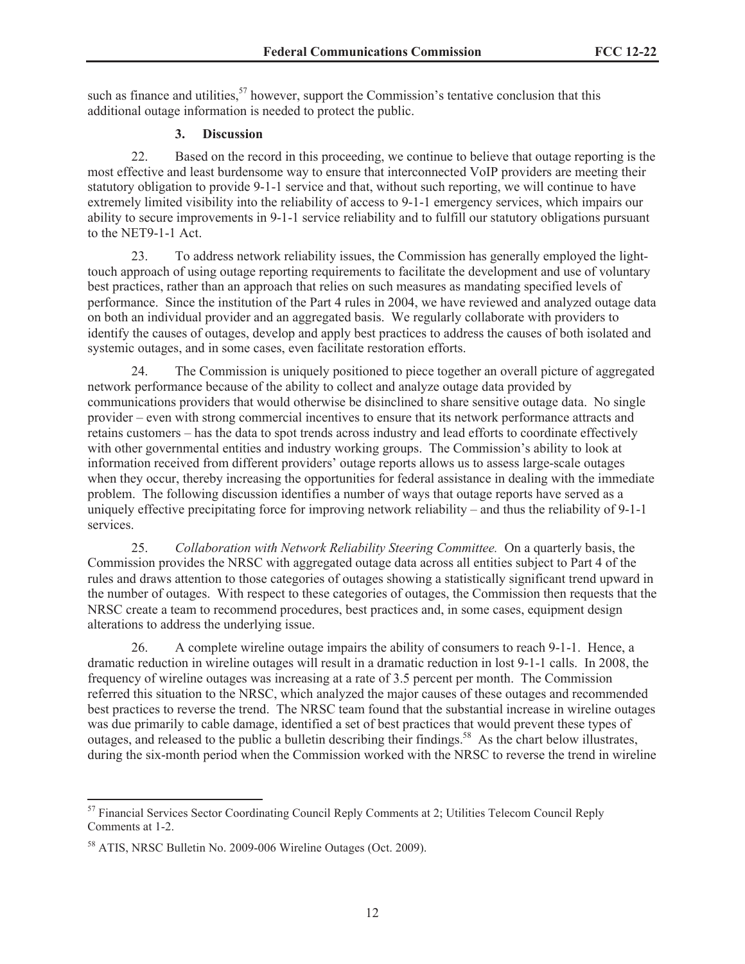such as finance and utilities,  $57$  however, support the Commission's tentative conclusion that this additional outage information is needed to protect the public.

## **3. Discussion**

22. Based on the record in this proceeding, we continue to believe that outage reporting is the most effective and least burdensome way to ensure that interconnected VoIP providers are meeting their statutory obligation to provide 9-1-1 service and that, without such reporting, we will continue to have extremely limited visibility into the reliability of access to 9-1-1 emergency services, which impairs our ability to secure improvements in 9-1-1 service reliability and to fulfill our statutory obligations pursuant to the NET9-1-1 Act.

23. To address network reliability issues, the Commission has generally employed the lighttouch approach of using outage reporting requirements to facilitate the development and use of voluntary best practices, rather than an approach that relies on such measures as mandating specified levels of performance. Since the institution of the Part 4 rules in 2004, we have reviewed and analyzed outage data on both an individual provider and an aggregated basis. We regularly collaborate with providers to identify the causes of outages, develop and apply best practices to address the causes of both isolated and systemic outages, and in some cases, even facilitate restoration efforts.

24. The Commission is uniquely positioned to piece together an overall picture of aggregated network performance because of the ability to collect and analyze outage data provided by communications providers that would otherwise be disinclined to share sensitive outage data. No single provider – even with strong commercial incentives to ensure that its network performance attracts and retains customers – has the data to spot trends across industry and lead efforts to coordinate effectively with other governmental entities and industry working groups. The Commission's ability to look at information received from different providers' outage reports allows us to assess large-scale outages when they occur, thereby increasing the opportunities for federal assistance in dealing with the immediate problem. The following discussion identifies a number of ways that outage reports have served as a uniquely effective precipitating force for improving network reliability – and thus the reliability of 9-1-1 services.

25. *Collaboration with Network Reliability Steering Committee.* On a quarterly basis, the Commission provides the NRSC with aggregated outage data across all entities subject to Part 4 of the rules and draws attention to those categories of outages showing a statistically significant trend upward in the number of outages. With respect to these categories of outages, the Commission then requests that the NRSC create a team to recommend procedures, best practices and, in some cases, equipment design alterations to address the underlying issue.

26. A complete wireline outage impairs the ability of consumers to reach 9-1-1. Hence, a dramatic reduction in wireline outages will result in a dramatic reduction in lost 9-1-1 calls. In 2008, the frequency of wireline outages was increasing at a rate of 3.5 percent per month. The Commission referred this situation to the NRSC, which analyzed the major causes of these outages and recommended best practices to reverse the trend. The NRSC team found that the substantial increase in wireline outages was due primarily to cable damage, identified a set of best practices that would prevent these types of outages, and released to the public a bulletin describing their findings.<sup>58</sup> As the chart below illustrates, during the six-month period when the Commission worked with the NRSC to reverse the trend in wireline

<sup>&</sup>lt;sup>57</sup> Financial Services Sector Coordinating Council Reply Comments at 2; Utilities Telecom Council Reply Comments at 1-2.

<sup>58</sup> ATIS, NRSC Bulletin No. 2009-006 Wireline Outages (Oct. 2009).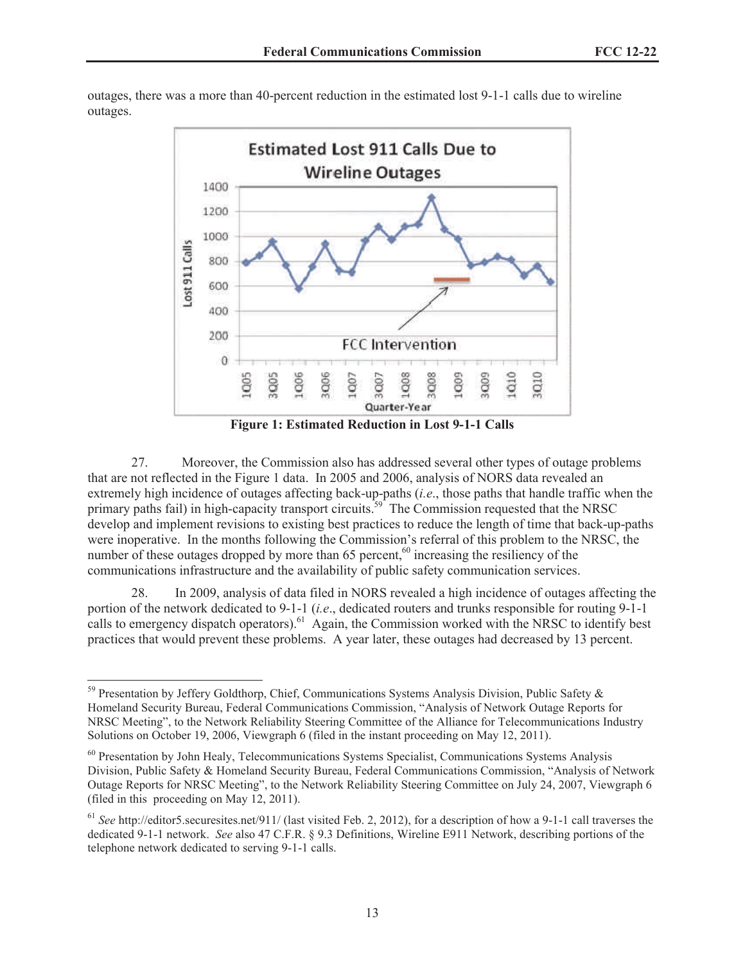

outages, there was a more than 40-percent reduction in the estimated lost 9-1-1 calls due to wireline outages.

**Figure 1: Estimated Reduction in Lost 9-1-1 Calls** 

27. Moreover, the Commission also has addressed several other types of outage problems that are not reflected in the Figure 1 data. In 2005 and 2006, analysis of NORS data revealed an extremely high incidence of outages affecting back-up-paths (*i.e*., those paths that handle traffic when the primary paths fail) in high-capacity transport circuits.<sup>59</sup> The Commission requested that the NRSC develop and implement revisions to existing best practices to reduce the length of time that back-up-paths were inoperative. In the months following the Commission's referral of this problem to the NRSC, the number of these outages dropped by more than 65 percent, $60$  increasing the resiliency of the communications infrastructure and the availability of public safety communication services.

28. In 2009, analysis of data filed in NORS revealed a high incidence of outages affecting the portion of the network dedicated to 9-1-1 (*i.e*., dedicated routers and trunks responsible for routing 9-1-1 calls to emergency dispatch operators).<sup>61</sup> Again, the Commission worked with the NRSC to identify best practices that would prevent these problems. A year later, these outages had decreased by 13 percent.

<sup>59</sup> Presentation by Jeffery Goldthorp, Chief, Communications Systems Analysis Division, Public Safety & Homeland Security Bureau, Federal Communications Commission, "Analysis of Network Outage Reports for NRSC Meeting", to the Network Reliability Steering Committee of the Alliance for Telecommunications Industry Solutions on October 19, 2006, Viewgraph 6 (filed in the instant proceeding on May 12, 2011).

<sup>&</sup>lt;sup>60</sup> Presentation by John Healy, Telecommunications Systems Specialist, Communications Systems Analysis Division, Public Safety & Homeland Security Bureau, Federal Communications Commission, "Analysis of Network Outage Reports for NRSC Meeting", to the Network Reliability Steering Committee on July 24, 2007, Viewgraph 6 (filed in this proceeding on May 12, 2011).

<sup>&</sup>lt;sup>61</sup> See http://editor5.securesites.net/911/ (last visited Feb. 2, 2012), for a description of how a 9-1-1 call traverses the dedicated 9-1-1 network. *See* also 47 C.F.R. § 9.3 Definitions, Wireline E911 Network, describing portions of the telephone network dedicated to serving 9-1-1 calls.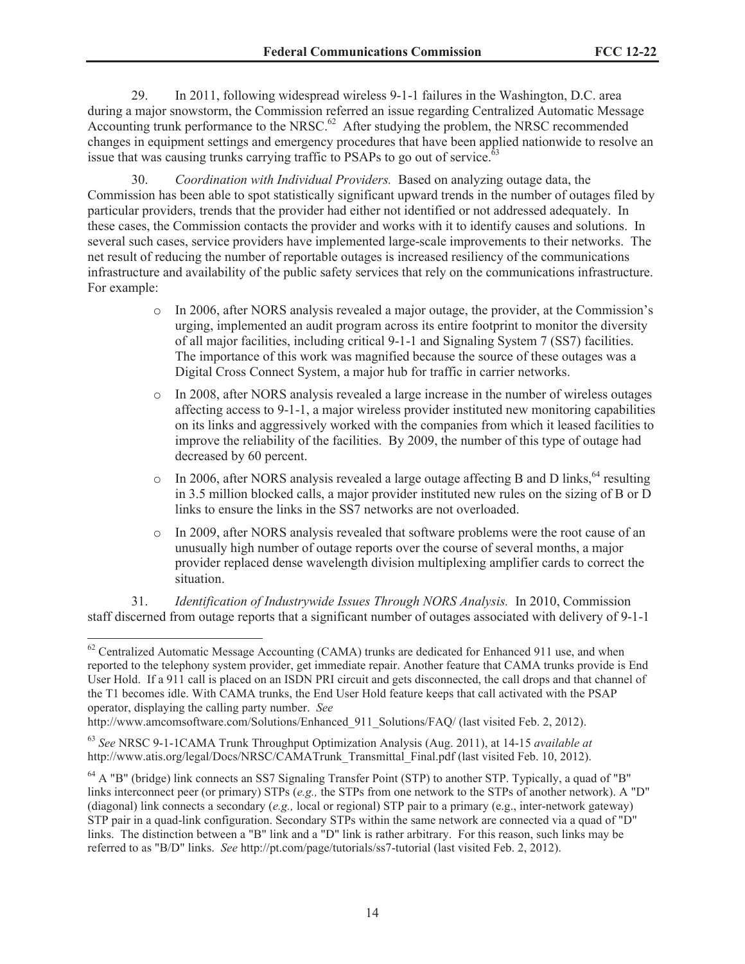29. In 2011, following widespread wireless 9-1-1 failures in the Washington, D.C. area during a major snowstorm, the Commission referred an issue regarding Centralized Automatic Message Accounting trunk performance to the NRSC.<sup>62</sup> After studying the problem, the NRSC recommended changes in equipment settings and emergency procedures that have been applied nationwide to resolve an issue that was causing trunks carrying traffic to PSAPs to go out of service.<sup>6</sup>

30. *Coordination with Individual Providers.* Based on analyzing outage data, the Commission has been able to spot statistically significant upward trends in the number of outages filed by particular providers, trends that the provider had either not identified or not addressed adequately. In these cases, the Commission contacts the provider and works with it to identify causes and solutions. In several such cases, service providers have implemented large-scale improvements to their networks. The net result of reducing the number of reportable outages is increased resiliency of the communications infrastructure and availability of the public safety services that rely on the communications infrastructure. For example:

- o In 2006, after NORS analysis revealed a major outage, the provider, at the Commission's urging, implemented an audit program across its entire footprint to monitor the diversity of all major facilities, including critical 9-1-1 and Signaling System 7 (SS7) facilities. The importance of this work was magnified because the source of these outages was a Digital Cross Connect System, a major hub for traffic in carrier networks.
- o In 2008, after NORS analysis revealed a large increase in the number of wireless outages affecting access to 9-1-1, a major wireless provider instituted new monitoring capabilities on its links and aggressively worked with the companies from which it leased facilities to improve the reliability of the facilities. By 2009, the number of this type of outage had decreased by 60 percent.
- $\circ$  In 2006, after NORS analysis revealed a large outage affecting B and D links,  $^{64}$  resulting in 3.5 million blocked calls, a major provider instituted new rules on the sizing of B or D links to ensure the links in the SS7 networks are not overloaded.
- o In 2009, after NORS analysis revealed that software problems were the root cause of an unusually high number of outage reports over the course of several months, a major provider replaced dense wavelength division multiplexing amplifier cards to correct the situation.

31. *Identification of Industrywide Issues Through NORS Analysis.* In 2010, Commission staff discerned from outage reports that a significant number of outages associated with delivery of 9-1-1

<sup>&</sup>lt;sup>62</sup> Centralized Automatic Message Accounting (CAMA) trunks are dedicated for Enhanced 911 use, and when reported to the telephony system provider, get immediate repair. Another feature that CAMA trunks provide is End User Hold. If a 911 call is placed on an ISDN PRI circuit and gets disconnected, the call drops and that channel of the T1 becomes idle. With CAMA trunks, the End User Hold feature keeps that call activated with the PSAP operator, displaying the calling party number. *See*

http://www.amcomsoftware.com/Solutions/Enhanced 911\_Solutions/FAQ/ (last visited Feb. 2, 2012).

<sup>63</sup> *See* NRSC 9-1-1CAMA Trunk Throughput Optimization Analysis (Aug. 2011), at 14-15 *available at* http://www.atis.org/legal/Docs/NRSC/CAMATrunk\_Transmittal\_Final.pdf (last visited Feb. 10, 2012).

<sup>&</sup>lt;sup>64</sup> A "B" (bridge) link connects an SS7 Signaling Transfer Point (STP) to another STP. Typically, a quad of "B" links interconnect peer (or primary) STPs (*e.g.,* the STPs from one network to the STPs of another network). A "D" (diagonal) link connects a secondary (*e.g.,* local or regional) STP pair to a primary (e.g., inter-network gateway) STP pair in a quad-link configuration. Secondary STPs within the same network are connected via a quad of "D" links. The distinction between a "B" link and a "D" link is rather arbitrary. For this reason, such links may be referred to as "B/D" links. *See* http://pt.com/page/tutorials/ss7-tutorial (last visited Feb. 2, 2012).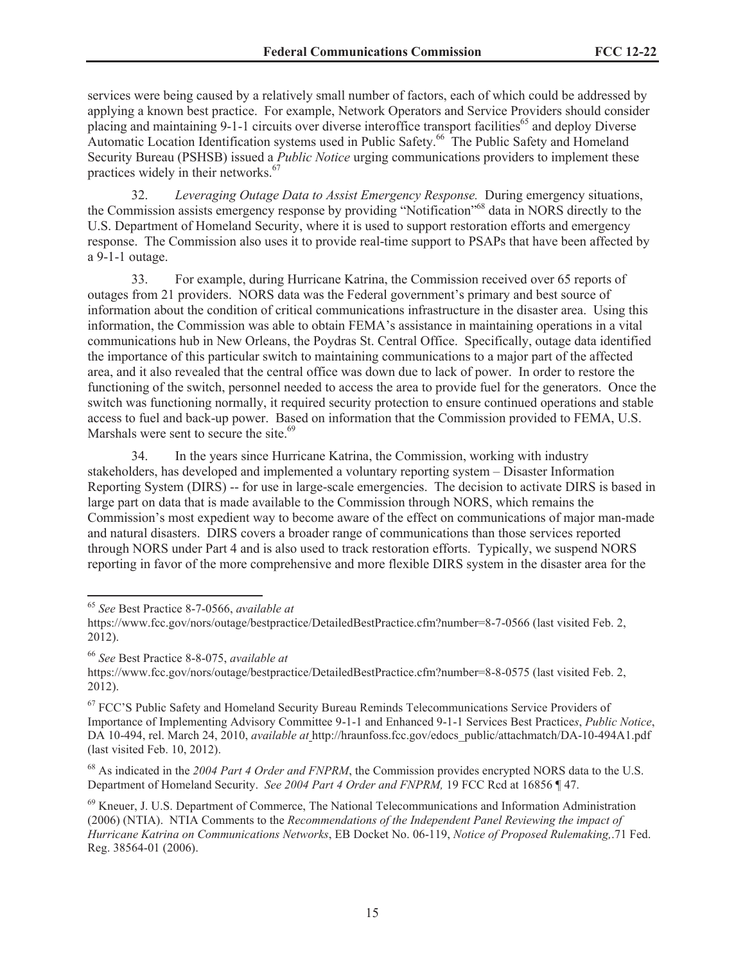services were being caused by a relatively small number of factors, each of which could be addressed by applying a known best practice. For example, Network Operators and Service Providers should consider placing and maintaining 9-1-1 circuits over diverse interoffice transport facilities<sup>65</sup> and deploy Diverse Automatic Location Identification systems used in Public Safety.<sup>66</sup> The Public Safety and Homeland Security Bureau (PSHSB) issued a *Public Notice* urging communications providers to implement these practices widely in their networks.<sup>67</sup>

32. *Leveraging Outage Data to Assist Emergency Response.* During emergency situations, the Commission assists emergency response by providing "Notification"<sup>68</sup> data in NORS directly to the U.S. Department of Homeland Security, where it is used to support restoration efforts and emergency response. The Commission also uses it to provide real-time support to PSAPs that have been affected by a 9-1-1 outage.

33. For example, during Hurricane Katrina, the Commission received over 65 reports of outages from 21 providers. NORS data was the Federal government's primary and best source of information about the condition of critical communications infrastructure in the disaster area. Using this information, the Commission was able to obtain FEMA's assistance in maintaining operations in a vital communications hub in New Orleans, the Poydras St. Central Office. Specifically, outage data identified the importance of this particular switch to maintaining communications to a major part of the affected area, and it also revealed that the central office was down due to lack of power. In order to restore the functioning of the switch, personnel needed to access the area to provide fuel for the generators. Once the switch was functioning normally, it required security protection to ensure continued operations and stable access to fuel and back-up power. Based on information that the Commission provided to FEMA, U.S. Marshals were sent to secure the site.<sup>69</sup>

34. In the years since Hurricane Katrina, the Commission, working with industry stakeholders, has developed and implemented a voluntary reporting system – Disaster Information Reporting System (DIRS) -- for use in large-scale emergencies. The decision to activate DIRS is based in large part on data that is made available to the Commission through NORS, which remains the Commission's most expedient way to become aware of the effect on communications of major man-made and natural disasters. DIRS covers a broader range of communications than those services reported through NORS under Part 4 and is also used to track restoration efforts. Typically, we suspend NORS reporting in favor of the more comprehensive and more flexible DIRS system in the disaster area for the

<sup>65</sup> *See* Best Practice 8-7-0566, *available at*

<sup>68</sup> As indicated in the 2004 Part 4 Order and FNPRM, the Commission provides encrypted NORS data to the U.S. Department of Homeland Security. *See 2004 Part 4 Order and FNPRM,* 19 FCC Rcd at 16856 ¶ 47.

https://www.fcc.gov/nors/outage/bestpractice/DetailedBestPractice.cfm?number=8-7-0566 (last visited Feb. 2, 2012).

<sup>66</sup> *See* Best Practice 8-8-075, *available at*

https://www.fcc.gov/nors/outage/bestpractice/DetailedBestPractice.cfm?number=8-8-0575 (last visited Feb. 2, 2012).

<sup>67</sup> FCC'S Public Safety and Homeland Security Bureau Reminds Telecommunications Service Providers of Importance of Implementing Advisory Committee 9-1-1 and Enhanced 9-1-1 Services Best Practice*s*, *Public Notice*, DA 10-494, rel. March 24, 2010, *available at* http://hraunfoss.fcc.gov/edocs\_public/attachmatch/DA-10-494A1.pdf (last visited Feb. 10, 2012).

<sup>69</sup> Kneuer, J. U.S. Department of Commerce, The National Telecommunications and Information Administration (2006) (NTIA). NTIA Comments to the *Recommendations of the Independent Panel Reviewing the impact of Hurricane Katrina on Communications Networks*, EB Docket No. 06-119, *Notice of Proposed Rulemaking,*.71 Fed. Reg. 38564-01 (2006).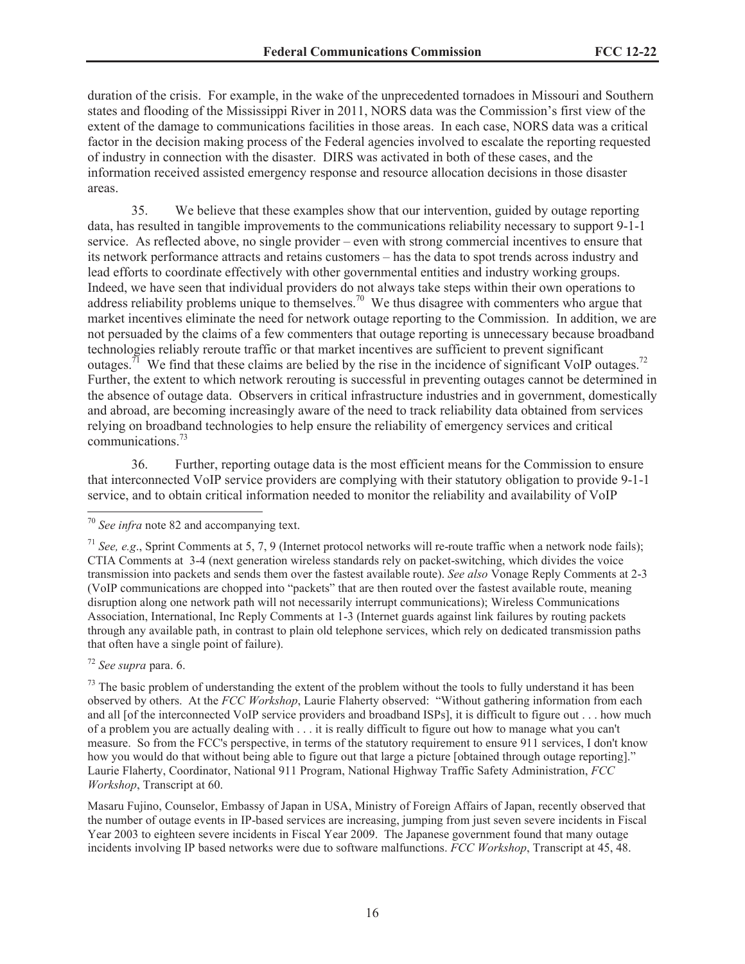duration of the crisis. For example, in the wake of the unprecedented tornadoes in Missouri and Southern states and flooding of the Mississippi River in 2011, NORS data was the Commission's first view of the extent of the damage to communications facilities in those areas. In each case, NORS data was a critical factor in the decision making process of the Federal agencies involved to escalate the reporting requested of industry in connection with the disaster. DIRS was activated in both of these cases, and the information received assisted emergency response and resource allocation decisions in those disaster areas.

35. We believe that these examples show that our intervention, guided by outage reporting data, has resulted in tangible improvements to the communications reliability necessary to support 9-1-1 service. As reflected above, no single provider – even with strong commercial incentives to ensure that its network performance attracts and retains customers – has the data to spot trends across industry and lead efforts to coordinate effectively with other governmental entities and industry working groups. Indeed, we have seen that individual providers do not always take steps within their own operations to address reliability problems unique to themselves.<sup>70</sup> We thus disagree with commenters who argue that market incentives eliminate the need for network outage reporting to the Commission. In addition, we are not persuaded by the claims of a few commenters that outage reporting is unnecessary because broadband technologies reliably reroute traffic or that market incentives are sufficient to prevent significant outages.<sup>71</sup> We find that these claims are belied by the rise in the incidence of significant VoIP outages.<sup>72</sup> Further, the extent to which network rerouting is successful in preventing outages cannot be determined in the absence of outage data. Observers in critical infrastructure industries and in government, domestically and abroad, are becoming increasingly aware of the need to track reliability data obtained from services relying on broadband technologies to help ensure the reliability of emergency services and critical communications.<sup>73</sup>

36. Further, reporting outage data is the most efficient means for the Commission to ensure that interconnected VoIP service providers are complying with their statutory obligation to provide 9-1-1 service, and to obtain critical information needed to monitor the reliability and availability of VoIP

<sup>72</sup> *See supra* para. 6.

<sup>70</sup> *See infra* note 82 and accompanying text.

<sup>71</sup> *See, e.g*., Sprint Comments at 5, 7, 9 (Internet protocol networks will re-route traffic when a network node fails); CTIA Comments at 3-4 (next generation wireless standards rely on packet-switching, which divides the voice transmission into packets and sends them over the fastest available route). *See also* Vonage Reply Comments at 2-3 (VoIP communications are chopped into "packets" that are then routed over the fastest available route, meaning disruption along one network path will not necessarily interrupt communications); Wireless Communications Association, International, Inc Reply Comments at 1-3 (Internet guards against link failures by routing packets through any available path, in contrast to plain old telephone services, which rely on dedicated transmission paths that often have a single point of failure).

 $<sup>73</sup>$  The basic problem of understanding the extent of the problem without the tools to fully understand it has been</sup> observed by others. At the *FCC Workshop*, Laurie Flaherty observed: "Without gathering information from each and all [of the interconnected VoIP service providers and broadband ISPs], it is difficult to figure out . . . how much of a problem you are actually dealing with . . . it is really difficult to figure out how to manage what you can't measure. So from the FCC's perspective, in terms of the statutory requirement to ensure 911 services, I don't know how you would do that without being able to figure out that large a picture [obtained through outage reporting]." Laurie Flaherty, Coordinator, National 911 Program, National Highway Traffic Safety Administration, *FCC Workshop*, Transcript at 60.

Masaru Fujino, Counselor, Embassy of Japan in USA, Ministry of Foreign Affairs of Japan, recently observed that the number of outage events in IP-based services are increasing, jumping from just seven severe incidents in Fiscal Year 2003 to eighteen severe incidents in Fiscal Year 2009. The Japanese government found that many outage incidents involving IP based networks were due to software malfunctions. *FCC Workshop*, Transcript at 45, 48.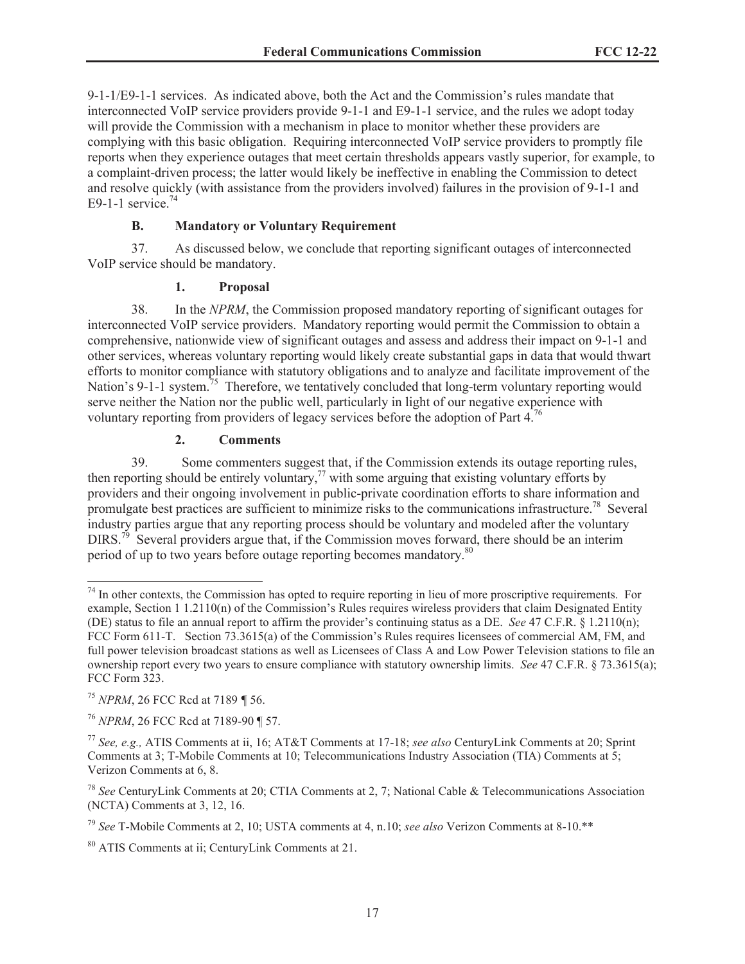9-1-1/E9-1-1 services. As indicated above, both the Act and the Commission's rules mandate that interconnected VoIP service providers provide 9-1-1 and E9-1-1 service, and the rules we adopt today will provide the Commission with a mechanism in place to monitor whether these providers are complying with this basic obligation. Requiring interconnected VoIP service providers to promptly file reports when they experience outages that meet certain thresholds appears vastly superior, for example, to a complaint-driven process; the latter would likely be ineffective in enabling the Commission to detect and resolve quickly (with assistance from the providers involved) failures in the provision of 9-1-1 and E9-1-1 service. $74$ 

# **B. Mandatory or Voluntary Requirement**

37. As discussed below, we conclude that reporting significant outages of interconnected VoIP service should be mandatory.

## **1. Proposal**

38. In the *NPRM*, the Commission proposed mandatory reporting of significant outages for interconnected VoIP service providers. Mandatory reporting would permit the Commission to obtain a comprehensive, nationwide view of significant outages and assess and address their impact on 9-1-1 and other services, whereas voluntary reporting would likely create substantial gaps in data that would thwart efforts to monitor compliance with statutory obligations and to analyze and facilitate improvement of the Nation's 9-1-1 system.<sup>75</sup> Therefore, we tentatively concluded that long-term voluntary reporting would serve neither the Nation nor the public well, particularly in light of our negative experience with voluntary reporting from providers of legacy services before the adoption of Part 4.<sup>76</sup>

## **2. Comments**

39. Some commenters suggest that, if the Commission extends its outage reporting rules, then reporting should be entirely voluntary,  $\frac{7}{7}$  with some arguing that existing voluntary efforts by providers and their ongoing involvement in public-private coordination efforts to share information and promulgate best practices are sufficient to minimize risks to the communications infrastructure.<sup>78</sup> Several industry parties argue that any reporting process should be voluntary and modeled after the voluntary DIRS.<sup>79</sup> Several providers argue that, if the Commission moves forward, there should be an interim period of up to two years before outage reporting becomes mandatory.<sup>80</sup>

<sup>&</sup>lt;sup>74</sup> In other contexts, the Commission has opted to require reporting in lieu of more proscriptive requirements. For example, Section 1 1.2110(n) of the Commission's Rules requires wireless providers that claim Designated Entity (DE) status to file an annual report to affirm the provider's continuing status as a DE. *See* 47 C.F.R. § 1.2110(n); FCC Form 611-T. Section 73.3615(a) of the Commission's Rules requires licensees of commercial AM, FM, and full power television broadcast stations as well as Licensees of Class A and Low Power Television stations to file an ownership report every two years to ensure compliance with statutory ownership limits. *See* 47 C.F.R. § 73.3615(a); FCC Form 323.

<sup>75</sup> *NPRM*, 26 FCC Rcd at 7189 *¶* 56.

<sup>76</sup> *NPRM*, 26 FCC Rcd at 7189-90 ¶ 57.

<sup>77</sup> *See, e.g.,* ATIS Comments at ii, 16; AT&T Comments at 17-18; *see also* CenturyLink Comments at 20; Sprint Comments at 3; T-Mobile Comments at 10; Telecommunications Industry Association (TIA) Comments at 5; Verizon Comments at 6, 8.

<sup>78</sup> *See* CenturyLink Comments at 20; CTIA Comments at 2, 7; National Cable & Telecommunications Association (NCTA) Comments at 3, 12, 16.

<sup>79</sup> *See* T-Mobile Comments at 2, 10; USTA comments at 4, n.10; *see also* Verizon Comments at 8-10.\*\*

<sup>80</sup> ATIS Comments at ii; CenturyLink Comments at 21.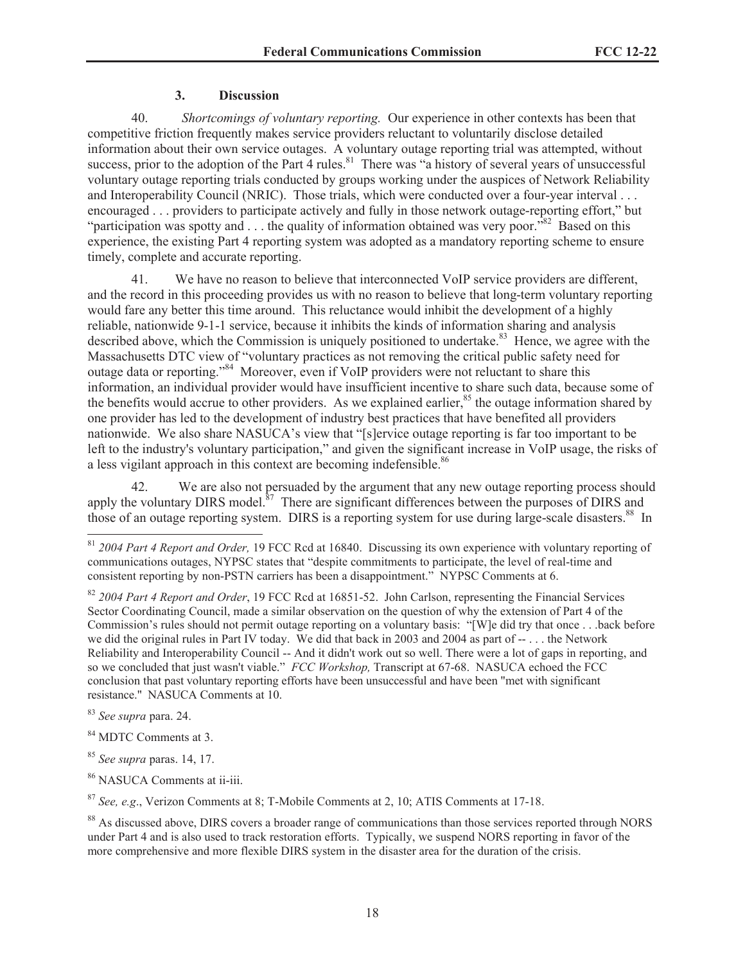#### **3. Discussion**

40. *Shortcomings of voluntary reporting.* Our experience in other contexts has been that competitive friction frequently makes service providers reluctant to voluntarily disclose detailed information about their own service outages. A voluntary outage reporting trial was attempted, without success, prior to the adoption of the Part 4 rules. $81$  There was "a history of several years of unsuccessful voluntary outage reporting trials conducted by groups working under the auspices of Network Reliability and Interoperability Council (NRIC). Those trials, which were conducted over a four-year interval . . . encouraged . . . providers to participate actively and fully in those network outage-reporting effort," but "participation was spotty and  $\dots$  the quality of information obtained was very poor."<sup>82</sup> Based on this experience, the existing Part 4 reporting system was adopted as a mandatory reporting scheme to ensure timely, complete and accurate reporting.

41. We have no reason to believe that interconnected VoIP service providers are different, and the record in this proceeding provides us with no reason to believe that long-term voluntary reporting would fare any better this time around. This reluctance would inhibit the development of a highly reliable, nationwide 9-1-1 service, because it inhibits the kinds of information sharing and analysis described above, which the Commission is uniquely positioned to undertake.<sup>83</sup> Hence, we agree with the Massachusetts DTC view of "voluntary practices as not removing the critical public safety need for outage data or reporting."<sup>84</sup> Moreover, even if VoIP providers were not reluctant to share this information, an individual provider would have insufficient incentive to share such data, because some of the benefits would accrue to other providers. As we explained earlier, $85$  the outage information shared by one provider has led to the development of industry best practices that have benefited all providers nationwide. We also share NASUCA's view that "[s]ervice outage reporting is far too important to be left to the industry's voluntary participation," and given the significant increase in VoIP usage, the risks of a less vigilant approach in this context are becoming indefensible.<sup>86</sup>

42. We are also not persuaded by the argument that any new outage reporting process should apply the voluntary DIRS model. $^{87}$  There are significant differences between the purposes of DIRS and those of an outage reporting system. DIRS is a reporting system for use during large-scale disasters.<sup>88</sup> In

<sup>83</sup> *See supra* para. 24.

- <sup>84</sup> MDTC Comments at 3.
- <sup>85</sup> *See supra* paras. 14, 17.
- <sup>86</sup> NASUCA Comments at ii-iii.

<sup>87</sup> *See, e.g*., Verizon Comments at 8; T-Mobile Comments at 2, 10; ATIS Comments at 17-18.

<sup>81</sup> *2004 Part 4 Report and Order,* 19 FCC Rcd at 16840. Discussing its own experience with voluntary reporting of communications outages, NYPSC states that "despite commitments to participate, the level of real-time and consistent reporting by non-PSTN carriers has been a disappointment." NYPSC Comments at 6.

<sup>82</sup> *2004 Part 4 Report and Order*, 19 FCC Rcd at 16851-52. John Carlson, representing the Financial Services Sector Coordinating Council, made a similar observation on the question of why the extension of Part 4 of the Commission's rules should not permit outage reporting on a voluntary basis: "[W]e did try that once . . .back before we did the original rules in Part IV today. We did that back in 2003 and 2004 as part of  $- \dots$  the Network Reliability and Interoperability Council -- And it didn't work out so well. There were a lot of gaps in reporting, and so we concluded that just wasn't viable." *FCC Workshop,* Transcript at 67-68. NASUCA echoed the FCC conclusion that past voluntary reporting efforts have been unsuccessful and have been "met with significant resistance." NASUCA Comments at 10.

<sup>&</sup>lt;sup>88</sup> As discussed above, DIRS covers a broader range of communications than those services reported through NORS under Part 4 and is also used to track restoration efforts. Typically, we suspend NORS reporting in favor of the more comprehensive and more flexible DIRS system in the disaster area for the duration of the crisis.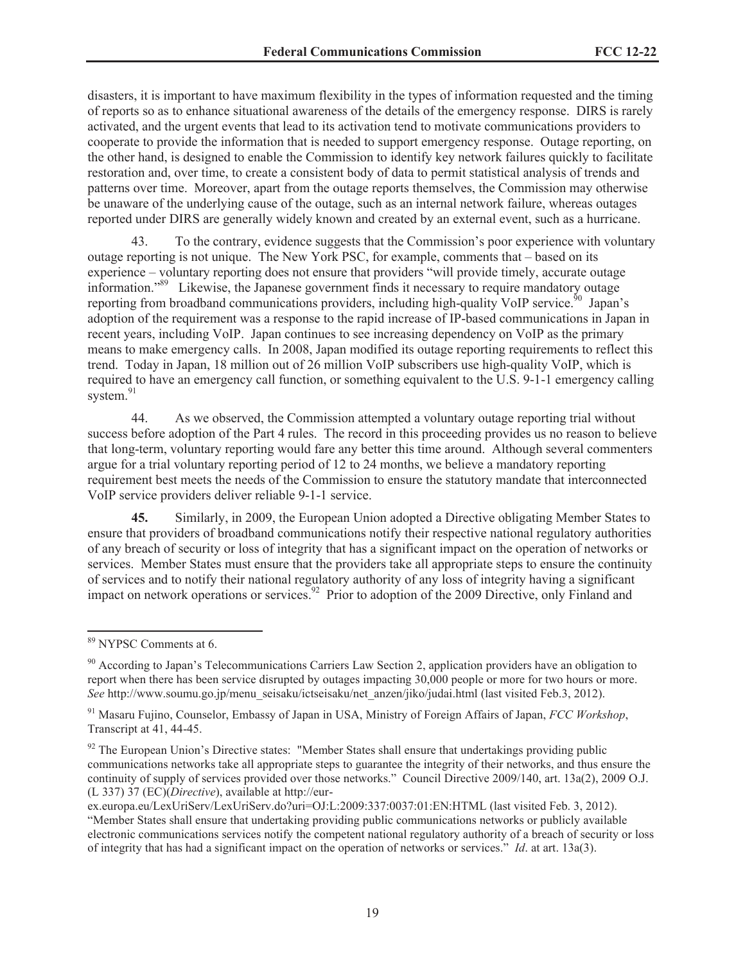disasters, it is important to have maximum flexibility in the types of information requested and the timing of reports so as to enhance situational awareness of the details of the emergency response. DIRS is rarely activated, and the urgent events that lead to its activation tend to motivate communications providers to cooperate to provide the information that is needed to support emergency response. Outage reporting, on the other hand, is designed to enable the Commission to identify key network failures quickly to facilitate restoration and, over time, to create a consistent body of data to permit statistical analysis of trends and patterns over time. Moreover, apart from the outage reports themselves, the Commission may otherwise be unaware of the underlying cause of the outage, such as an internal network failure, whereas outages reported under DIRS are generally widely known and created by an external event, such as a hurricane.

43. To the contrary, evidence suggests that the Commission's poor experience with voluntary outage reporting is not unique. The New York PSC, for example, comments that – based on its experience – voluntary reporting does not ensure that providers "will provide timely, accurate outage information."<sup>89</sup> Likewise, the Japanese government finds it necessary to require mandatory outage reporting from broadband communications providers, including high-quality VoIP service.<sup>50</sup> Japan's adoption of the requirement was a response to the rapid increase of IP-based communications in Japan in recent years, including VoIP. Japan continues to see increasing dependency on VoIP as the primary means to make emergency calls. In 2008, Japan modified its outage reporting requirements to reflect this trend. Today in Japan, 18 million out of 26 million VoIP subscribers use high-quality VoIP, which is required to have an emergency call function, or something equivalent to the U.S. 9-1-1 emergency calling system.<sup>91</sup>

44. As we observed, the Commission attempted a voluntary outage reporting trial without success before adoption of the Part 4 rules. The record in this proceeding provides us no reason to believe that long-term, voluntary reporting would fare any better this time around. Although several commenters argue for a trial voluntary reporting period of 12 to 24 months, we believe a mandatory reporting requirement best meets the needs of the Commission to ensure the statutory mandate that interconnected VoIP service providers deliver reliable 9-1-1 service.

**45.** Similarly, in 2009, the European Union adopted a Directive obligating Member States to ensure that providers of broadband communications notify their respective national regulatory authorities of any breach of security or loss of integrity that has a significant impact on the operation of networks or services. Member States must ensure that the providers take all appropriate steps to ensure the continuity of services and to notify their national regulatory authority of any loss of integrity having a significant impact on network operations or services.<sup>92</sup> Prior to adoption of the 2009 Directive, only Finland and

<sup>89</sup> NYPSC Comments at 6.

<sup>90</sup> According to Japan's Telecommunications Carriers Law Section 2, application providers have an obligation to report when there has been service disrupted by outages impacting 30,000 people or more for two hours or more. *See* http://www.soumu.go.jp/menu\_seisaku/ictseisaku/net\_anzen/jiko/judai.html (last visited Feb.3, 2012).

<sup>91</sup> Masaru Fujino, Counselor, Embassy of Japan in USA, Ministry of Foreign Affairs of Japan, *FCC Workshop*, Transcript at 41, 44-45.

 $92$  The European Union's Directive states: "Member States shall ensure that undertakings providing public communications networks take all appropriate steps to guarantee the integrity of their networks, and thus ensure the continuity of supply of services provided over those networks." Council Directive 2009/140, art. 13a(2), 2009 O.J. (L 337) 37 (EC)(*Directive*), available at http://eur-

ex.europa.eu/LexUriServ/LexUriServ.do?uri=OJ:L:2009:337:0037:01:EN:HTML (last visited Feb. 3, 2012). "Member States shall ensure that undertaking providing public communications networks or publicly available electronic communications services notify the competent national regulatory authority of a breach of security or loss of integrity that has had a significant impact on the operation of networks or services." *Id*. at art. 13a(3).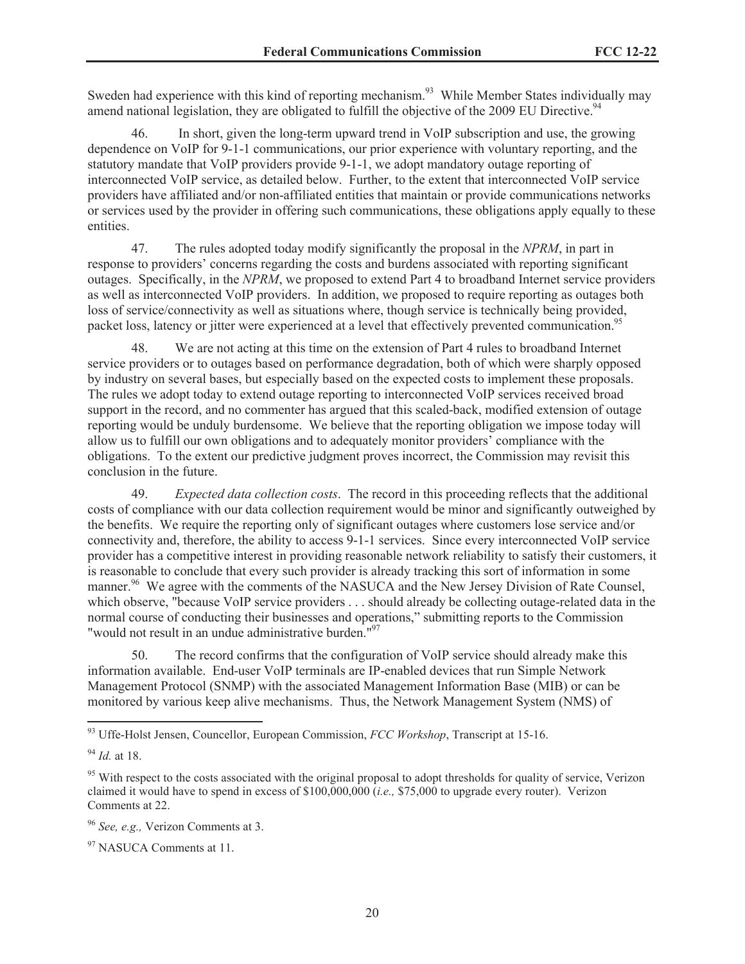Sweden had experience with this kind of reporting mechanism.<sup>93</sup> While Member States individually may amend national legislation, they are obligated to fulfill the objective of the 2009 EU Directive.<sup>94</sup>

46. In short, given the long-term upward trend in VoIP subscription and use, the growing dependence on VoIP for 9-1-1 communications, our prior experience with voluntary reporting, and the statutory mandate that VoIP providers provide 9-1-1, we adopt mandatory outage reporting of interconnected VoIP service, as detailed below. Further, to the extent that interconnected VoIP service providers have affiliated and/or non-affiliated entities that maintain or provide communications networks or services used by the provider in offering such communications, these obligations apply equally to these entities.

47. The rules adopted today modify significantly the proposal in the *NPRM*, in part in response to providers' concerns regarding the costs and burdens associated with reporting significant outages. Specifically, in the *NPRM*, we proposed to extend Part 4 to broadband Internet service providers as well as interconnected VoIP providers. In addition, we proposed to require reporting as outages both loss of service/connectivity as well as situations where, though service is technically being provided, packet loss, latency or jitter were experienced at a level that effectively prevented communication.<sup>95</sup>

48. We are not acting at this time on the extension of Part 4 rules to broadband Internet service providers or to outages based on performance degradation, both of which were sharply opposed by industry on several bases, but especially based on the expected costs to implement these proposals. The rules we adopt today to extend outage reporting to interconnected VoIP services received broad support in the record, and no commenter has argued that this scaled-back, modified extension of outage reporting would be unduly burdensome. We believe that the reporting obligation we impose today will allow us to fulfill our own obligations and to adequately monitor providers' compliance with the obligations. To the extent our predictive judgment proves incorrect, the Commission may revisit this conclusion in the future.

49. *Expected data collection costs*. The record in this proceeding reflects that the additional costs of compliance with our data collection requirement would be minor and significantly outweighed by the benefits. We require the reporting only of significant outages where customers lose service and/or connectivity and, therefore, the ability to access 9-1-1 services. Since every interconnected VoIP service provider has a competitive interest in providing reasonable network reliability to satisfy their customers, it is reasonable to conclude that every such provider is already tracking this sort of information in some manner.<sup>96</sup> We agree with the comments of the NASUCA and the New Jersey Division of Rate Counsel, which observe, "because VoIP service providers . . . should already be collecting outage-related data in the normal course of conducting their businesses and operations," submitting reports to the Commission "would not result in an undue administrative burden."<sup>97</sup>

50. The record confirms that the configuration of VoIP service should already make this information available. End-user VoIP terminals are IP-enabled devices that run Simple Network Management Protocol (SNMP) with the associated Management Information Base (MIB) or can be monitored by various keep alive mechanisms. Thus, the Network Management System (NMS) of

<sup>93</sup> Uffe-Holst Jensen, Councellor, European Commission, *FCC Workshop*, Transcript at 15-16.

<sup>94</sup> *Id.* at 18.

<sup>&</sup>lt;sup>95</sup> With respect to the costs associated with the original proposal to adopt thresholds for quality of service, Verizon claimed it would have to spend in excess of \$100,000,000 (*i.e.,* \$75,000 to upgrade every router). Verizon Comments at 22.

<sup>96</sup> *See, e.g.,* Verizon Comments at 3.

<sup>&</sup>lt;sup>97</sup> NASUCA Comments at 11.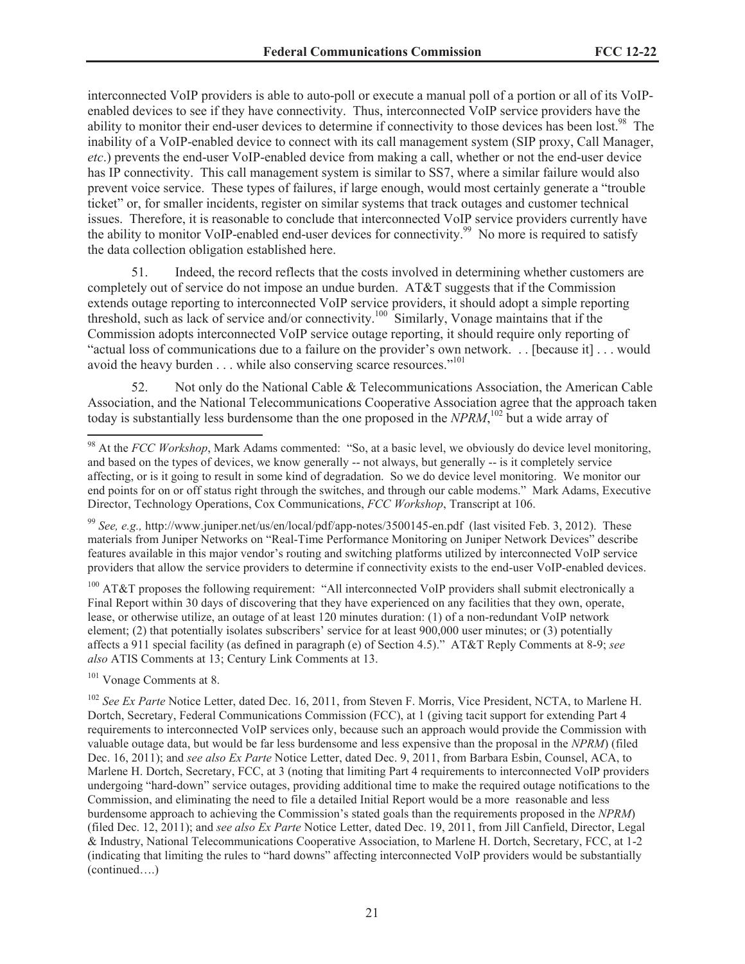interconnected VoIP providers is able to auto-poll or execute a manual poll of a portion or all of its VoIPenabled devices to see if they have connectivity. Thus, interconnected VoIP service providers have the ability to monitor their end-user devices to determine if connectivity to those devices has been lost.<sup>98</sup> The inability of a VoIP-enabled device to connect with its call management system (SIP proxy, Call Manager, *etc*.) prevents the end-user VoIP-enabled device from making a call, whether or not the end-user device has IP connectivity. This call management system is similar to SS7, where a similar failure would also prevent voice service. These types of failures, if large enough, would most certainly generate a "trouble ticket" or, for smaller incidents, register on similar systems that track outages and customer technical issues. Therefore, it is reasonable to conclude that interconnected VoIP service providers currently have the ability to monitor VoIP-enabled end-user devices for connectivity.<sup>99</sup> No more is required to satisfy the data collection obligation established here.

51. Indeed, the record reflects that the costs involved in determining whether customers are completely out of service do not impose an undue burden. AT&T suggests that if the Commission extends outage reporting to interconnected VoIP service providers, it should adopt a simple reporting threshold, such as lack of service and/or connectivity.<sup>100</sup> Similarly, Vonage maintains that if the Commission adopts interconnected VoIP service outage reporting, it should require only reporting of "actual loss of communications due to a failure on the provider's own network. . . [because it] . . . would avoid the heavy burden . . . while also conserving scarce resources."<sup>101</sup>

52. Not only do the National Cable & Telecommunications Association, the American Cable Association, and the National Telecommunications Cooperative Association agree that the approach taken today is substantially less burdensome than the one proposed in the *NPRM*, <sup>102</sup> but a wide array of

<sup>100</sup> AT&T proposes the following requirement: "All interconnected VoIP providers shall submit electronically a Final Report within 30 days of discovering that they have experienced on any facilities that they own, operate, lease, or otherwise utilize, an outage of at least 120 minutes duration: (1) of a non-redundant VoIP network element; (2) that potentially isolates subscribers' service for at least 900,000 user minutes; or (3) potentially affects a 911 special facility (as defined in paragraph (e) of Section 4.5)." AT&T Reply Comments at 8-9; *see also* ATIS Comments at 13; Century Link Comments at 13.

<sup>101</sup> Vonage Comments at 8.

<sup>&</sup>lt;sup>98</sup> At the *FCC Workshop*, Mark Adams commented: "So, at a basic level, we obviously do device level monitoring, and based on the types of devices, we know generally -- not always, but generally -- is it completely service affecting, or is it going to result in some kind of degradation. So we do device level monitoring. We monitor our end points for on or off status right through the switches, and through our cable modems." Mark Adams, Executive Director, Technology Operations, Cox Communications, *FCC Workshop*, Transcript at 106.

<sup>99</sup> *See, e.g.,* http://www.juniper.net/us/en/local/pdf/app-notes/3500145-en.pdf (last visited Feb. 3, 2012). These materials from Juniper Networks on "Real-Time Performance Monitoring on Juniper Network Devices" describe features available in this major vendor's routing and switching platforms utilized by interconnected VoIP service providers that allow the service providers to determine if connectivity exists to the end-user VoIP-enabled devices.

<sup>&</sup>lt;sup>102</sup> *See Ex Parte* Notice Letter, dated Dec. 16, 2011, from Steven F. Morris, Vice President, NCTA, to Marlene H. Dortch, Secretary, Federal Communications Commission (FCC), at 1 (giving tacit support for extending Part 4 requirements to interconnected VoIP services only, because such an approach would provide the Commission with valuable outage data, but would be far less burdensome and less expensive than the proposal in the *NPRM*) (filed Dec. 16, 2011); and *see also Ex Parte* Notice Letter, dated Dec. 9, 2011, from Barbara Esbin, Counsel, ACA, to Marlene H. Dortch, Secretary, FCC, at 3 (noting that limiting Part 4 requirements to interconnected VoIP providers undergoing "hard-down" service outages, providing additional time to make the required outage notifications to the Commission, and eliminating the need to file a detailed Initial Report would be a more reasonable and less burdensome approach to achieving the Commission's stated goals than the requirements proposed in the *NPRM*) (filed Dec. 12, 2011); and *see also Ex Parte* Notice Letter, dated Dec. 19, 2011, from Jill Canfield, Director, Legal & Industry, National Telecommunications Cooperative Association, to Marlene H. Dortch, Secretary, FCC, at 1-2 (indicating that limiting the rules to "hard downs" affecting interconnected VoIP providers would be substantially (continued….)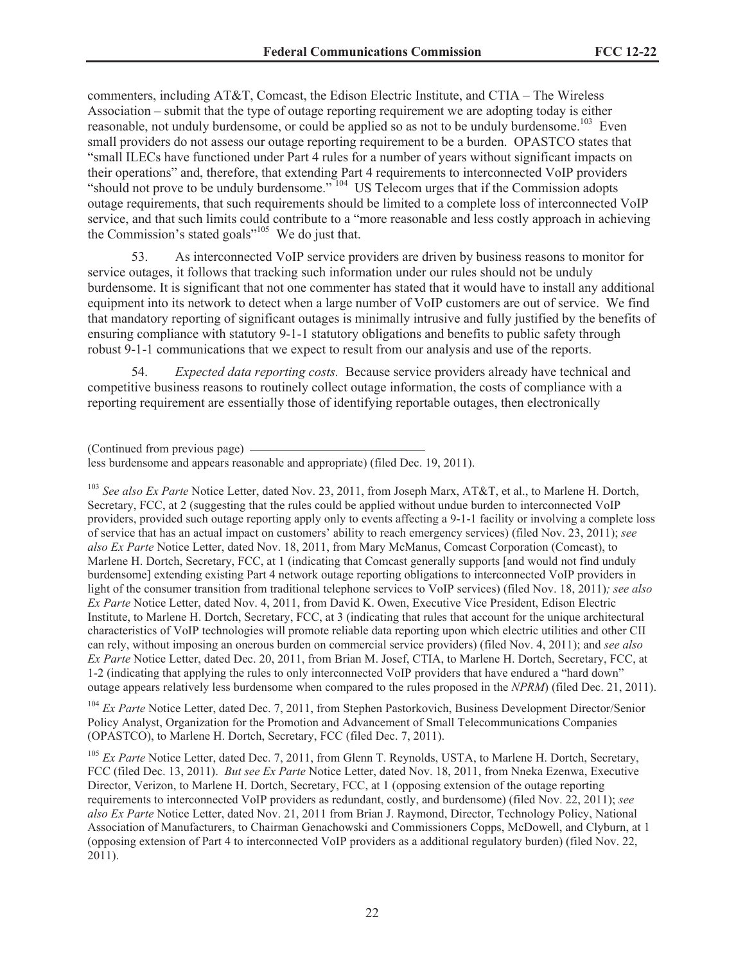commenters, including AT&T, Comcast, the Edison Electric Institute, and CTIA – The Wireless Association – submit that the type of outage reporting requirement we are adopting today is either reasonable, not unduly burdensome, or could be applied so as not to be unduly burdensome.<sup>103</sup> Even small providers do not assess our outage reporting requirement to be a burden. OPASTCO states that "small ILECs have functioned under Part 4 rules for a number of years without significant impacts on their operations" and, therefore, that extending Part 4 requirements to interconnected VoIP providers "should not prove to be unduly burdensome."  $104$  US Telecom urges that if the Commission adopts outage requirements, that such requirements should be limited to a complete loss of interconnected VoIP service, and that such limits could contribute to a "more reasonable and less costly approach in achieving the Commission's stated goals $^{\prime\prime\prime\prime5}$  We do just that.

53. As interconnected VoIP service providers are driven by business reasons to monitor for service outages, it follows that tracking such information under our rules should not be unduly burdensome. It is significant that not one commenter has stated that it would have to install any additional equipment into its network to detect when a large number of VoIP customers are out of service. We find that mandatory reporting of significant outages is minimally intrusive and fully justified by the benefits of ensuring compliance with statutory 9-1-1 statutory obligations and benefits to public safety through robust 9-1-1 communications that we expect to result from our analysis and use of the reports.

54. *Expected data reporting costs.* Because service providers already have technical and competitive business reasons to routinely collect outage information, the costs of compliance with a reporting requirement are essentially those of identifying reportable outages, then electronically

<sup>103</sup> See also Ex Parte Notice Letter, dated Nov. 23, 2011, from Joseph Marx, AT&T, et al., to Marlene H. Dortch, Secretary, FCC, at 2 (suggesting that the rules could be applied without undue burden to interconnected VoIP providers, provided such outage reporting apply only to events affecting a 9-1-1 facility or involving a complete loss of service that has an actual impact on customers' ability to reach emergency services) (filed Nov. 23, 2011); *see also Ex Parte* Notice Letter, dated Nov. 18, 2011, from Mary McManus, Comcast Corporation (Comcast), to Marlene H. Dortch, Secretary, FCC, at 1 (indicating that Comcast generally supports [and would not find unduly burdensome] extending existing Part 4 network outage reporting obligations to interconnected VoIP providers in light of the consumer transition from traditional telephone services to VoIP services) (filed Nov. 18, 2011)*; see also Ex Parte* Notice Letter, dated Nov. 4, 2011, from David K. Owen, Executive Vice President, Edison Electric Institute, to Marlene H. Dortch, Secretary, FCC, at 3 (indicating that rules that account for the unique architectural characteristics of VoIP technologies will promote reliable data reporting upon which electric utilities and other CII can rely, without imposing an onerous burden on commercial service providers) (filed Nov. 4, 2011); and *see also Ex Parte* Notice Letter, dated Dec. 20, 2011, from Brian M. Josef, CTIA, to Marlene H. Dortch, Secretary, FCC, at 1-2 (indicating that applying the rules to only interconnected VoIP providers that have endured a "hard down" outage appears relatively less burdensome when compared to the rules proposed in the *NPRM*) (filed Dec. 21, 2011).

<sup>104</sup> *Ex Parte* Notice Letter, dated Dec. 7, 2011, from Stephen Pastorkovich, Business Development Director/Senior Policy Analyst, Organization for the Promotion and Advancement of Small Telecommunications Companies (OPASTCO), to Marlene H. Dortch, Secretary, FCC (filed Dec. 7, 2011).

<sup>105</sup> *Ex Parte* Notice Letter, dated Dec. 7, 2011, from Glenn T. Reynolds, USTA, to Marlene H. Dortch, Secretary, FCC (filed Dec. 13, 2011). *But see Ex Parte* Notice Letter, dated Nov. 18, 2011, from Nneka Ezenwa, Executive Director, Verizon, to Marlene H. Dortch, Secretary, FCC, at 1 (opposing extension of the outage reporting requirements to interconnected VoIP providers as redundant, costly, and burdensome) (filed Nov. 22, 2011); *see also Ex Parte* Notice Letter, dated Nov. 21, 2011 from Brian J. Raymond, Director, Technology Policy, National Association of Manufacturers, to Chairman Genachowski and Commissioners Copps, McDowell, and Clyburn, at 1 (opposing extension of Part 4 to interconnected VoIP providers as a additional regulatory burden) (filed Nov. 22, 2011).

<sup>(</sup>Continued from previous page)

less burdensome and appears reasonable and appropriate) (filed Dec. 19, 2011).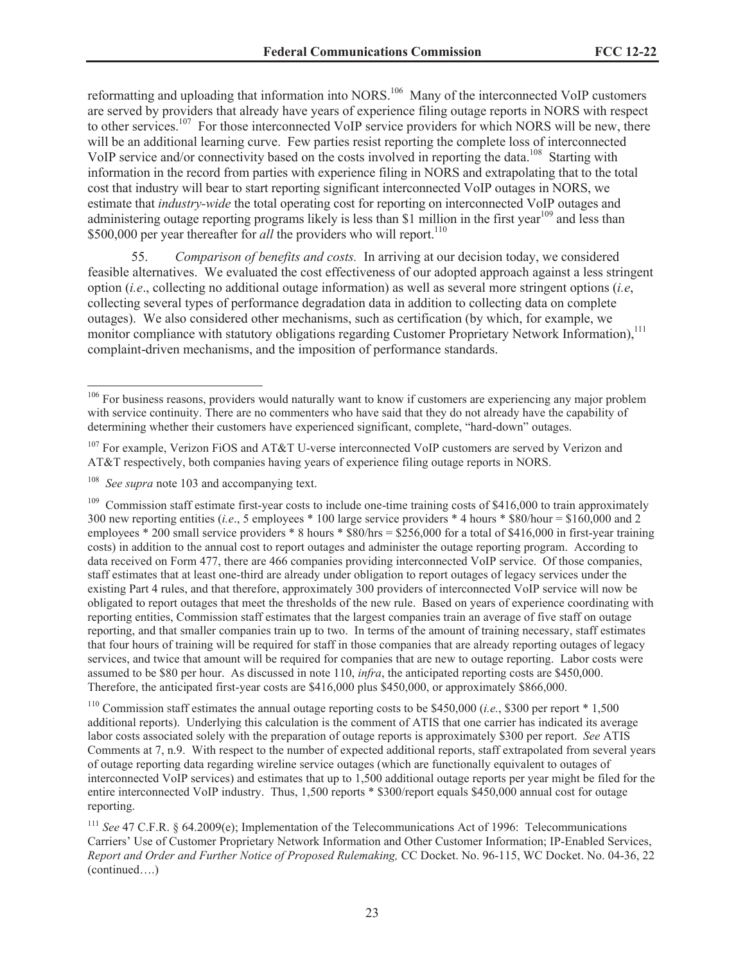reformatting and uploading that information into NORS.<sup>106</sup> Many of the interconnected VoIP customers are served by providers that already have years of experience filing outage reports in NORS with respect to other services.<sup>107</sup> For those interconnected VoIP service providers for which NORS will be new, there will be an additional learning curve. Few parties resist reporting the complete loss of interconnected VoIP service and/or connectivity based on the costs involved in reporting the data.<sup>108</sup> Starting with information in the record from parties with experience filing in NORS and extrapolating that to the total cost that industry will bear to start reporting significant interconnected VoIP outages in NORS, we estimate that *industry-wide* the total operating cost for reporting on interconnected VoIP outages and administering outage reporting programs likely is less than \$1 million in the first year<sup>109</sup> and less than \$500,000 per year thereafter for *all* the providers who will report.<sup>110</sup>

55. *Comparison of benefits and costs.* In arriving at our decision today, we considered feasible alternatives. We evaluated the cost effectiveness of our adopted approach against a less stringent option (*i.e*., collecting no additional outage information) as well as several more stringent options (*i.e*, collecting several types of performance degradation data in addition to collecting data on complete outages). We also considered other mechanisms, such as certification (by which, for example, we monitor compliance with statutory obligations regarding Customer Proprietary Network Information),<sup>111</sup> complaint-driven mechanisms, and the imposition of performance standards.

<sup>&</sup>lt;sup>106</sup> For business reasons, providers would naturally want to know if customers are experiencing any major problem with service continuity. There are no commenters who have said that they do not already have the capability of determining whether their customers have experienced significant, complete, "hard-down" outages.

<sup>&</sup>lt;sup>107</sup> For example, Verizon FiOS and AT&T U-verse interconnected VoIP customers are served by Verizon and AT&T respectively, both companies having years of experience filing outage reports in NORS.

See supra note 103 and accompanying text.

 $109$  Commission staff estimate first-year costs to include one-time training costs of \$416,000 to train approximately 300 new reporting entities (*i.e*., 5 employees \* 100 large service providers \* 4 hours \* \$80/hour = \$160,000 and 2 employees \* 200 small service providers \* 8 hours \* \$80/hrs = \$256,000 for a total of \$416,000 in first-year training costs) in addition to the annual cost to report outages and administer the outage reporting program. According to data received on Form 477, there are 466 companies providing interconnected VoIP service. Of those companies, staff estimates that at least one-third are already under obligation to report outages of legacy services under the existing Part 4 rules, and that therefore, approximately 300 providers of interconnected VoIP service will now be obligated to report outages that meet the thresholds of the new rule. Based on years of experience coordinating with reporting entities, Commission staff estimates that the largest companies train an average of five staff on outage reporting, and that smaller companies train up to two. In terms of the amount of training necessary, staff estimates that four hours of training will be required for staff in those companies that are already reporting outages of legacy services, and twice that amount will be required for companies that are new to outage reporting. Labor costs were assumed to be \$80 per hour. As discussed in note 110, *infra*, the anticipated reporting costs are \$450,000. Therefore, the anticipated first-year costs are \$416,000 plus \$450,000, or approximately \$866,000.

<sup>110</sup> Commission staff estimates the annual outage reporting costs to be \$450,000 (*i.e.*, \$300 per report \* 1,500 additional reports). Underlying this calculation is the comment of ATIS that one carrier has indicated its average labor costs associated solely with the preparation of outage reports is approximately \$300 per report. *See* ATIS Comments at 7, n.9. With respect to the number of expected additional reports, staff extrapolated from several years of outage reporting data regarding wireline service outages (which are functionally equivalent to outages of interconnected VoIP services) and estimates that up to 1,500 additional outage reports per year might be filed for the entire interconnected VoIP industry. Thus, 1,500 reports \* \$300/report equals \$450,000 annual cost for outage reporting.

<sup>111</sup> *See* 47 C.F.R. § 64.2009(e); Implementation of the Telecommunications Act of 1996: Telecommunications Carriers' Use of Customer Proprietary Network Information and Other Customer Information; IP-Enabled Services, *Report and Order and Further Notice of Proposed Rulemaking,* CC Docket. No. 96-115, WC Docket. No. 04-36, 22 (continued….)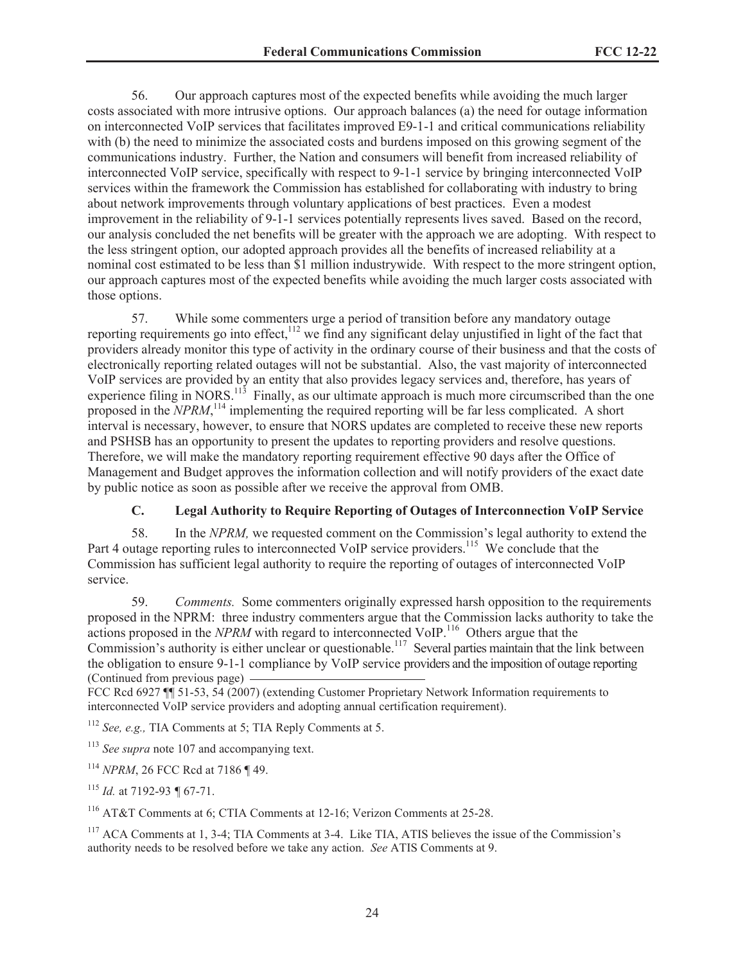56. Our approach captures most of the expected benefits while avoiding the much larger costs associated with more intrusive options. Our approach balances (a) the need for outage information on interconnected VoIP services that facilitates improved E9-1-1 and critical communications reliability with (b) the need to minimize the associated costs and burdens imposed on this growing segment of the communications industry. Further, the Nation and consumers will benefit from increased reliability of interconnected VoIP service, specifically with respect to 9-1-1 service by bringing interconnected VoIP services within the framework the Commission has established for collaborating with industry to bring about network improvements through voluntary applications of best practices. Even a modest improvement in the reliability of 9-1-1 services potentially represents lives saved. Based on the record, our analysis concluded the net benefits will be greater with the approach we are adopting. With respect to the less stringent option, our adopted approach provides all the benefits of increased reliability at a nominal cost estimated to be less than \$1 million industrywide. With respect to the more stringent option, our approach captures most of the expected benefits while avoiding the much larger costs associated with those options.

57. While some commenters urge a period of transition before any mandatory outage reporting requirements go into effect,<sup>112</sup> we find any significant delay unjustified in light of the fact that providers already monitor this type of activity in the ordinary course of their business and that the costs of electronically reporting related outages will not be substantial. Also, the vast majority of interconnected VoIP services are provided by an entity that also provides legacy services and, therefore, has years of experience filing in NORS.<sup>113</sup> Finally, as our ultimate approach is much more circumscribed than the one proposed in the *NPRM*,<sup>114</sup> implementing the required reporting will be far less complicated. A short interval is necessary, however, to ensure that NORS updates are completed to receive these new reports and PSHSB has an opportunity to present the updates to reporting providers and resolve questions. Therefore, we will make the mandatory reporting requirement effective 90 days after the Office of Management and Budget approves the information collection and will notify providers of the exact date by public notice as soon as possible after we receive the approval from OMB.

# **C. Legal Authority to Require Reporting of Outages of Interconnection VoIP Service**

58. In the *NPRM,* we requested comment on the Commission's legal authority to extend the Part 4 outage reporting rules to interconnected VoIP service providers.<sup>115</sup> We conclude that the Commission has sufficient legal authority to require the reporting of outages of interconnected VoIP service.

59. *Comments.* Some commenters originally expressed harsh opposition to the requirements proposed in the NPRM: three industry commenters argue that the Commission lacks authority to take the actions proposed in the *NPRM* with regard to interconnected VoIP.<sup>116</sup> Others argue that the Commission's authority is either unclear or questionable.<sup>117</sup> Several parties maintain that the link between the obligation to ensure 9-1-1 compliance by VoIP service providers and the imposition of outage reporting (Continued from previous page)

FCC Rcd 6927 ¶ 51-53, 54 (2007) (extending Customer Proprietary Network Information requirements to interconnected VoIP service providers and adopting annual certification requirement).

<sup>112</sup> *See, e.g.,* TIA Comments at 5; TIA Reply Comments at 5.

<sup>113</sup> *See supra* note 107 and accompanying text.

<sup>114</sup> *NPRM*, 26 FCC Rcd at 7186 ¶ 49.

<sup>115</sup> *Id.* at 7192-93 *¶* 67-71.

<sup>116</sup> AT&T Comments at 6; CTIA Comments at 12-16; Verizon Comments at 25-28.

<sup>117</sup> ACA Comments at 1, 3-4; TIA Comments at 3-4. Like TIA, ATIS believes the issue of the Commission's authority needs to be resolved before we take any action. *See* ATIS Comments at 9.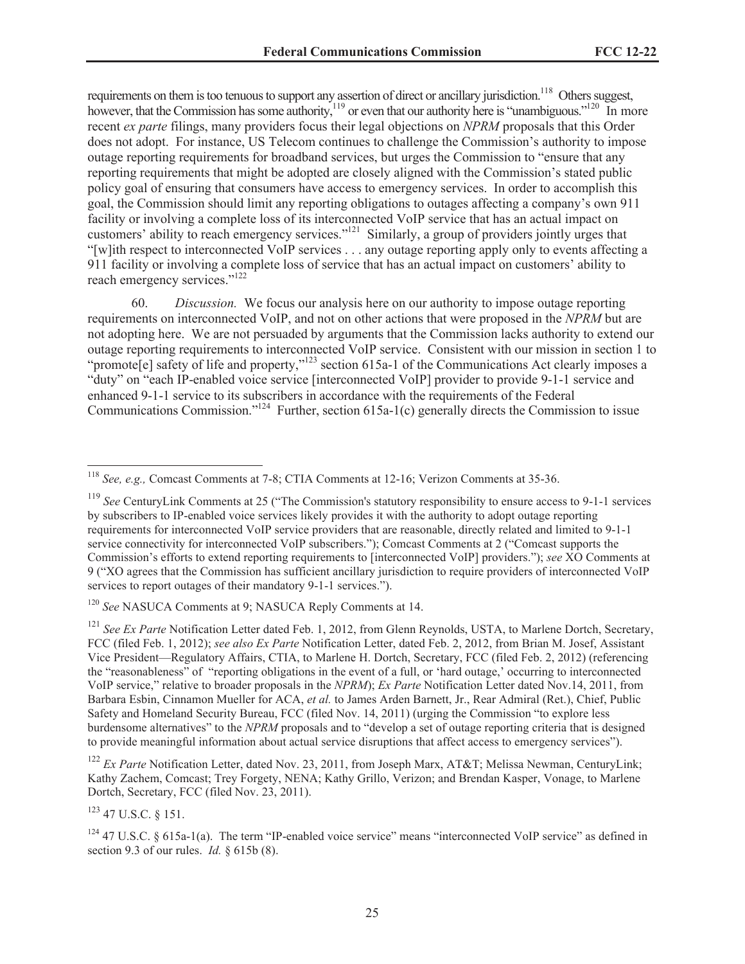requirements on them is too tenuous to support any assertion of direct or ancillary jurisdiction.<sup>118</sup> Others suggest, however, that the Commission has some authority,<sup>119</sup> or even that our authority here is "unambiguous."<sup>120</sup> In more recent *ex parte* filings, many providers focus their legal objections on *NPRM* proposals that this Order does not adopt. For instance, US Telecom continues to challenge the Commission's authority to impose outage reporting requirements for broadband services, but urges the Commission to "ensure that any reporting requirements that might be adopted are closely aligned with the Commission's stated public policy goal of ensuring that consumers have access to emergency services. In order to accomplish this goal, the Commission should limit any reporting obligations to outages affecting a company's own 911 facility or involving a complete loss of its interconnected VoIP service that has an actual impact on customers' ability to reach emergency services."<sup>121</sup> Similarly, a group of providers jointly urges that "[w]ith respect to interconnected VoIP services . . . any outage reporting apply only to events affecting a 911 facility or involving a complete loss of service that has an actual impact on customers' ability to reach emergency services."<sup>122</sup>

60. *Discussion.* We focus our analysis here on our authority to impose outage reporting requirements on interconnected VoIP, and not on other actions that were proposed in the *NPRM* but are not adopting here. We are not persuaded by arguments that the Commission lacks authority to extend our outage reporting requirements to interconnected VoIP service. Consistent with our mission in section 1 to "promote[e] safety of life and property,"<sup>123</sup> section 615a-1 of the Communications Act clearly imposes a "duty" on "each IP-enabled voice service [interconnected VoIP] provider to provide 9-1-1 service and enhanced 9-1-1 service to its subscribers in accordance with the requirements of the Federal Communications Commission."<sup>124</sup> Further, section 615a-1(c) generally directs the Commission to issue

<sup>123</sup> 47 U.S.C. § 151.

<sup>118</sup> *See, e.g.,* Comcast Comments at 7-8; CTIA Comments at 12-16; Verizon Comments at 35-36.

<sup>119</sup> *See* CenturyLink Comments at 25 ("The Commission's statutory responsibility to ensure access to 9-1-1 services by subscribers to IP-enabled voice services likely provides it with the authority to adopt outage reporting requirements for interconnected VoIP service providers that are reasonable, directly related and limited to 9-1-1 service connectivity for interconnected VoIP subscribers."); Comcast Comments at 2 ("Comcast supports the Commission's efforts to extend reporting requirements to [interconnected VoIP] providers."); *see* XO Comments at 9 ("XO agrees that the Commission has sufficient ancillary jurisdiction to require providers of interconnected VoIP services to report outages of their mandatory 9-1-1 services.").

<sup>120</sup> *See* NASUCA Comments at 9; NASUCA Reply Comments at 14.

<sup>&</sup>lt;sup>121</sup> *See Ex Parte* Notification Letter dated Feb. 1, 2012, from Glenn Reynolds, USTA, to Marlene Dortch, Secretary, FCC (filed Feb. 1, 2012); *see also Ex Parte* Notification Letter, dated Feb. 2, 2012, from Brian M. Josef, Assistant Vice President—Regulatory Affairs, CTIA, to Marlene H. Dortch, Secretary, FCC (filed Feb. 2, 2012) (referencing the "reasonableness" of "reporting obligations in the event of a full, or 'hard outage,' occurring to interconnected VoIP service," relative to broader proposals in the *NPRM*); *Ex Parte* Notification Letter dated Nov.14, 2011, from Barbara Esbin, Cinnamon Mueller for ACA, *et al.* to James Arden Barnett, Jr., Rear Admiral (Ret.), Chief, Public Safety and Homeland Security Bureau, FCC (filed Nov. 14, 2011) (urging the Commission "to explore less burdensome alternatives" to the *NPRM* proposals and to "develop a set of outage reporting criteria that is designed to provide meaningful information about actual service disruptions that affect access to emergency services").

<sup>&</sup>lt;sup>122</sup> *Ex Parte* Notification Letter, dated Nov. 23, 2011, from Joseph Marx, AT&T; Melissa Newman, CenturyLink; Kathy Zachem, Comcast; Trey Forgety, NENA; Kathy Grillo, Verizon; and Brendan Kasper, Vonage, to Marlene Dortch, Secretary, FCC (filed Nov. 23, 2011).

 $124$  47 U.S.C. § 615a-1(a). The term "IP-enabled voice service" means "interconnected VoIP service" as defined in section 9.3 of our rules. *Id.* § 615b (8).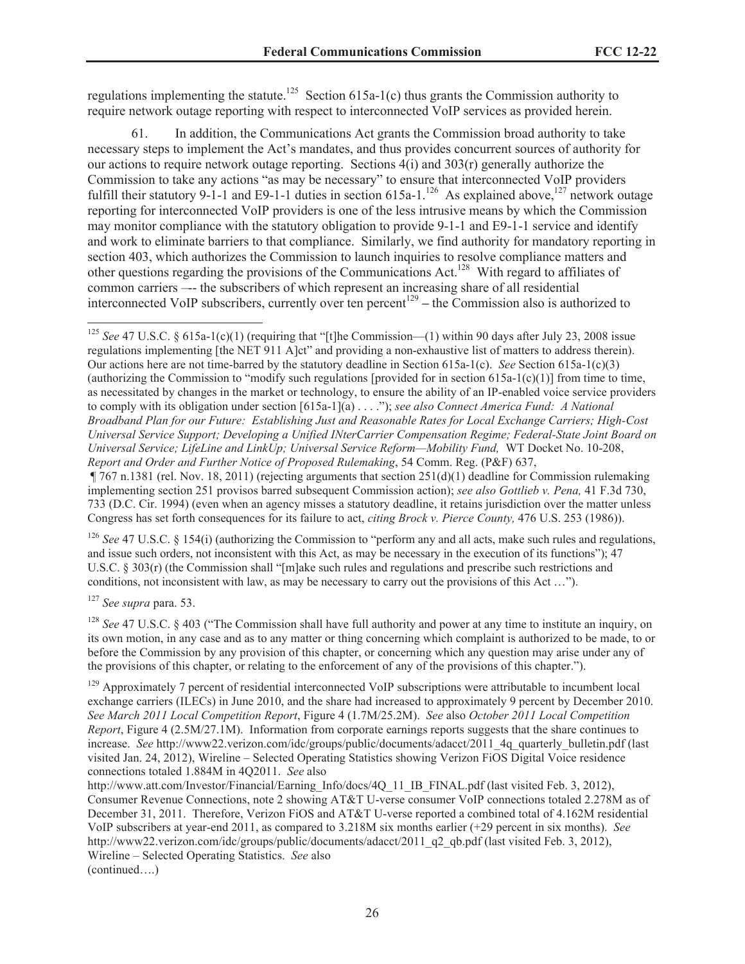regulations implementing the statute.<sup>125</sup> Section 615a-1(c) thus grants the Commission authority to require network outage reporting with respect to interconnected VoIP services as provided herein.

61. In addition, the Communications Act grants the Commission broad authority to take necessary steps to implement the Act's mandates, and thus provides concurrent sources of authority for our actions to require network outage reporting. Sections  $4(i)$  and  $303(r)$  generally authorize the Commission to take any actions "as may be necessary" to ensure that interconnected VoIP providers fulfill their statutory 9-1-1 and E9-1-1 duties in section 615a-1.<sup>126</sup> As explained above,<sup>127</sup> network outage reporting for interconnected VoIP providers is one of the less intrusive means by which the Commission may monitor compliance with the statutory obligation to provide 9-1-1 and E9-1-1 service and identify and work to eliminate barriers to that compliance. Similarly, we find authority for mandatory reporting in section 403, which authorizes the Commission to launch inquiries to resolve compliance matters and other questions regarding the provisions of the Communications Act.<sup>128</sup> With regard to affiliates of common carriers –-- the subscribers of which represent an increasing share of all residential interconnected VoIP subscribers, currently over ten percent<sup>129</sup> – the Commission also is authorized to

<sup>125</sup> *See* 47 U.S.C. § 615a-1(c)(1) (requiring that "[t]he Commission—(1) within 90 days after July 23, 2008 issue regulations implementing [the NET 911 A]ct" and providing a non-exhaustive list of matters to address therein). Our actions here are not time-barred by the statutory deadline in Section 615a-1(c). *See* Section 615a-1(c)(3) (authorizing the Commission to "modify such regulations [provided for in section  $615a-1(c)(1)$ ] from time to time, as necessitated by changes in the market or technology, to ensure the ability of an IP-enabled voice service providers to comply with its obligation under section [615a-1](a) . . . ."); *see also Connect America Fund: A National Broadband Plan for our Future: Establishing Just and Reasonable Rates for Local Exchange Carriers; High-Cost Universal Service Support; Developing a Unified INterCarrier Compensation Regime; Federal-State Joint Board on Universal Service; LifeLine and LinkUp; Universal Service Reform—Mobility Fund,* WT Docket No. 10-208, *Report and Order and Further Notice of Proposed Rulemaking*, 54 Comm. Reg. (P&F) 637,

¶ 767 n.1381 (rel. Nov. 18, 2011) (rejecting arguments that section 251(d)(1) deadline for Commission rulemaking implementing section 251 provisos barred subsequent Commission action); *see also Gottlieb v. Pena,* 41 F.3d 730, 733 (D.C. Cir. 1994) (even when an agency misses a statutory deadline, it retains jurisdiction over the matter unless Congress has set forth consequences for its failure to act, *citing Brock v. Pierce County,* 476 U.S. 253 (1986)).

<sup>126</sup> *See* 47 U.S.C. § 154(i) (authorizing the Commission to "perform any and all acts, make such rules and regulations, and issue such orders, not inconsistent with this Act, as may be necessary in the execution of its functions"); 47 U.S.C. § 303(r) (the Commission shall "[m]ake such rules and regulations and prescribe such restrictions and conditions, not inconsistent with law, as may be necessary to carry out the provisions of this Act …").

<sup>127</sup> *See supra* para. 53.

<sup>128</sup> *See* 47 U.S.C. § 403 ("The Commission shall have full authority and power at any time to institute an inquiry, on its own motion, in any case and as to any matter or thing concerning which complaint is authorized to be made, to or before the Commission by any provision of this chapter, or concerning which any question may arise under any of the provisions of this chapter, or relating to the enforcement of any of the provisions of this chapter.").

 $129$  Approximately 7 percent of residential interconnected VoIP subscriptions were attributable to incumbent local exchange carriers (ILECs) in June 2010, and the share had increased to approximately 9 percent by December 2010. *See March 2011 Local Competition Report*, Figure 4 (1.7M/25.2M). *See* also *October 2011 Local Competition Report*, Figure 4 (2.5M/27.1M). Information from corporate earnings reports suggests that the share continues to increase. *See* http://www22.verizon.com/idc/groups/public/documents/adacct/2011\_4q\_quarterly\_bulletin.pdf (last visited Jan. 24, 2012), Wireline – Selected Operating Statistics showing Verizon FiOS Digital Voice residence connections totaled 1.884M in 4Q2011. *See* also

http://www.att.com/Investor/Financial/Earning\_Info/docs/4Q\_11\_IB\_FINAL.pdf (last visited Feb. 3, 2012), Consumer Revenue Connections, note 2 showing AT&T U-verse consumer VoIP connections totaled 2.278M as of December 31, 2011. Therefore, Verizon FiOS and AT&T U-verse reported a combined total of 4.162M residential VoIP subscribers at year-end 2011, as compared to 3.218M six months earlier (+29 percent in six months). *See* http://www22.verizon.com/idc/groups/public/documents/adacct/2011\_q2\_qb.pdf (last visited Feb. 3, 2012), Wireline – Selected Operating Statistics. *See* also (continued….)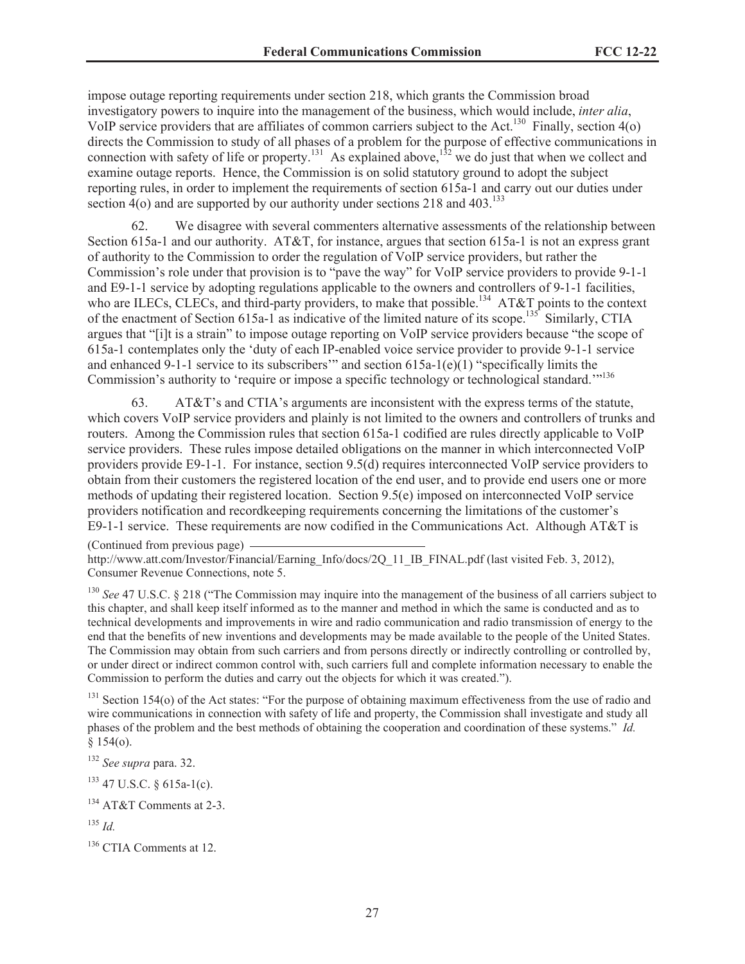impose outage reporting requirements under section 218, which grants the Commission broad investigatory powers to inquire into the management of the business, which would include, *inter alia*, VoIP service providers that are affiliates of common carriers subject to the Act.<sup>130</sup> Finally, section 4(o) directs the Commission to study of all phases of a problem for the purpose of effective communications in connection with safety of life or property.<sup>131</sup> As explained above,<sup>132</sup> we do just that when we collect and examine outage reports. Hence, the Commission is on solid statutory ground to adopt the subject reporting rules, in order to implement the requirements of section 615a-1 and carry out our duties under section  $4$ (o) and are supported by our authority under sections 218 and  $403$ .<sup>133</sup>

62. We disagree with several commenters alternative assessments of the relationship between Section 615a-1 and our authority. AT&T, for instance, argues that section 615a-1 is not an express grant of authority to the Commission to order the regulation of VoIP service providers, but rather the Commission's role under that provision is to "pave the way" for VoIP service providers to provide 9-1-1 and E9-1-1 service by adopting regulations applicable to the owners and controllers of 9-1-1 facilities, who are ILECs, CLECs, and third-party providers, to make that possible.<sup>134</sup> AT&T points to the context of the enactment of Section 615a-1 as indicative of the limited nature of its scope.<sup>135</sup> Similarly, CTIA argues that "[i]t is a strain" to impose outage reporting on VoIP service providers because "the scope of 615a-1 contemplates only the 'duty of each IP-enabled voice service provider to provide 9-1-1 service and enhanced 9-1-1 service to its subscribers" and section  $615a-1(e)(1)$  "specifically limits the Commission's authority to 'require or impose a specific technology or technological standard."<sup>136</sup>

63. AT&T's and CTIA's arguments are inconsistent with the express terms of the statute, which covers VoIP service providers and plainly is not limited to the owners and controllers of trunks and routers. Among the Commission rules that section 615a-1 codified are rules directly applicable to VoIP service providers. These rules impose detailed obligations on the manner in which interconnected VoIP providers provide E9-1-1. For instance, section 9.5(d) requires interconnected VoIP service providers to obtain from their customers the registered location of the end user, and to provide end users one or more methods of updating their registered location. Section 9.5(e) imposed on interconnected VoIP service providers notification and recordkeeping requirements concerning the limitations of the customer's E9-1-1 service. These requirements are now codified in the Communications Act. Although AT&T is

(Continued from previous page)

http://www.att.com/Investor/Financial/Earning\_Info/docs/2Q\_11\_IB\_FINAL.pdf (last visited Feb. 3, 2012), Consumer Revenue Connections, note 5.

<sup>130</sup> See 47 U.S.C. § 218 ("The Commission may inquire into the management of the business of all carriers subject to this chapter, and shall keep itself informed as to the manner and method in which the same is conducted and as to technical developments and improvements in wire and radio communication and radio transmission of energy to the end that the benefits of new inventions and developments may be made available to the people of the United States. The Commission may obtain from such carriers and from persons directly or indirectly controlling or controlled by, or under direct or indirect common control with, such carriers full and complete information necessary to enable the Commission to perform the duties and carry out the objects for which it was created.").

<sup>131</sup> Section 154(o) of the Act states: "For the purpose of obtaining maximum effectiveness from the use of radio and wire communications in connection with safety of life and property, the Commission shall investigate and study all phases of the problem and the best methods of obtaining the cooperation and coordination of these systems." *Id.*  $§ 154(0).$ 

<sup>132</sup> *See supra* para. 32.

<sup>133</sup> 47 U.S.C. § 615a-1(c).

<sup>134</sup> AT&T Comments at 2-3.

<sup>135</sup> *Id.*

<sup>136</sup> CTIA Comments at 12.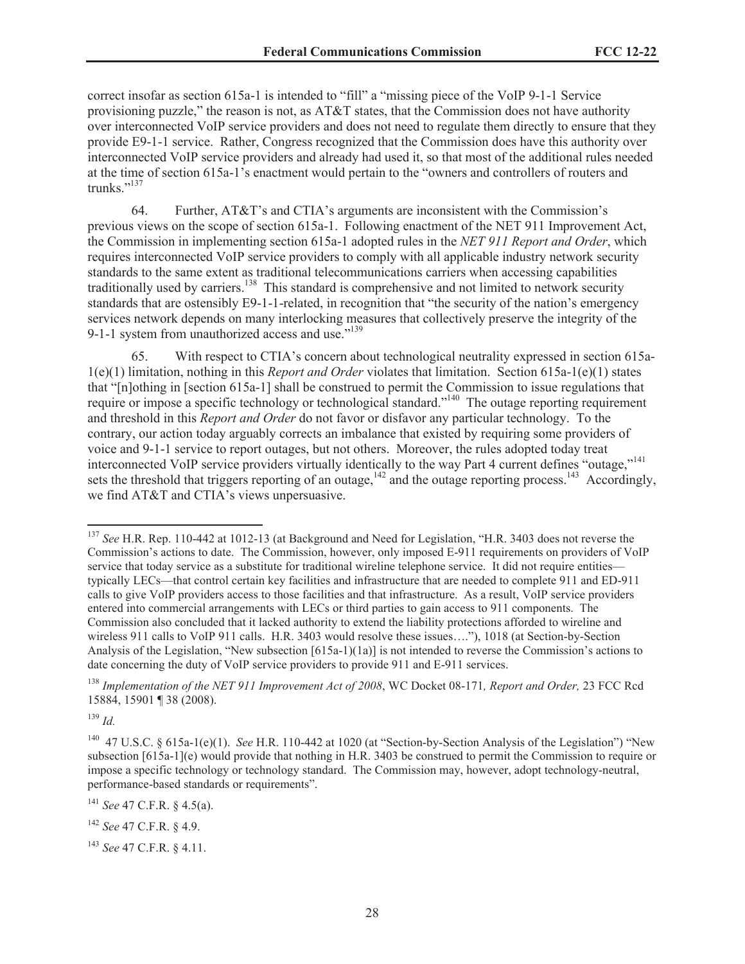correct insofar as section 615a-1 is intended to "fill" a "missing piece of the VoIP 9-1-1 Service provisioning puzzle," the reason is not, as  $AT&T$  states, that the Commission does not have authority over interconnected VoIP service providers and does not need to regulate them directly to ensure that they provide E9-1-1 service. Rather, Congress recognized that the Commission does have this authority over interconnected VoIP service providers and already had used it, so that most of the additional rules needed at the time of section 615a-1's enactment would pertain to the "owners and controllers of routers and trunks."<sup>137</sup>

64. Further, AT&T's and CTIA's arguments are inconsistent with the Commission's previous views on the scope of section 615a-1. Following enactment of the NET 911 Improvement Act, the Commission in implementing section 615a-1 adopted rules in the *NET 911 Report and Order*, which requires interconnected VoIP service providers to comply with all applicable industry network security standards to the same extent as traditional telecommunications carriers when accessing capabilities traditionally used by carriers.<sup>138</sup> This standard is comprehensive and not limited to network security standards that are ostensibly E9-1-1-related, in recognition that "the security of the nation's emergency services network depends on many interlocking measures that collectively preserve the integrity of the 9-1-1 system from unauthorized access and use."<sup>139</sup>

65. With respect to CTIA's concern about technological neutrality expressed in section 615a-1(e)(1) limitation, nothing in this *Report and Order* violates that limitation. Section 615a-1(e)(1) states that "[n]othing in [section 615a-1] shall be construed to permit the Commission to issue regulations that require or impose a specific technology or technological standard."<sup>140</sup> The outage reporting requirement and threshold in this *Report and Order* do not favor or disfavor any particular technology. To the contrary, our action today arguably corrects an imbalance that existed by requiring some providers of voice and 9-1-1 service to report outages, but not others. Moreover, the rules adopted today treat interconnected VoIP service providers virtually identically to the way Part 4 current defines "outage,"<sup>141</sup> sets the threshold that triggers reporting of an outage, $142$  and the outage reporting process.<sup>143</sup> Accordingly, we find AT&T and CTIA's views unpersuasive.

<sup>139</sup> *Id.*

<sup>137</sup> *See* H.R. Rep. 110-442 at 1012-13 (at Background and Need for Legislation, "H.R. 3403 does not reverse the Commission's actions to date. The Commission, however, only imposed E-911 requirements on providers of VoIP service that today service as a substitute for traditional wireline telephone service. It did not require entities typically LECs—that control certain key facilities and infrastructure that are needed to complete 911 and ED-911 calls to give VoIP providers access to those facilities and that infrastructure. As a result, VoIP service providers entered into commercial arrangements with LECs or third parties to gain access to 911 components. The Commission also concluded that it lacked authority to extend the liability protections afforded to wireline and wireless 911 calls to VoIP 911 calls. H.R. 3403 would resolve these issues...."), 1018 (at Section-by-Section Analysis of the Legislation, "New subsection [615a-1)(1a)] is not intended to reverse the Commission's actions to date concerning the duty of VoIP service providers to provide 911 and E-911 services.

<sup>138</sup> *Implementation of the NET 911 Improvement Act of 2008*, WC Docket 08-171*, Report and Order,* 23 FCC Rcd 15884, 15901 ¶ 38 (2008).

<sup>140</sup> 47 U.S.C. § 615a-1(e)(1). *See* H.R. 110-442 at 1020 (at "Section-by-Section Analysis of the Legislation") "New subsection [615a-1](e) would provide that nothing in H.R. 3403 be construed to permit the Commission to require or impose a specific technology or technology standard. The Commission may, however, adopt technology-neutral, performance-based standards or requirements".

<sup>141</sup> *See* 47 C.F.R. § 4.5(a).

<sup>142</sup> *See* 47 C.F.R. § 4.9.

<sup>143</sup> *See* 47 C.F.R. § 4.11.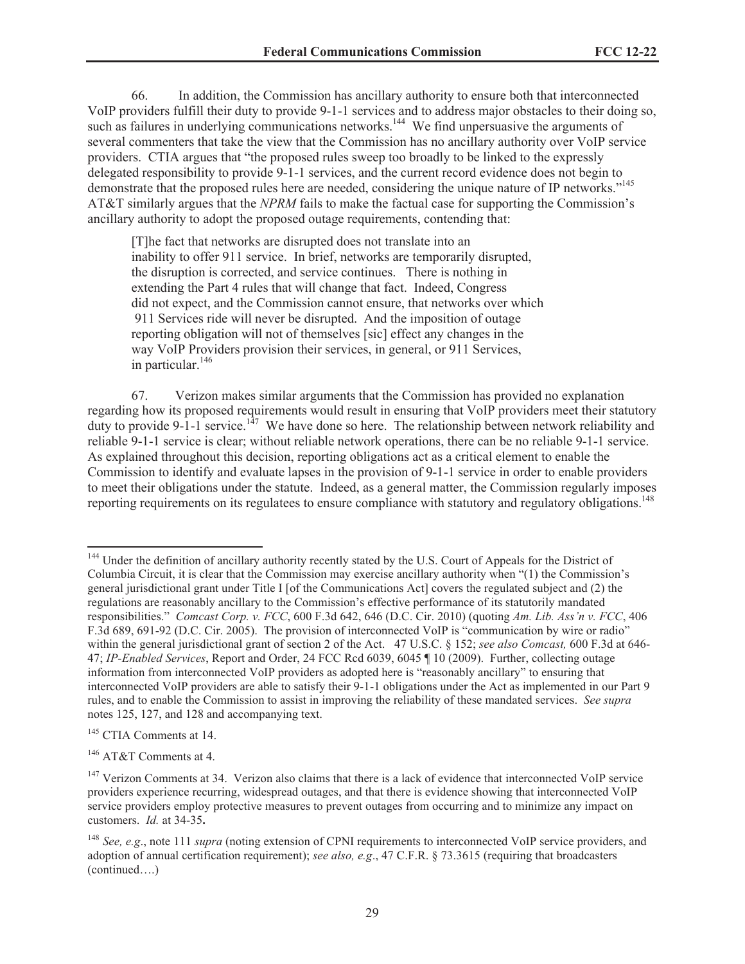66. In addition, the Commission has ancillary authority to ensure both that interconnected VoIP providers fulfill their duty to provide 9-1-1 services and to address major obstacles to their doing so, such as failures in underlying communications networks.<sup>144</sup> We find unpersuasive the arguments of several commenters that take the view that the Commission has no ancillary authority over VoIP service providers. CTIA argues that "the proposed rules sweep too broadly to be linked to the expressly delegated responsibility to provide 9-1-1 services, and the current record evidence does not begin to demonstrate that the proposed rules here are needed, considering the unique nature of IP networks."<sup>145</sup> AT&T similarly argues that the *NPRM* fails to make the factual case for supporting the Commission's ancillary authority to adopt the proposed outage requirements, contending that:

[T]he fact that networks are disrupted does not translate into an inability to offer 911 service. In brief, networks are temporarily disrupted, the disruption is corrected, and service continues. There is nothing in extending the Part 4 rules that will change that fact. Indeed, Congress did not expect, and the Commission cannot ensure, that networks over which 911 Services ride will never be disrupted. And the imposition of outage reporting obligation will not of themselves [sic] effect any changes in the way VoIP Providers provision their services, in general, or 911 Services, in particular.<sup>146</sup>

67. Verizon makes similar arguments that the Commission has provided no explanation regarding how its proposed requirements would result in ensuring that VoIP providers meet their statutory duty to provide 9-1-1 service.<sup>147</sup> We have done so here. The relationship between network reliability and reliable 9-1-1 service is clear; without reliable network operations, there can be no reliable 9-1-1 service. As explained throughout this decision, reporting obligations act as a critical element to enable the Commission to identify and evaluate lapses in the provision of 9-1-1 service in order to enable providers to meet their obligations under the statute. Indeed, as a general matter, the Commission regularly imposes reporting requirements on its regulatees to ensure compliance with statutory and regulatory obligations.<sup>148</sup>

<sup>&</sup>lt;sup>144</sup> Under the definition of ancillary authority recently stated by the U.S. Court of Appeals for the District of Columbia Circuit, it is clear that the Commission may exercise ancillary authority when "(1) the Commission's general jurisdictional grant under Title I [of the Communications Act] covers the regulated subject and (2) the regulations are reasonably ancillary to the Commission's effective performance of its statutorily mandated responsibilities." *Comcast Corp. v. FCC*, 600 F.3d 642, 646 (D.C. Cir. 2010) (quoting *Am. Lib. Ass'n v. FCC*, 406 F.3d 689, 691-92 (D.C. Cir. 2005). The provision of interconnected VoIP is "communication by wire or radio" within the general jurisdictional grant of section 2 of the Act. 47 U.S.C. § 152; *see also Comcast,* 600 F.3d at 646- 47; *IP-Enabled Services*, Report and Order, 24 FCC Rcd 6039, 6045 ¶ 10 (2009). Further, collecting outage information from interconnected VoIP providers as adopted here is "reasonably ancillary" to ensuring that interconnected VoIP providers are able to satisfy their 9-1-1 obligations under the Act as implemented in our Part 9 rules, and to enable the Commission to assist in improving the reliability of these mandated services. *See supra*  notes 125, 127, and 128 and accompanying text.

<sup>&</sup>lt;sup>145</sup> CTIA Comments at 14.

<sup>146</sup> AT&T Comments at 4.

<sup>&</sup>lt;sup>147</sup> Verizon Comments at 34. Verizon also claims that there is a lack of evidence that interconnected VoIP service providers experience recurring, widespread outages, and that there is evidence showing that interconnected VoIP service providers employ protective measures to prevent outages from occurring and to minimize any impact on customers. *Id.* at 34-35**.**

<sup>148</sup> *See, e.g*., note 111 *supra* (noting extension of CPNI requirements to interconnected VoIP service providers, and adoption of annual certification requirement); *see also, e.g*., 47 C.F.R. § 73.3615 (requiring that broadcasters (continued….)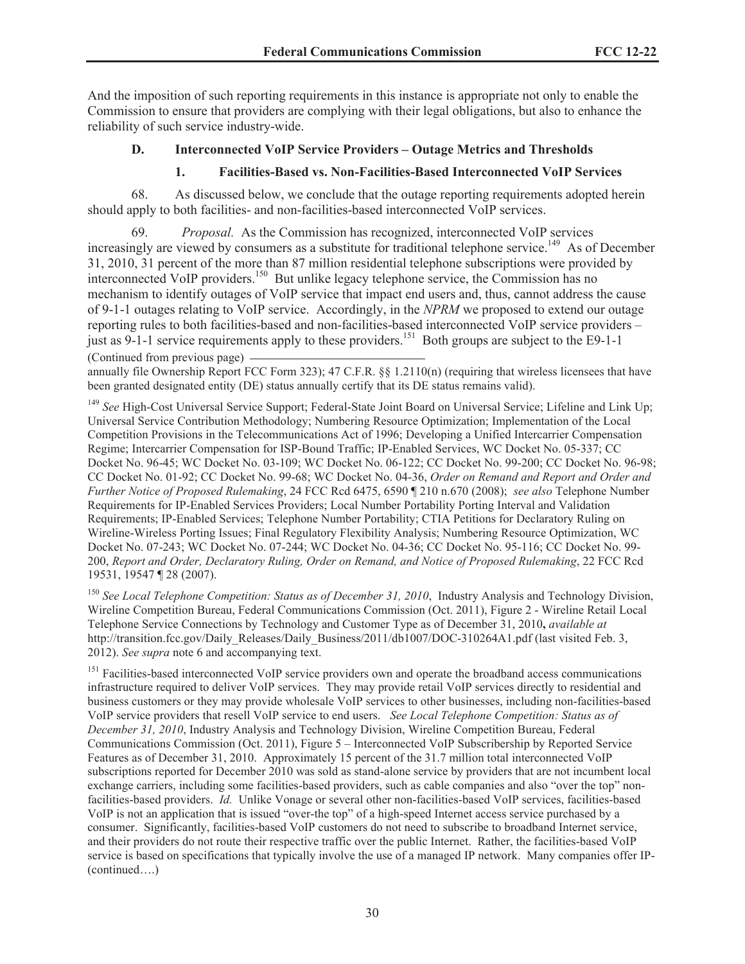And the imposition of such reporting requirements in this instance is appropriate not only to enable the Commission to ensure that providers are complying with their legal obligations, but also to enhance the reliability of such service industry-wide.

# **D. Interconnected VoIP Service Providers – Outage Metrics and Thresholds**

# **1. Facilities-Based vs. Non-Facilities-Based Interconnected VoIP Services**

68. As discussed below, we conclude that the outage reporting requirements adopted herein should apply to both facilities- and non-facilities-based interconnected VoIP services.

69. *Proposal.* As the Commission has recognized, interconnected VoIP services increasingly are viewed by consumers as a substitute for traditional telephone service.<sup>149</sup> As of December 31, 2010, 31 percent of the more than 87 million residential telephone subscriptions were provided by interconnected VoIP providers.<sup>150</sup> But unlike legacy telephone service, the Commission has no mechanism to identify outages of VoIP service that impact end users and, thus, cannot address the cause of 9-1-1 outages relating to VoIP service. Accordingly, in the *NPRM* we proposed to extend our outage reporting rules to both facilities-based and non-facilities-based interconnected VoIP service providers – just as 9-1-1 service requirements apply to these providers.<sup>151</sup> Both groups are subject to the E9-1-1 (Continued from previous page)

annually file Ownership Report FCC Form 323); 47 C.F.R. §§ 1.2110(n) (requiring that wireless licensees that have been granted designated entity (DE) status annually certify that its DE status remains valid).

<sup>149</sup> *See* High-Cost Universal Service Support; Federal-State Joint Board on Universal Service; Lifeline and Link Up; Universal Service Contribution Methodology; Numbering Resource Optimization; Implementation of the Local Competition Provisions in the Telecommunications Act of 1996; Developing a Unified Intercarrier Compensation Regime; Intercarrier Compensation for ISP-Bound Traffic; IP-Enabled Services, WC Docket No. 05-337; CC Docket No. 96-45; WC Docket No. 03-109; WC Docket No. 06-122; CC Docket No. 99-200; CC Docket No. 96-98; CC Docket No. 01-92; CC Docket No. 99-68; WC Docket No. 04-36, *Order on Remand and Report and Order and Further Notice of Proposed Rulemaking*, 24 FCC Rcd 6475, 6590 ¶ 210 n.670 (2008); *see also* Telephone Number Requirements for IP-Enabled Services Providers; Local Number Portability Porting Interval and Validation Requirements; IP-Enabled Services; Telephone Number Portability; CTIA Petitions for Declaratory Ruling on Wireline-Wireless Porting Issues; Final Regulatory Flexibility Analysis; Numbering Resource Optimization, WC Docket No. 07-243; WC Docket No. 07-244; WC Docket No. 04-36; CC Docket No. 95-116; CC Docket No. 99- 200, *Report and Order, Declaratory Ruling, Order on Remand, and Notice of Proposed Rulemaking*, 22 FCC Rcd 19531, 19547 ¶ 28 (2007).

<sup>150</sup> See Local Telephone Competition: Status as of December 31, 2010, Industry Analysis and Technology Division, Wireline Competition Bureau, Federal Communications Commission (Oct. 2011), Figure 2 - Wireline Retail Local Telephone Service Connections by Technology and Customer Type as of December 31, 2010**,** *available at* http://transition.fcc.gov/Daily\_Releases/Daily\_Business/2011/db1007/DOC-310264A1.pdf (last visited Feb. 3, 2012). *See supra* note 6 and accompanying text.

<sup>151</sup> Facilities-based interconnected VoIP service providers own and operate the broadband access communications infrastructure required to deliver VoIP services. They may provide retail VoIP services directly to residential and business customers or they may provide wholesale VoIP services to other businesses, including non-facilities-based VoIP service providers that resell VoIP service to end users. *See Local Telephone Competition: Status as of December 31, 2010*, Industry Analysis and Technology Division, Wireline Competition Bureau, Federal Communications Commission (Oct. 2011), Figure 5 – Interconnected VoIP Subscribership by Reported Service Features as of December 31, 2010. Approximately 15 percent of the 31.7 million total interconnected VoIP subscriptions reported for December 2010 was sold as stand-alone service by providers that are not incumbent local exchange carriers, including some facilities-based providers, such as cable companies and also "over the top" nonfacilities-based providers. *Id.* Unlike Vonage or several other non-facilities-based VoIP services, facilities-based VoIP is not an application that is issued "over-the top" of a high-speed Internet access service purchased by a consumer. Significantly, facilities-based VoIP customers do not need to subscribe to broadband Internet service, and their providers do not route their respective traffic over the public Internet. Rather, the facilities-based VoIP service is based on specifications that typically involve the use of a managed IP network. Many companies offer IP- (continued….)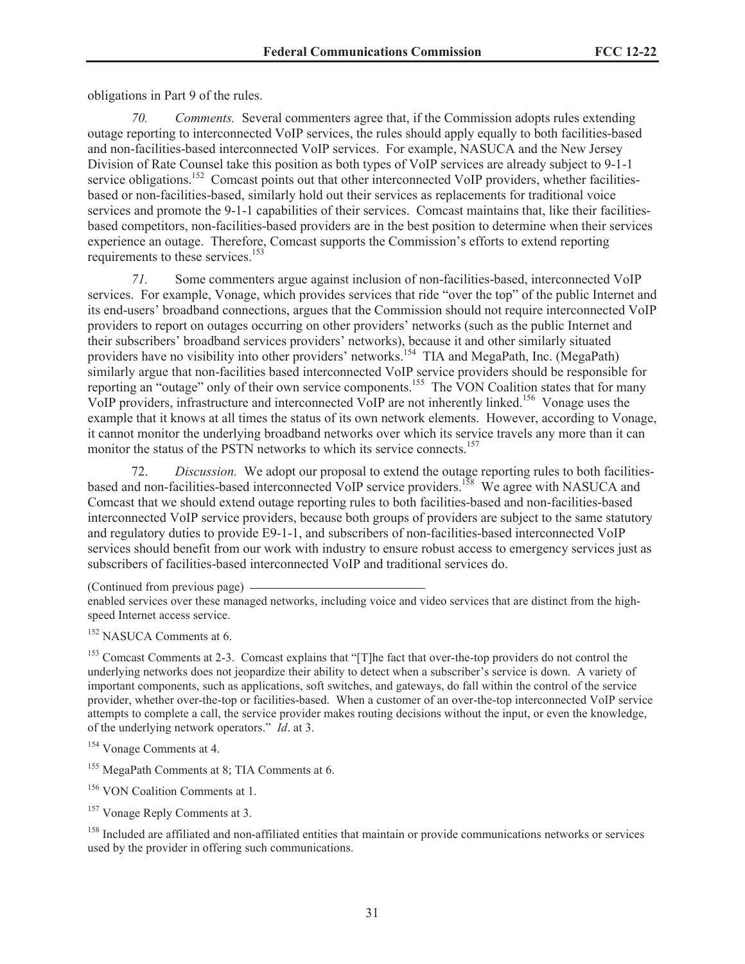obligations in Part 9 of the rules.

*70. Comments.* Several commenters agree that, if the Commission adopts rules extending outage reporting to interconnected VoIP services, the rules should apply equally to both facilities-based and non-facilities-based interconnected VoIP services. For example, NASUCA and the New Jersey Division of Rate Counsel take this position as both types of VoIP services are already subject to 9-1-1 service obligations.<sup>152</sup> Comcast points out that other interconnected VoIP providers, whether facilitiesbased or non-facilities-based, similarly hold out their services as replacements for traditional voice services and promote the 9-1-1 capabilities of their services. Comcast maintains that, like their facilitiesbased competitors, non-facilities-based providers are in the best position to determine when their services experience an outage. Therefore, Comcast supports the Commission's efforts to extend reporting requirements to these services.<sup>153</sup>

*71.* Some commenters argue against inclusion of non-facilities-based, interconnected VoIP services. For example, Vonage, which provides services that ride "over the top" of the public Internet and its end-users' broadband connections, argues that the Commission should not require interconnected VoIP providers to report on outages occurring on other providers' networks (such as the public Internet and their subscribers' broadband services providers' networks), because it and other similarly situated providers have no visibility into other providers' networks.<sup>154</sup> TIA and MegaPath, Inc. (MegaPath) similarly argue that non-facilities based interconnected VoIP service providers should be responsible for reporting an "outage" only of their own service components.<sup>155</sup> The VON Coalition states that for many VoIP providers, infrastructure and interconnected VoIP are not inherently linked.<sup>156</sup> Vonage uses the example that it knows at all times the status of its own network elements. However, according to Vonage, it cannot monitor the underlying broadband networks over which its service travels any more than it can monitor the status of the PSTN networks to which its service connects.<sup>157</sup>

72. *Discussion.* We adopt our proposal to extend the outage reporting rules to both facilitiesbased and non-facilities-based interconnected VoIP service providers.<sup>158</sup> We agree with NASUCA and Comcast that we should extend outage reporting rules to both facilities-based and non-facilities-based interconnected VoIP service providers, because both groups of providers are subject to the same statutory and regulatory duties to provide E9-1-1, and subscribers of non-facilities-based interconnected VoIP services should benefit from our work with industry to ensure robust access to emergency services just as subscribers of facilities-based interconnected VoIP and traditional services do.

<sup>152</sup> NASUCA Comments at 6.

<sup>153</sup> Comcast Comments at 2-3. Comcast explains that "[T]he fact that over-the-top providers do not control the underlying networks does not jeopardize their ability to detect when a subscriber's service is down. A variety of important components, such as applications, soft switches, and gateways, do fall within the control of the service provider, whether over-the-top or facilities-based. When a customer of an over-the-top interconnected VoIP service attempts to complete a call, the service provider makes routing decisions without the input, or even the knowledge, of the underlying network operators." *Id*. at 3.

<sup>158</sup> Included are affiliated and non-affiliated entities that maintain or provide communications networks or services used by the provider in offering such communications.

<sup>(</sup>Continued from previous page)

enabled services over these managed networks, including voice and video services that are distinct from the highspeed Internet access service.

<sup>154</sup> Vonage Comments at 4.

<sup>&</sup>lt;sup>155</sup> MegaPath Comments at 8; TIA Comments at 6.

<sup>156</sup> VON Coalition Comments at 1.

<sup>&</sup>lt;sup>157</sup> Vonage Reply Comments at 3.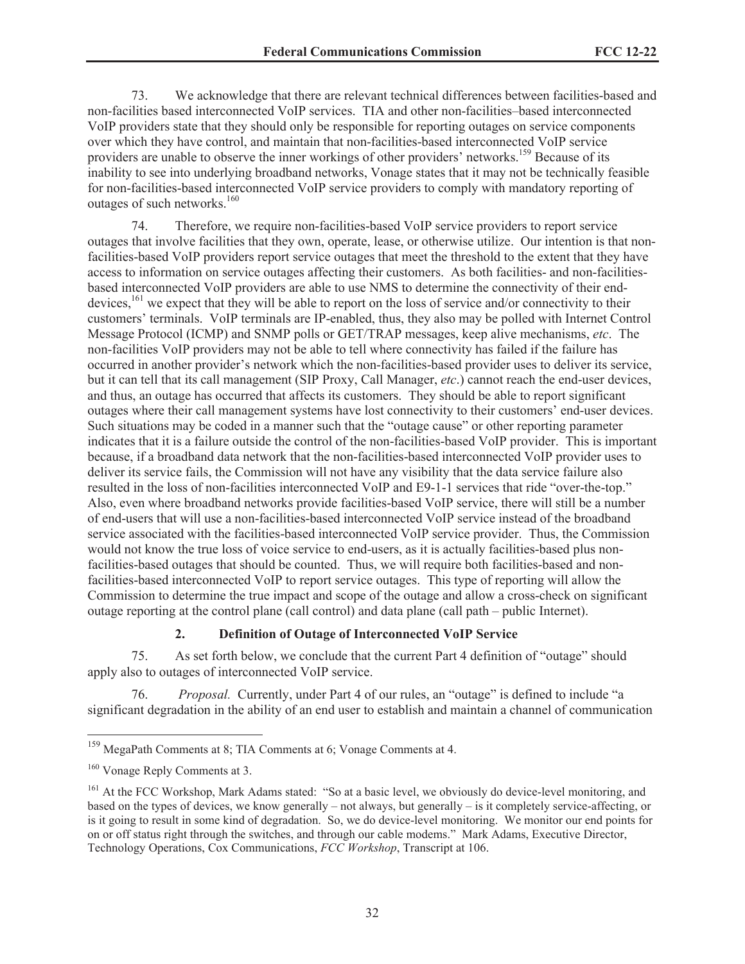73. We acknowledge that there are relevant technical differences between facilities-based and non-facilities based interconnected VoIP services. TIA and other non-facilities–based interconnected VoIP providers state that they should only be responsible for reporting outages on service components over which they have control, and maintain that non-facilities-based interconnected VoIP service providers are unable to observe the inner workings of other providers' networks.<sup>159</sup> Because of its inability to see into underlying broadband networks, Vonage states that it may not be technically feasible for non-facilities-based interconnected VoIP service providers to comply with mandatory reporting of outages of such networks.<sup>160</sup>

74. Therefore, we require non-facilities-based VoIP service providers to report service outages that involve facilities that they own, operate, lease, or otherwise utilize. Our intention is that nonfacilities-based VoIP providers report service outages that meet the threshold to the extent that they have access to information on service outages affecting their customers. As both facilities- and non-facilitiesbased interconnected VoIP providers are able to use NMS to determine the connectivity of their enddevices,<sup>161</sup> we expect that they will be able to report on the loss of service and/or connectivity to their customers' terminals. VoIP terminals are IP-enabled, thus, they also may be polled with Internet Control Message Protocol (ICMP) and SNMP polls or GET/TRAP messages, keep alive mechanisms, *etc*. The non-facilities VoIP providers may not be able to tell where connectivity has failed if the failure has occurred in another provider's network which the non-facilities-based provider uses to deliver its service, but it can tell that its call management (SIP Proxy, Call Manager, *etc*.) cannot reach the end-user devices, and thus, an outage has occurred that affects its customers. They should be able to report significant outages where their call management systems have lost connectivity to their customers' end-user devices. Such situations may be coded in a manner such that the "outage cause" or other reporting parameter indicates that it is a failure outside the control of the non-facilities-based VoIP provider. This is important because, if a broadband data network that the non-facilities-based interconnected VoIP provider uses to deliver its service fails, the Commission will not have any visibility that the data service failure also resulted in the loss of non-facilities interconnected VoIP and E9-1-1 services that ride "over-the-top." Also, even where broadband networks provide facilities-based VoIP service, there will still be a number of end-users that will use a non-facilities-based interconnected VoIP service instead of the broadband service associated with the facilities-based interconnected VoIP service provider. Thus, the Commission would not know the true loss of voice service to end-users, as it is actually facilities-based plus nonfacilities-based outages that should be counted. Thus, we will require both facilities-based and nonfacilities-based interconnected VoIP to report service outages. This type of reporting will allow the Commission to determine the true impact and scope of the outage and allow a cross-check on significant outage reporting at the control plane (call control) and data plane (call path – public Internet).

## **2. Definition of Outage of Interconnected VoIP Service**

75. As set forth below, we conclude that the current Part 4 definition of "outage" should apply also to outages of interconnected VoIP service.

76. *Proposal.* Currently, under Part 4 of our rules, an "outage" is defined to include "a significant degradation in the ability of an end user to establish and maintain a channel of communication

<sup>159</sup> MegaPath Comments at 8; TIA Comments at 6; Vonage Comments at 4.

<sup>160</sup> Vonage Reply Comments at 3.

<sup>&</sup>lt;sup>161</sup> At the FCC Workshop, Mark Adams stated: "So at a basic level, we obviously do device-level monitoring, and based on the types of devices, we know generally – not always, but generally – is it completely service-affecting, or is it going to result in some kind of degradation. So, we do device-level monitoring. We monitor our end points for on or off status right through the switches, and through our cable modems." Mark Adams, Executive Director, Technology Operations, Cox Communications, *FCC Workshop*, Transcript at 106.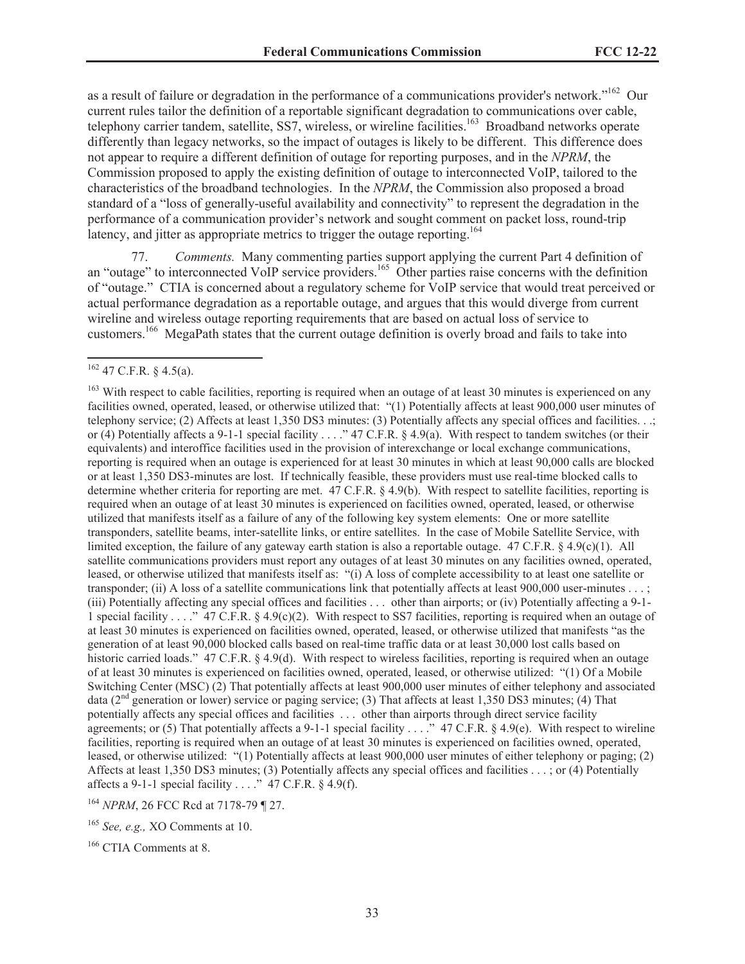as a result of failure or degradation in the performance of a communications provider's network."<sup>162</sup> Our current rules tailor the definition of a reportable significant degradation to communications over cable, telephony carrier tandem, satellite, SS7, wireless, or wireline facilities.<sup>163</sup> Broadband networks operate differently than legacy networks, so the impact of outages is likely to be different. This difference does not appear to require a different definition of outage for reporting purposes, and in the *NPRM*, the Commission proposed to apply the existing definition of outage to interconnected VoIP, tailored to the characteristics of the broadband technologies. In the *NPRM*, the Commission also proposed a broad standard of a "loss of generally-useful availability and connectivity" to represent the degradation in the performance of a communication provider's network and sought comment on packet loss, round-trip latency, and jitter as appropriate metrics to trigger the outage reporting.<sup>164</sup>

77. *Comments.* Many commenting parties support applying the current Part 4 definition of an "outage" to interconnected VoIP service providers.<sup>165</sup> Other parties raise concerns with the definition of "outage." CTIA is concerned about a regulatory scheme for VoIP service that would treat perceived or actual performance degradation as a reportable outage, and argues that this would diverge from current wireline and wireless outage reporting requirements that are based on actual loss of service to customers.<sup>166</sup> MegaPath states that the current outage definition is overly broad and fails to take into

 $162$  47 C.F.R. § 4.5(a).

<sup>&</sup>lt;sup>163</sup> With respect to cable facilities, reporting is required when an outage of at least 30 minutes is experienced on any facilities owned, operated, leased, or otherwise utilized that: "(1) Potentially affects at least 900,000 user minutes of telephony service; (2) Affects at least 1,350 DS3 minutes: (3) Potentially affects any special offices and facilities. . .; or (4) Potentially affects a 9-1-1 special facility . . . . "47 C.F.R. § 4.9(a). With respect to tandem switches (or their equivalents) and interoffice facilities used in the provision of interexchange or local exchange communications, reporting is required when an outage is experienced for at least 30 minutes in which at least 90,000 calls are blocked or at least 1,350 DS3-minutes are lost. If technically feasible, these providers must use real-time blocked calls to determine whether criteria for reporting are met. 47 C.F.R. § 4.9(b). With respect to satellite facilities, reporting is required when an outage of at least 30 minutes is experienced on facilities owned, operated, leased, or otherwise utilized that manifests itself as a failure of any of the following key system elements: One or more satellite transponders, satellite beams, inter-satellite links, or entire satellites. In the case of Mobile Satellite Service, with limited exception, the failure of any gateway earth station is also a reportable outage. 47 C.F.R. § 4.9(c)(1). All satellite communications providers must report any outages of at least 30 minutes on any facilities owned, operated, leased, or otherwise utilized that manifests itself as: "(i) A loss of complete accessibility to at least one satellite or transponder; (ii) A loss of a satellite communications link that potentially affects at least 900,000 user-minutes . . . ; (iii) Potentially affecting any special offices and facilities . . . other than airports; or (iv) Potentially affecting a 9-1- 1 special facility . . . ." 47 C.F.R. § 4.9(c)(2). With respect to SS7 facilities, reporting is required when an outage of at least 30 minutes is experienced on facilities owned, operated, leased, or otherwise utilized that manifests "as the generation of at least 90,000 blocked calls based on real-time traffic data or at least 30,000 lost calls based on historic carried loads." 47 C.F.R. § 4.9(d). With respect to wireless facilities, reporting is required when an outage of at least 30 minutes is experienced on facilities owned, operated, leased, or otherwise utilized: "(1) Of a Mobile Switching Center (MSC) (2) That potentially affects at least 900,000 user minutes of either telephony and associated data (2<sup>nd</sup> generation or lower) service or paging service; (3) That affects at least 1,350 DS3 minutes; (4) That potentially affects any special offices and facilities . . . other than airports through direct service facility agreements; or (5) That potentially affects a 9-1-1 special facility . . . . . " 47 C.F.R. § 4.9(e). With respect to wireline facilities, reporting is required when an outage of at least 30 minutes is experienced on facilities owned, operated, leased, or otherwise utilized: "(1) Potentially affects at least 900,000 user minutes of either telephony or paging; (2) Affects at least 1,350 DS3 minutes; (3) Potentially affects any special offices and facilities . . . ; or (4) Potentially affects a 9-1-1 special facility . . . ." 47 C.F.R.  $\S$  4.9(f).

<sup>164</sup> *NPRM*, 26 FCC Rcd at 7178-79 ¶ 27.

<sup>165</sup> *See, e.g.,* XO Comments at 10.

<sup>166</sup> CTIA Comments at 8.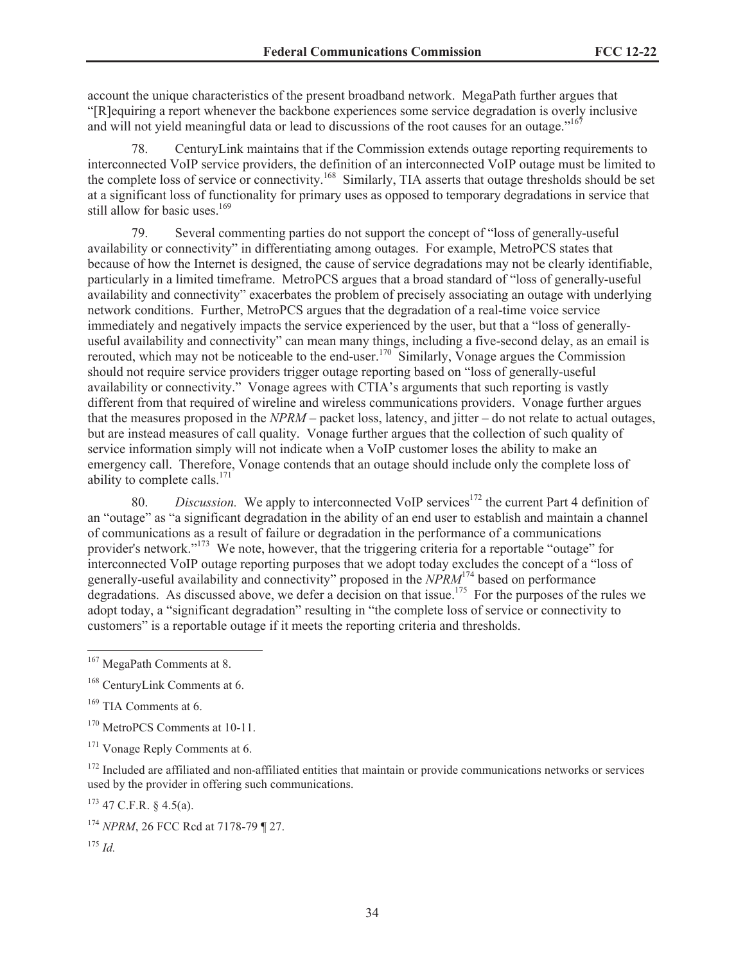account the unique characteristics of the present broadband network. MegaPath further argues that "[R]equiring a report whenever the backbone experiences some service degradation is overly inclusive and will not yield meaningful data or lead to discussions of the root causes for an outage."<sup>167</sup>

78. CenturyLink maintains that if the Commission extends outage reporting requirements to interconnected VoIP service providers, the definition of an interconnected VoIP outage must be limited to the complete loss of service or connectivity.<sup>168</sup> Similarly, TIA asserts that outage thresholds should be set at a significant loss of functionality for primary uses as opposed to temporary degradations in service that still allow for basic uses.<sup>169</sup>

79. Several commenting parties do not support the concept of "loss of generally-useful availability or connectivity" in differentiating among outages. For example, MetroPCS states that because of how the Internet is designed, the cause of service degradations may not be clearly identifiable, particularly in a limited timeframe. MetroPCS argues that a broad standard of "loss of generally-useful availability and connectivity" exacerbates the problem of precisely associating an outage with underlying network conditions. Further, MetroPCS argues that the degradation of a real-time voice service immediately and negatively impacts the service experienced by the user, but that a "loss of generallyuseful availability and connectivity" can mean many things, including a five-second delay, as an email is rerouted, which may not be noticeable to the end-user.<sup>170</sup> Similarly, Vonage argues the Commission should not require service providers trigger outage reporting based on "loss of generally-useful availability or connectivity." Vonage agrees with CTIA's arguments that such reporting is vastly different from that required of wireline and wireless communications providers. Vonage further argues that the measures proposed in the *NPRM* – packet loss, latency, and jitter – do not relate to actual outages, but are instead measures of call quality. Vonage further argues that the collection of such quality of service information simply will not indicate when a VoIP customer loses the ability to make an emergency call. Therefore, Vonage contends that an outage should include only the complete loss of ability to complete calls. $171$ 

80. *Discussion.* We apply to interconnected VoIP services<sup>172</sup> the current Part 4 definition of an "outage" as "a significant degradation in the ability of an end user to establish and maintain a channel of communications as a result of failure or degradation in the performance of a communications provider's network."<sup>173</sup> We note, however, that the triggering criteria for a reportable "outage" for interconnected VoIP outage reporting purposes that we adopt today excludes the concept of a "loss of generally-useful availability and connectivity" proposed in the *NPRM*<sup>174</sup> based on performance degradations. As discussed above, we defer a decision on that issue.<sup>175</sup> For the purposes of the rules we adopt today, a "significant degradation" resulting in "the complete loss of service or connectivity to customers" is a reportable outage if it meets the reporting criteria and thresholds.

<sup>172</sup> Included are affiliated and non-affiliated entities that maintain or provide communications networks or services used by the provider in offering such communications.

 $173$  47 C.F.R. § 4.5(a).

<sup>&</sup>lt;sup>167</sup> MegaPath Comments at 8.

<sup>168</sup> CenturyLink Comments at 6.

<sup>&</sup>lt;sup>169</sup> TIA Comments at 6.

<sup>170</sup> MetroPCS Comments at 10-11.

<sup>&</sup>lt;sup>171</sup> Vonage Reply Comments at 6.

<sup>174</sup> *NPRM*, 26 FCC Rcd at 7178-79 ¶ 27.

 $175$  *Id.*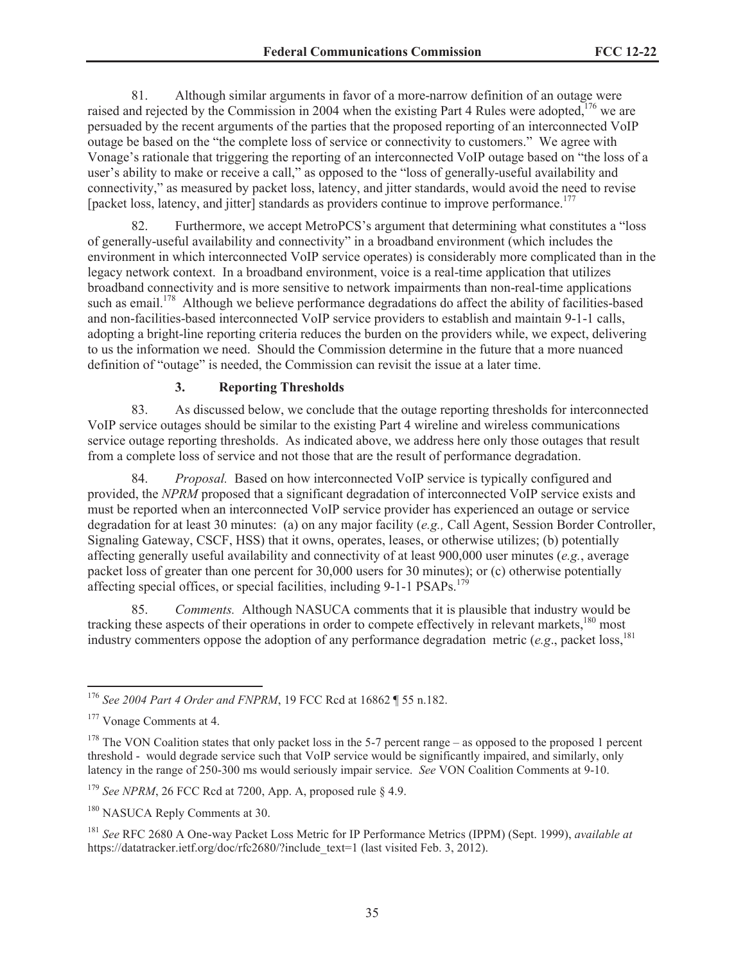81. Although similar arguments in favor of a more-narrow definition of an outage were raised and rejected by the Commission in 2004 when the existing Part 4 Rules were adopted,  $176$  we are persuaded by the recent arguments of the parties that the proposed reporting of an interconnected VoIP outage be based on the "the complete loss of service or connectivity to customers." We agree with Vonage's rationale that triggering the reporting of an interconnected VoIP outage based on "the loss of a user's ability to make or receive a call," as opposed to the "loss of generally-useful availability and connectivity," as measured by packet loss, latency, and jitter standards, would avoid the need to revise [packet loss, latency, and jitter] standards as providers continue to improve performance.<sup>177</sup>

Furthermore, we accept MetroPCS's argument that determining what constitutes a "loss" of generally-useful availability and connectivity" in a broadband environment (which includes the environment in which interconnected VoIP service operates) is considerably more complicated than in the legacy network context. In a broadband environment, voice is a real-time application that utilizes broadband connectivity and is more sensitive to network impairments than non-real-time applications such as email.<sup>178</sup> Although we believe performance degradations do affect the ability of facilities-based and non-facilities-based interconnected VoIP service providers to establish and maintain 9-1-1 calls, adopting a bright-line reporting criteria reduces the burden on the providers while, we expect, delivering to us the information we need. Should the Commission determine in the future that a more nuanced definition of "outage" is needed, the Commission can revisit the issue at a later time.

# **3. Reporting Thresholds**

83. As discussed below, we conclude that the outage reporting thresholds for interconnected VoIP service outages should be similar to the existing Part 4 wireline and wireless communications service outage reporting thresholds. As indicated above, we address here only those outages that result from a complete loss of service and not those that are the result of performance degradation.

84. *Proposal.* Based on how interconnected VoIP service is typically configured and provided, the *NPRM* proposed that a significant degradation of interconnected VoIP service exists and must be reported when an interconnected VoIP service provider has experienced an outage or service degradation for at least 30 minutes: (a) on any major facility (*e.g.,* Call Agent, Session Border Controller, Signaling Gateway, CSCF, HSS) that it owns, operates, leases, or otherwise utilizes; (b) potentially affecting generally useful availability and connectivity of at least 900,000 user minutes (*e.g.*, average packet loss of greater than one percent for 30,000 users for 30 minutes); or (c) otherwise potentially affecting special offices, or special facilities, including  $9-1-1$  PSAPs.<sup>179</sup>

85. *Comments.* Although NASUCA comments that it is plausible that industry would be tracking these aspects of their operations in order to compete effectively in relevant markets,<sup>180</sup> most industry commenters oppose the adoption of any performance degradation metric (*e.g.*, packet loss.<sup>181</sup>)

<sup>176</sup> *See 2004 Part 4 Order and FNPRM*, 19 FCC Rcd at 16862 ¶ 55 n.182.

<sup>&</sup>lt;sup>177</sup> Vonage Comments at 4.

 $178$  The VON Coalition states that only packet loss in the 5-7 percent range – as opposed to the proposed 1 percent threshold - would degrade service such that VoIP service would be significantly impaired, and similarly, only latency in the range of 250-300 ms would seriously impair service. *See* VON Coalition Comments at 9-10.

<sup>&</sup>lt;sup>179</sup> *See NPRM*, 26 FCC Rcd at 7200, App. A, proposed rule § 4.9.

<sup>&</sup>lt;sup>180</sup> NASUCA Reply Comments at 30.

<sup>181</sup> *See* RFC 2680 A One-way Packet Loss Metric for IP Performance Metrics (IPPM) (Sept. 1999), *available at* https://datatracker.ietf.org/doc/rfc2680/?include\_text=1 (last visited Feb. 3, 2012).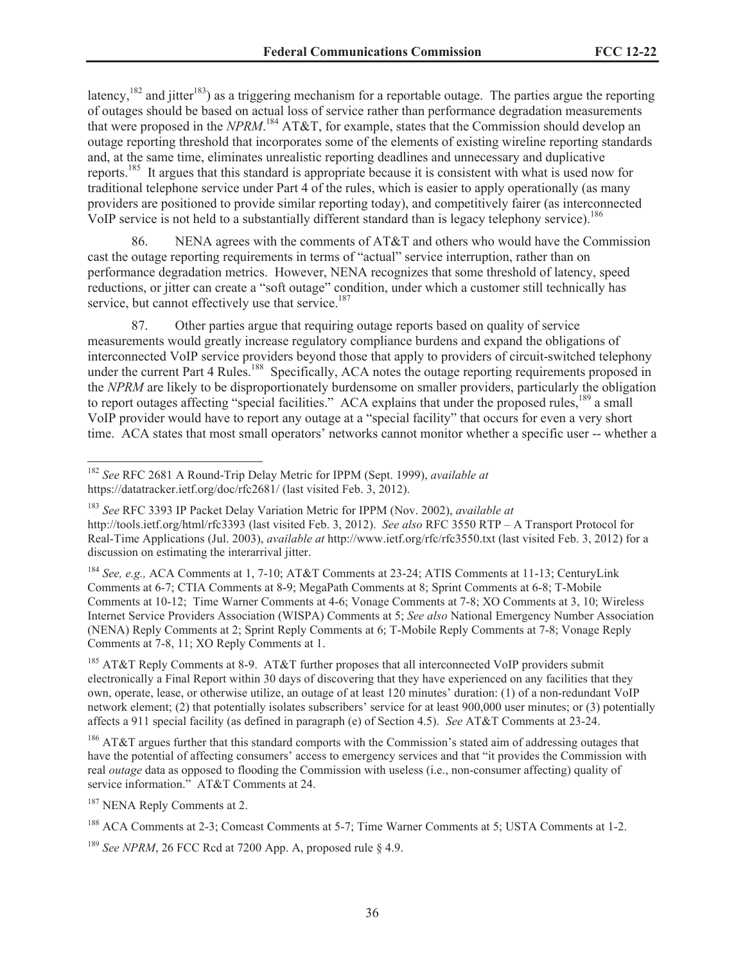latency,<sup>182</sup> and jitter<sup>183</sup>) as a triggering mechanism for a reportable outage. The parties argue the reporting of outages should be based on actual loss of service rather than performance degradation measurements that were proposed in the *NPRM*. <sup>184</sup> AT&T, for example, states that the Commission should develop an outage reporting threshold that incorporates some of the elements of existing wireline reporting standards and, at the same time, eliminates unrealistic reporting deadlines and unnecessary and duplicative reports.<sup>185</sup> It argues that this standard is appropriate because it is consistent with what is used now for traditional telephone service under Part 4 of the rules, which is easier to apply operationally (as many providers are positioned to provide similar reporting today), and competitively fairer (as interconnected VoIP service is not held to a substantially different standard than is legacy telephony service).<sup>186</sup>

86. NENA agrees with the comments of AT&T and others who would have the Commission cast the outage reporting requirements in terms of "actual" service interruption, rather than on performance degradation metrics. However, NENA recognizes that some threshold of latency, speed reductions, or jitter can create a "soft outage" condition, under which a customer still technically has service, but cannot effectively use that service.<sup>187</sup>

87. Other parties argue that requiring outage reports based on quality of service measurements would greatly increase regulatory compliance burdens and expand the obligations of interconnected VoIP service providers beyond those that apply to providers of circuit-switched telephony under the current Part 4 Rules.<sup>188</sup> Specifically, ACA notes the outage reporting requirements proposed in the *NPRM* are likely to be disproportionately burdensome on smaller providers, particularly the obligation to report outages affecting "special facilities." ACA explains that under the proposed rules,<sup>189</sup> a small VoIP provider would have to report any outage at a "special facility" that occurs for even a very short time. ACA states that most small operators' networks cannot monitor whether a specific user -- whether a

<sup>184</sup> *See, e.g.,* ACA Comments at 1, 7-10; AT&T Comments at 23-24; ATIS Comments at 11-13; CenturyLink Comments at 6-7; CTIA Comments at 8-9; MegaPath Comments at 8; Sprint Comments at 6-8; T-Mobile Comments at 10-12; Time Warner Comments at 4-6; Vonage Comments at 7-8; XO Comments at 3, 10; Wireless Internet Service Providers Association (WISPA) Comments at 5; *See also* National Emergency Number Association (NENA) Reply Comments at 2; Sprint Reply Comments at 6; T-Mobile Reply Comments at 7-8; Vonage Reply Comments at 7-8, 11; XO Reply Comments at 1.

<sup>185</sup> AT&T Reply Comments at 8-9. AT&T further proposes that all interconnected VoIP providers submit electronically a Final Report within 30 days of discovering that they have experienced on any facilities that they own, operate, lease, or otherwise utilize, an outage of at least 120 minutes' duration: (1) of a non-redundant VoIP network element; (2) that potentially isolates subscribers' service for at least 900,000 user minutes; or (3) potentially affects a 911 special facility (as defined in paragraph (e) of Section 4.5). *See* AT&T Comments at 23-24.

<sup>186</sup> AT&T argues further that this standard comports with the Commission's stated aim of addressing outages that have the potential of affecting consumers' access to emergency services and that "it provides the Commission with real *outage* data as opposed to flooding the Commission with useless (i.e., non-consumer affecting) quality of service information." AT&T Comments at 24.

<sup>187</sup> NENA Reply Comments at 2.

<sup>182</sup> *See* RFC 2681 A Round-Trip Delay Metric for IPPM (Sept. 1999), *available at* https://datatracker.ietf.org/doc/rfc2681/ (last visited Feb. 3, 2012).

<sup>183</sup> *See* RFC 3393 IP Packet Delay Variation Metric for IPPM (Nov. 2002), *available at* http://tools.ietf.org/html/rfc3393 (last visited Feb. 3, 2012). *See also* RFC 3550 RTP – A Transport Protocol for Real-Time Applications (Jul. 2003), *available at* http://www.ietf.org/rfc/rfc3550.txt (last visited Feb. 3, 2012) for a discussion on estimating the interarrival jitter.

<sup>188</sup> ACA Comments at 2-3; Comcast Comments at 5-7; Time Warner Comments at 5; USTA Comments at 1-2.

<sup>&</sup>lt;sup>189</sup> *See NPRM*, 26 FCC Rcd at 7200 App. A, proposed rule § 4.9.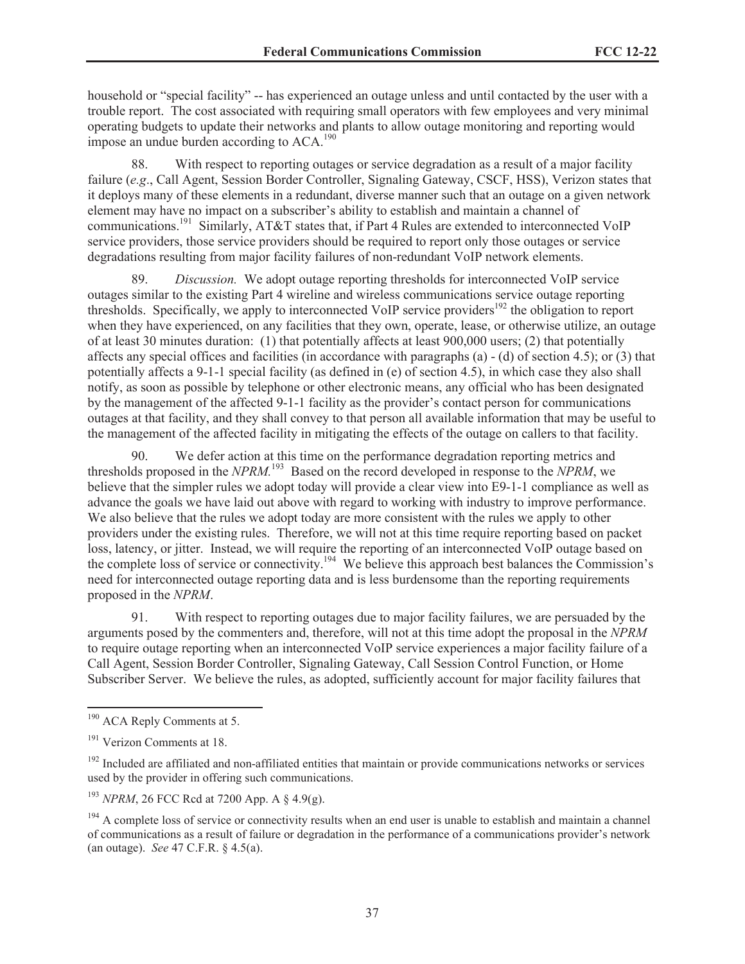household or "special facility" -- has experienced an outage unless and until contacted by the user with a trouble report. The cost associated with requiring small operators with few employees and very minimal operating budgets to update their networks and plants to allow outage monitoring and reporting would impose an undue burden according to ACA.<sup>190</sup>

88. With respect to reporting outages or service degradation as a result of a major facility failure (*e.g*., Call Agent, Session Border Controller, Signaling Gateway, CSCF, HSS), Verizon states that it deploys many of these elements in a redundant, diverse manner such that an outage on a given network element may have no impact on a subscriber's ability to establish and maintain a channel of communications.<sup>191</sup> Similarly, AT&T states that, if Part 4 Rules are extended to interconnected VoIP service providers, those service providers should be required to report only those outages or service degradations resulting from major facility failures of non-redundant VoIP network elements.

89. *Discussion.* We adopt outage reporting thresholds for interconnected VoIP service outages similar to the existing Part 4 wireline and wireless communications service outage reporting thresholds. Specifically, we apply to interconnected VoIP service providers<sup>192</sup> the obligation to report when they have experienced, on any facilities that they own, operate, lease, or otherwise utilize, an outage of at least 30 minutes duration: (1) that potentially affects at least 900,000 users; (2) that potentially affects any special offices and facilities (in accordance with paragraphs  $(a) - (d)$  of section 4.5); or (3) that potentially affects a 9-1-1 special facility (as defined in (e) of section 4.5), in which case they also shall notify, as soon as possible by telephone or other electronic means, any official who has been designated by the management of the affected 9-1-1 facility as the provider's contact person for communications outages at that facility, and they shall convey to that person all available information that may be useful to the management of the affected facility in mitigating the effects of the outage on callers to that facility.

90. We defer action at this time on the performance degradation reporting metrics and thresholds proposed in the *NPRM.*<sup>193</sup> Based on the record developed in response to the *NPRM*, we believe that the simpler rules we adopt today will provide a clear view into E9-1-1 compliance as well as advance the goals we have laid out above with regard to working with industry to improve performance. We also believe that the rules we adopt today are more consistent with the rules we apply to other providers under the existing rules. Therefore, we will not at this time require reporting based on packet loss, latency, or jitter. Instead, we will require the reporting of an interconnected VoIP outage based on the complete loss of service or connectivity.<sup>194</sup> We believe this approach best balances the Commission's need for interconnected outage reporting data and is less burdensome than the reporting requirements proposed in the *NPRM*.

91. With respect to reporting outages due to major facility failures, we are persuaded by the arguments posed by the commenters and, therefore, will not at this time adopt the proposal in the *NPRM* to require outage reporting when an interconnected VoIP service experiences a major facility failure of a Call Agent, Session Border Controller, Signaling Gateway, Call Session Control Function, or Home Subscriber Server. We believe the rules, as adopted, sufficiently account for major facility failures that

<sup>&</sup>lt;sup>190</sup> ACA Reply Comments at 5.

<sup>&</sup>lt;sup>191</sup> Verizon Comments at 18.

 $192$  Included are affiliated and non-affiliated entities that maintain or provide communications networks or services used by the provider in offering such communications.

<sup>193</sup> *NPRM*, 26 FCC Rcd at 7200 App. A § 4.9(g).

 $194$  A complete loss of service or connectivity results when an end user is unable to establish and maintain a channel of communications as a result of failure or degradation in the performance of a communications provider's network (an outage). *See* 47 C.F.R. § 4.5(a).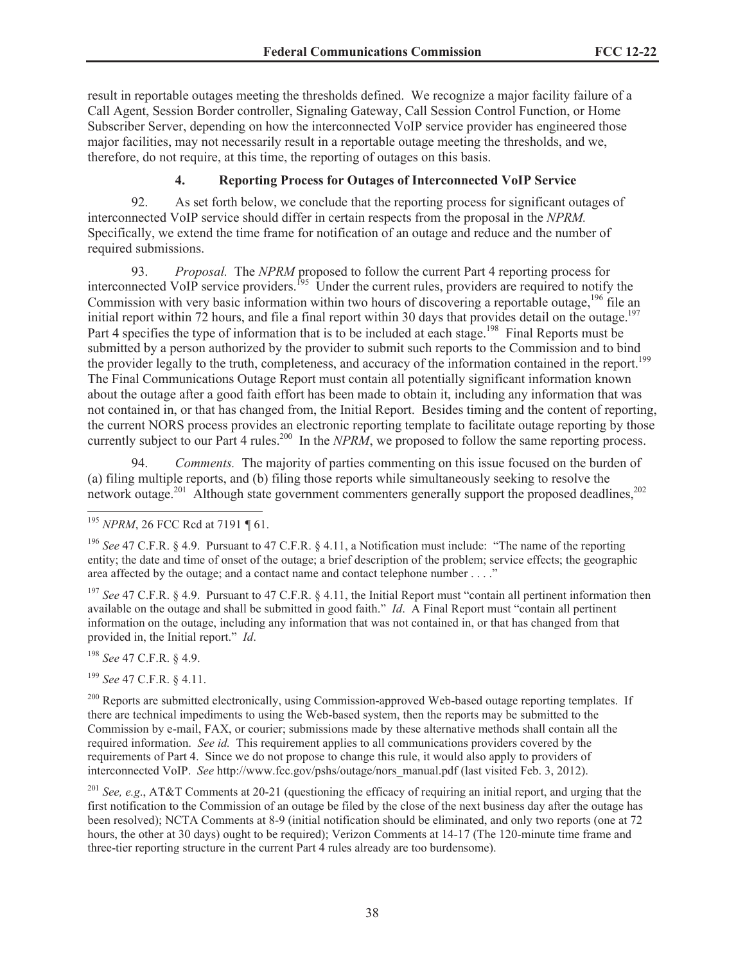result in reportable outages meeting the thresholds defined. We recognize a major facility failure of a Call Agent, Session Border controller, Signaling Gateway, Call Session Control Function, or Home Subscriber Server, depending on how the interconnected VoIP service provider has engineered those major facilities, may not necessarily result in a reportable outage meeting the thresholds, and we, therefore, do not require, at this time, the reporting of outages on this basis.

# **4. Reporting Process for Outages of Interconnected VoIP Service**

92. As set forth below, we conclude that the reporting process for significant outages of interconnected VoIP service should differ in certain respects from the proposal in the *NPRM.* Specifically, we extend the time frame for notification of an outage and reduce and the number of required submissions.

93. *Proposal.* The *NPRM* proposed to follow the current Part 4 reporting process for interconnected VoIP service providers.<sup>195</sup> Under the current rules, providers are required to notify the Commission with very basic information within two hours of discovering a reportable outage,<sup>196</sup> file an initial report within 72 hours, and file a final report within 30 days that provides detail on the outage.<sup>197</sup> Part 4 specifies the type of information that is to be included at each stage.<sup>198</sup> Final Reports must be submitted by a person authorized by the provider to submit such reports to the Commission and to bind the provider legally to the truth, completeness, and accuracy of the information contained in the report.<sup>199</sup> The Final Communications Outage Report must contain all potentially significant information known about the outage after a good faith effort has been made to obtain it, including any information that was not contained in, or that has changed from, the Initial Report. Besides timing and the content of reporting, the current NORS process provides an electronic reporting template to facilitate outage reporting by those currently subject to our Part 4 rules.<sup>200</sup> In the *NPRM*, we proposed to follow the same reporting process.

94. *Comments.* The majority of parties commenting on this issue focused on the burden of (a) filing multiple reports, and (b) filing those reports while simultaneously seeking to resolve the network outage.<sup>201</sup> Although state government commenters generally support the proposed deadlines,<sup>202</sup>

<sup>197</sup> See 47 C.F.R. § 4.9. Pursuant to 47 C.F.R. § 4.11, the Initial Report must "contain all pertinent information then available on the outage and shall be submitted in good faith." *Id*. A Final Report must "contain all pertinent information on the outage, including any information that was not contained in, or that has changed from that provided in, the Initial report." *Id*.

<sup>198</sup> *See* 47 C.F.R. § 4.9.

<sup>199</sup> *See* 47 C.F.R. § 4.11.

<sup>200</sup> Reports are submitted electronically, using Commission-approved Web-based outage reporting templates. If there are technical impediments to using the Web-based system, then the reports may be submitted to the Commission by e-mail, FAX, or courier; submissions made by these alternative methods shall contain all the required information. *See id.* This requirement applies to all communications providers covered by the requirements of Part 4. Since we do not propose to change this rule, it would also apply to providers of interconnected VoIP. *See* http://www.fcc.gov/pshs/outage/nors\_manual.pdf (last visited Feb. 3, 2012).

<sup>201</sup> *See, e.g*., AT&T Comments at 20-21 (questioning the efficacy of requiring an initial report, and urging that the first notification to the Commission of an outage be filed by the close of the next business day after the outage has been resolved); NCTA Comments at 8-9 (initial notification should be eliminated, and only two reports (one at 72 hours, the other at 30 days) ought to be required); Verizon Comments at 14-17 (The 120-minute time frame and three-tier reporting structure in the current Part 4 rules already are too burdensome).

<sup>195</sup> *NPRM*, 26 FCC Rcd at 7191 *¶* 61.

<sup>&</sup>lt;sup>196</sup> See 47 C.F.R. § 4.9. Pursuant to 47 C.F.R. § 4.11, a Notification must include: "The name of the reporting entity; the date and time of onset of the outage; a brief description of the problem; service effects; the geographic area affected by the outage; and a contact name and contact telephone number . . . ."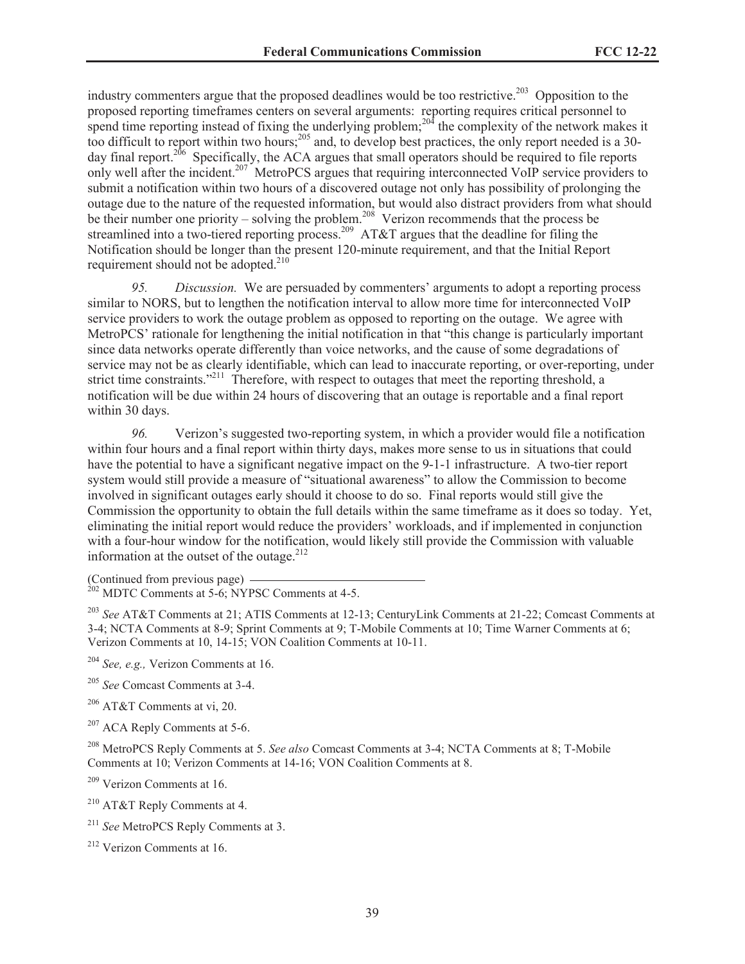industry commenters argue that the proposed deadlines would be too restrictive.<sup>203</sup> Opposition to the proposed reporting timeframes centers on several arguments: reporting requires critical personnel to spend time reporting instead of fixing the underlying problem;<sup>204</sup> the complexity of the network makes it too difficult to report within two hours;<sup>205</sup> and, to develop best practices, the only report needed is a 30day final report.<sup>206</sup> Specifically, the ACA argues that small operators should be required to file reports only well after the incident.<sup>207</sup> MetroPCS argues that requiring interconnected VoIP service providers to submit a notification within two hours of a discovered outage not only has possibility of prolonging the outage due to the nature of the requested information, but would also distract providers from what should be their number one priority – solving the problem.<sup>208</sup> Verizon recommends that the process be streamlined into a two-tiered reporting process.<sup>209</sup> AT&T argues that the deadline for filing the Notification should be longer than the present 120-minute requirement, and that the Initial Report requirement should not be adopted.<sup>210</sup>

*95. Discussion.* We are persuaded by commenters' arguments to adopt a reporting process similar to NORS, but to lengthen the notification interval to allow more time for interconnected VoIP service providers to work the outage problem as opposed to reporting on the outage. We agree with MetroPCS' rationale for lengthening the initial notification in that "this change is particularly important since data networks operate differently than voice networks, and the cause of some degradations of service may not be as clearly identifiable, which can lead to inaccurate reporting, or over-reporting, under strict time constraints."<sup>211</sup> Therefore, with respect to outages that meet the reporting threshold, a notification will be due within 24 hours of discovering that an outage is reportable and a final report within 30 days.

*96.* Verizon's suggested two-reporting system, in which a provider would file a notification within four hours and a final report within thirty days, makes more sense to us in situations that could have the potential to have a significant negative impact on the 9-1-1 infrastructure. A two-tier report system would still provide a measure of "situational awareness" to allow the Commission to become involved in significant outages early should it choose to do so. Final reports would still give the Commission the opportunity to obtain the full details within the same timeframe as it does so today. Yet, eliminating the initial report would reduce the providers' workloads, and if implemented in conjunction with a four-hour window for the notification, would likely still provide the Commission with valuable information at the outset of the outage. $2^{12}$ 

(Continued from previous page)

 $^{202}$  MDTC Comments at 5-6; NYPSC Comments at 4-5.

<sup>203</sup> *See* AT&T Comments at 21; ATIS Comments at 12-13; CenturyLink Comments at 21-22; Comcast Comments at 3-4; NCTA Comments at 8-9; Sprint Comments at 9; T-Mobile Comments at 10; Time Warner Comments at 6; Verizon Comments at 10, 14-15; VON Coalition Comments at 10-11.

<sup>204</sup> *See, e.g.,* Verizon Comments at 16.

<sup>205</sup> *See* Comcast Comments at 3-4.

 $206$  AT&T Comments at vi, 20.

<sup>207</sup> ACA Reply Comments at 5-6.

<sup>208</sup> MetroPCS Reply Comments at 5. *See also* Comcast Comments at 3-4; NCTA Comments at 8; T-Mobile Comments at 10; Verizon Comments at 14-16; VON Coalition Comments at 8.

<sup>209</sup> Verizon Comments at 16.

<sup>210</sup> AT&T Reply Comments at 4.

<sup>211</sup> *See* MetroPCS Reply Comments at 3.

<sup>212</sup> Verizon Comments at 16.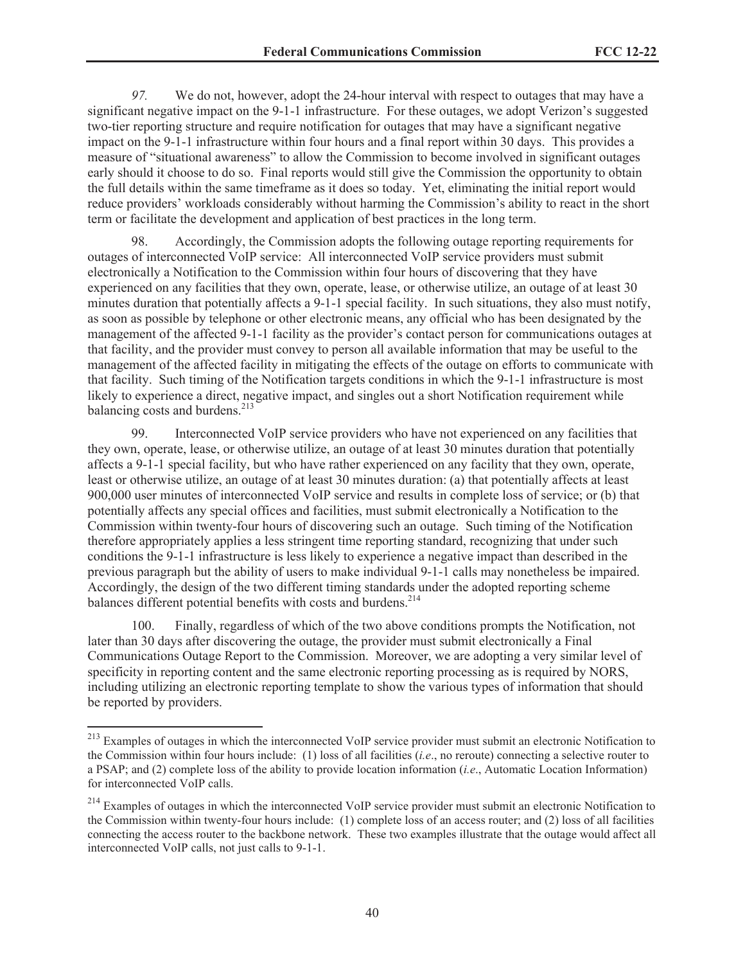*97.* We do not, however, adopt the 24-hour interval with respect to outages that may have a significant negative impact on the 9-1-1 infrastructure. For these outages, we adopt Verizon's suggested two-tier reporting structure and require notification for outages that may have a significant negative impact on the 9-1-1 infrastructure within four hours and a final report within 30 days. This provides a measure of "situational awareness" to allow the Commission to become involved in significant outages early should it choose to do so. Final reports would still give the Commission the opportunity to obtain the full details within the same timeframe as it does so today. Yet, eliminating the initial report would reduce providers' workloads considerably without harming the Commission's ability to react in the short term or facilitate the development and application of best practices in the long term.

98. Accordingly, the Commission adopts the following outage reporting requirements for outages of interconnected VoIP service: All interconnected VoIP service providers must submit electronically a Notification to the Commission within four hours of discovering that they have experienced on any facilities that they own, operate, lease, or otherwise utilize, an outage of at least 30 minutes duration that potentially affects a 9-1-1 special facility. In such situations, they also must notify, as soon as possible by telephone or other electronic means, any official who has been designated by the management of the affected 9-1-1 facility as the provider's contact person for communications outages at that facility, and the provider must convey to person all available information that may be useful to the management of the affected facility in mitigating the effects of the outage on efforts to communicate with that facility. Such timing of the Notification targets conditions in which the 9-1-1 infrastructure is most likely to experience a direct, negative impact, and singles out a short Notification requirement while balancing costs and burdens.<sup>213</sup>

99. Interconnected VoIP service providers who have not experienced on any facilities that they own, operate, lease, or otherwise utilize, an outage of at least 30 minutes duration that potentially affects a 9-1-1 special facility, but who have rather experienced on any facility that they own, operate, least or otherwise utilize, an outage of at least 30 minutes duration: (a) that potentially affects at least 900,000 user minutes of interconnected VoIP service and results in complete loss of service; or (b) that potentially affects any special offices and facilities, must submit electronically a Notification to the Commission within twenty-four hours of discovering such an outage. Such timing of the Notification therefore appropriately applies a less stringent time reporting standard, recognizing that under such conditions the 9-1-1 infrastructure is less likely to experience a negative impact than described in the previous paragraph but the ability of users to make individual 9-1-1 calls may nonetheless be impaired. Accordingly, the design of the two different timing standards under the adopted reporting scheme balances different potential benefits with costs and burdens.<sup>214</sup>

100. Finally, regardless of which of the two above conditions prompts the Notification, not later than 30 days after discovering the outage, the provider must submit electronically a Final Communications Outage Report to the Commission. Moreover, we are adopting a very similar level of specificity in reporting content and the same electronic reporting processing as is required by NORS, including utilizing an electronic reporting template to show the various types of information that should be reported by providers.

<sup>&</sup>lt;sup>213</sup> Examples of outages in which the interconnected VoIP service provider must submit an electronic Notification to the Commission within four hours include: (1) loss of all facilities (*i.e*., no reroute) connecting a selective router to a PSAP; and (2) complete loss of the ability to provide location information (*i.e*., Automatic Location Information) for interconnected VoIP calls.

<sup>&</sup>lt;sup>214</sup> Examples of outages in which the interconnected VoIP service provider must submit an electronic Notification to the Commission within twenty-four hours include: (1) complete loss of an access router; and (2) loss of all facilities connecting the access router to the backbone network. These two examples illustrate that the outage would affect all interconnected VoIP calls, not just calls to 9-1-1.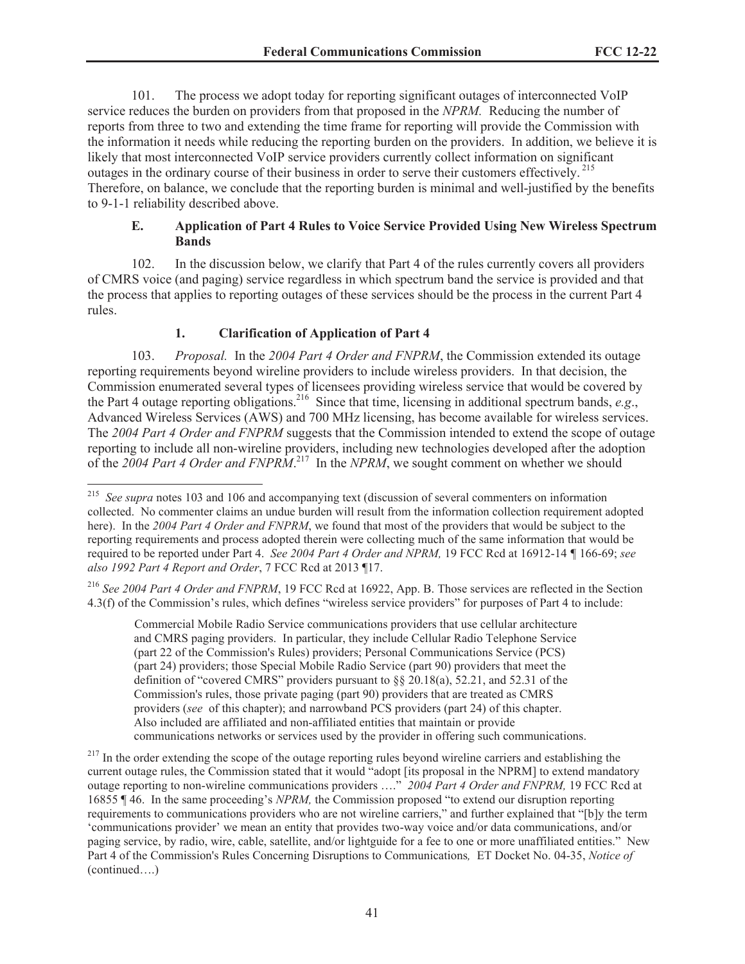101. The process we adopt today for reporting significant outages of interconnected VoIP service reduces the burden on providers from that proposed in the *NPRM.* Reducing the number of reports from three to two and extending the time frame for reporting will provide the Commission with the information it needs while reducing the reporting burden on the providers. In addition, we believe it is likely that most interconnected VoIP service providers currently collect information on significant outages in the ordinary course of their business in order to serve their customers effectively.<sup>215</sup> Therefore, on balance, we conclude that the reporting burden is minimal and well-justified by the benefits to 9-1-1 reliability described above.

## **E. Application of Part 4 Rules to Voice Service Provided Using New Wireless Spectrum Bands**

102. In the discussion below, we clarify that Part 4 of the rules currently covers all providers of CMRS voice (and paging) service regardless in which spectrum band the service is provided and that the process that applies to reporting outages of these services should be the process in the current Part 4 rules.

# **1. Clarification of Application of Part 4**

103. *Proposal.* In the *2004 Part 4 Order and FNPRM*, the Commission extended its outage reporting requirements beyond wireline providers to include wireless providers. In that decision, the Commission enumerated several types of licensees providing wireless service that would be covered by the Part 4 outage reporting obligations.<sup>216</sup> Since that time, licensing in additional spectrum bands, *e.g.*, Advanced Wireless Services (AWS) and 700 MHz licensing, has become available for wireless services. The *2004 Part 4 Order and FNPRM* suggests that the Commission intended to extend the scope of outage reporting to include all non-wireline providers, including new technologies developed after the adoption of the 2004 Part 4 Order and FNPRM<sup>217</sup> In the NPRM, we sought comment on whether we should

Commercial Mobile Radio Service communications providers that use cellular architecture and CMRS paging providers. In particular, they include Cellular Radio Telephone Service (part 22 of the Commission's Rules) providers; Personal Communications Service (PCS) (part 24) providers; those Special Mobile Radio Service (part 90) providers that meet the definition of "covered CMRS" providers pursuant to §§ 20.18(a), 52.21, and 52.31 of the Commission's rules, those private paging (part 90) providers that are treated as CMRS providers (*see* of this chapter); and narrowband PCS providers (part 24) of this chapter. Also included are affiliated and non-affiliated entities that maintain or provide communications networks or services used by the provider in offering such communications.

<sup>&</sup>lt;sup>215</sup> *See supra* notes 103 and 106 and accompanying text (discussion of several commenters on information collected. No commenter claims an undue burden will result from the information collection requirement adopted here). In the 2004 Part 4 Order and FNPRM, we found that most of the providers that would be subject to the reporting requirements and process adopted therein were collecting much of the same information that would be required to be reported under Part 4. *See 2004 Part 4 Order and NPRM,* 19 FCC Rcd at 16912-14 *¶* 166-69; *see also 1992 Part 4 Report and Order*, 7 FCC Rcd at 2013 ¶17.

<sup>216</sup> *See 2004 Part 4 Order and FNPRM*, 19 FCC Rcd at 16922, App. B. Those services are reflected in the Section 4.3(f) of the Commission's rules, which defines "wireless service providers" for purposes of Part 4 to include:

<sup>&</sup>lt;sup>217</sup> In the order extending the scope of the outage reporting rules beyond wireline carriers and establishing the current outage rules, the Commission stated that it would "adopt [its proposal in the NPRM] to extend mandatory outage reporting to non-wireline communications providers …." *2004 Part 4 Order and FNPRM,* 19 FCC Rcd at 16855 ¶ 46. In the same proceeding's *NPRM,* the Commission proposed "to extend our disruption reporting requirements to communications providers who are not wireline carriers," and further explained that "[b]y the term 'communications provider' we mean an entity that provides two-way voice and/or data communications, and/or paging service, by radio, wire, cable, satellite, and/or lightguide for a fee to one or more unaffiliated entities." New Part 4 of the Commission's Rules Concerning Disruptions to Communications*,* ET Docket No. 04-35, *Notice of*  (continued….)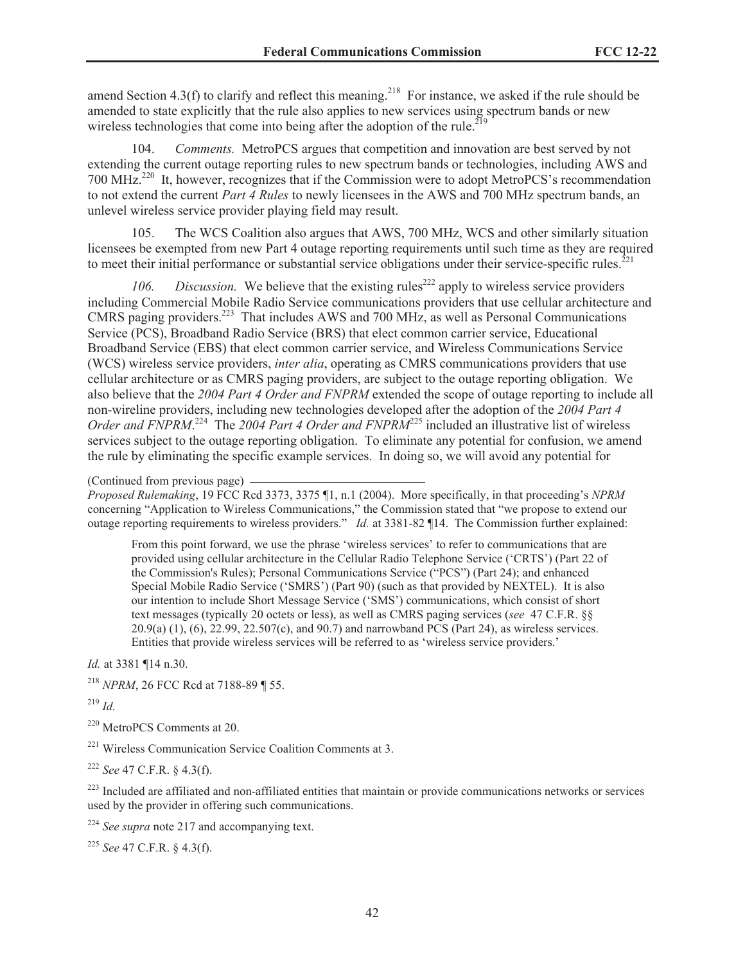amend Section 4.3(f) to clarify and reflect this meaning.<sup>218</sup> For instance, we asked if the rule should be amended to state explicitly that the rule also applies to new services using spectrum bands or new wireless technologies that come into being after the adoption of the rule.<sup>219</sup>

104. *Comments.* MetroPCS argues that competition and innovation are best served by not extending the current outage reporting rules to new spectrum bands or technologies, including AWS and 700 MHz.<sup>220</sup> It, however, recognizes that if the Commission were to adopt MetroPCS's recommendation to not extend the current *Part 4 Rules* to newly licensees in the AWS and 700 MHz spectrum bands, an unlevel wireless service provider playing field may result.

105. The WCS Coalition also argues that AWS, 700 MHz, WCS and other similarly situation licensees be exempted from new Part 4 outage reporting requirements until such time as they are required to meet their initial performance or substantial service obligations under their service-specific rules.<sup>221</sup>

*106. Discussion.* We believe that the existing rules<sup>222</sup> apply to wireless service providers including Commercial Mobile Radio Service communications providers that use cellular architecture and CMRS paging providers.<sup>223</sup> That includes AWS and 700 MHz, as well as Personal Communications Service (PCS), Broadband Radio Service (BRS) that elect common carrier service, Educational Broadband Service (EBS) that elect common carrier service, and Wireless Communications Service (WCS) wireless service providers, *inter alia*, operating as CMRS communications providers that use cellular architecture or as CMRS paging providers, are subject to the outage reporting obligation. We also believe that the *2004 Part 4 Order and FNPRM* extended the scope of outage reporting to include all non-wireline providers, including new technologies developed after the adoption of the *2004 Part 4*  Order and FNPRM.<sup>224</sup> The 2004 Part 4 Order and FNPRM<sup>225</sup> included an illustrative list of wireless services subject to the outage reporting obligation. To eliminate any potential for confusion, we amend the rule by eliminating the specific example services. In doing so, we will avoid any potential for

*Proposed Rulemaking*, 19 FCC Rcd 3373, 3375 ¶1, n.1 (2004). More specifically, in that proceeding's *NPRM*  concerning "Application to Wireless Communications," the Commission stated that "we propose to extend our outage reporting requirements to wireless providers." *Id.* at 3381-82 ¶14. The Commission further explained:

From this point forward, we use the phrase 'wireless services' to refer to communications that are provided using cellular architecture in the Cellular Radio Telephone Service ('CRTS') (Part 22 of the Commission's Rules); Personal Communications Service ("PCS") (Part 24); and enhanced Special Mobile Radio Service ('SMRS') (Part 90) (such as that provided by NEXTEL). It is also our intention to include Short Message Service ('SMS') communications, which consist of short text messages (typically 20 octets or less), as well as CMRS paging services (*see* 47 C.F.R. §§ 20.9(a) (1), (6), 22.99, 22.507(c), and 90.7) and narrowband PCS (Part 24), as wireless services. Entities that provide wireless services will be referred to as 'wireless service providers.'

*Id.* at 3381 ¶14 n.30.

<sup>218</sup> *NPRM*, 26 FCC Rcd at 7188-89 ¶ 55.

<sup>219</sup> *Id.* 

<sup>220</sup> MetroPCS Comments at 20.

<sup>221</sup> Wireless Communication Service Coalition Comments at 3.

<sup>222</sup> *See* 47 C.F.R. § 4.3(f).

<sup>223</sup> Included are affiliated and non-affiliated entities that maintain or provide communications networks or services used by the provider in offering such communications.

<sup>224</sup> *See supra* note 217 and accompanying text.

<sup>225</sup> *See* 47 C.F.R. § 4.3(f).

<sup>(</sup>Continued from previous page)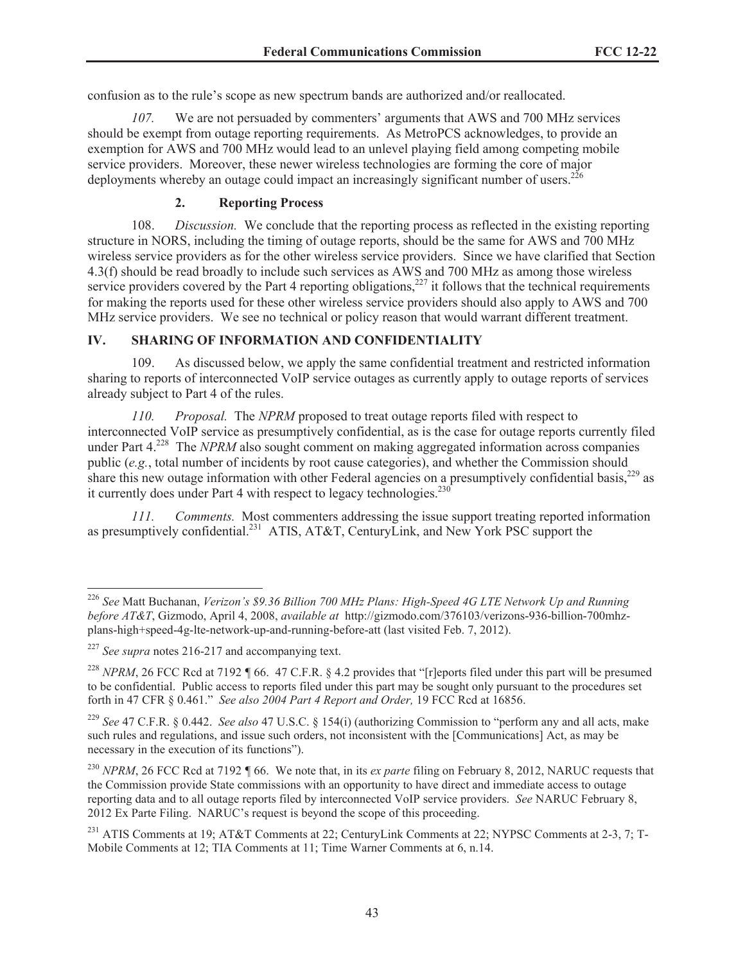confusion as to the rule's scope as new spectrum bands are authorized and/or reallocated.

*107.* We are not persuaded by commenters' arguments that AWS and 700 MHz services should be exempt from outage reporting requirements. As MetroPCS acknowledges, to provide an exemption for AWS and 700 MHz would lead to an unlevel playing field among competing mobile service providers. Moreover, these newer wireless technologies are forming the core of major deployments whereby an outage could impact an increasingly significant number of users.<sup>226</sup>

# **2. Reporting Process**

108. *Discussion.* We conclude that the reporting process as reflected in the existing reporting structure in NORS, including the timing of outage reports, should be the same for AWS and 700 MHz wireless service providers as for the other wireless service providers. Since we have clarified that Section 4.3(f) should be read broadly to include such services as AWS and 700 MHz as among those wireless service providers covered by the Part 4 reporting obligations, $227$  it follows that the technical requirements for making the reports used for these other wireless service providers should also apply to AWS and 700 MHz service providers. We see no technical or policy reason that would warrant different treatment.

# **IV. SHARING OF INFORMATION AND CONFIDENTIALITY**

109. As discussed below, we apply the same confidential treatment and restricted information sharing to reports of interconnected VoIP service outages as currently apply to outage reports of services already subject to Part 4 of the rules.

*110. Proposal.* The *NPRM* proposed to treat outage reports filed with respect to interconnected VoIP service as presumptively confidential, as is the case for outage reports currently filed under Part  $4^{228}$  The *NPRM* also sought comment on making aggregated information across companies public (*e.g.*, total number of incidents by root cause categories), and whether the Commission should share this new outage information with other Federal agencies on a presumptively confidential basis,  $229$  as it currently does under Part 4 with respect to legacy technologies.<sup>230</sup>

*111. Comments.* Most commenters addressing the issue support treating reported information as presumptively confidential.<sup>231</sup> ATIS, AT&T, CenturyLink, and New York PSC support the

<sup>229</sup> *See* 47 C.F.R. § 0.442. *See also* 47 U.S.C. § 154(i) (authorizing Commission to "perform any and all acts, make such rules and regulations, and issue such orders, not inconsistent with the [Communications] Act, as may be necessary in the execution of its functions").

<sup>230</sup> *NPRM*, 26 FCC Rcd at 7192 *¶* 66. We note that, in its *ex parte* filing on February 8, 2012, NARUC requests that the Commission provide State commissions with an opportunity to have direct and immediate access to outage reporting data and to all outage reports filed by interconnected VoIP service providers. *See* NARUC February 8, 2012 Ex Parte Filing. NARUC's request is beyond the scope of this proceeding.

<sup>226</sup> *See* Matt Buchanan, *Verizon's \$9.36 Billion 700 MHz Plans: High-Speed 4G LTE Network Up and Running before AT&T*, Gizmodo, April 4, 2008, *available at* http://gizmodo.com/376103/verizons-936-billion-700mhzplans-high+speed-4g-lte-network-up-and-running-before-att (last visited Feb. 7, 2012).

<sup>227</sup> *See supra* notes 216-217 and accompanying text.

<sup>228</sup> *NPRM*, 26 FCC Rcd at 7192 *¶* 66. 47 C.F.R. § 4.2 provides that "[r]eports filed under this part will be presumed to be confidential. Public access to reports filed under this part may be sought only pursuant to the procedures set forth in 47 CFR § 0.461." *See also 2004 Part 4 Report and Order,* 19 FCC Rcd at 16856.

<sup>&</sup>lt;sup>231</sup> ATIS Comments at 19; AT&T Comments at 22; CenturyLink Comments at 22; NYPSC Comments at 2-3, 7; T-Mobile Comments at 12; TIA Comments at 11; Time Warner Comments at 6, n.14.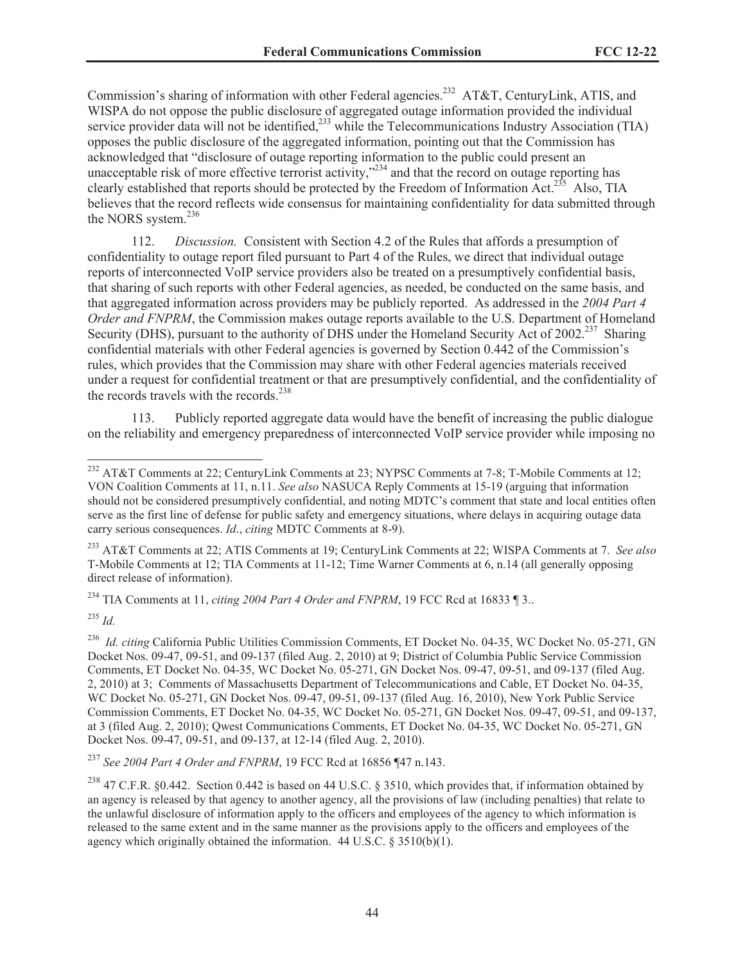Commission's sharing of information with other Federal agencies.<sup>232</sup> AT&T, CenturyLink, ATIS, and WISPA do not oppose the public disclosure of aggregated outage information provided the individual service provider data will not be identified, $^{233}$  while the Telecommunications Industry Association (TIA) opposes the public disclosure of the aggregated information, pointing out that the Commission has acknowledged that "disclosure of outage reporting information to the public could present an unacceptable risk of more effective terrorist activity,"<sup>234</sup> and that the record on outage reporting has clearly established that reports should be protected by the Freedom of Information Act.<sup>235</sup> Also, TIA believes that the record reflects wide consensus for maintaining confidentiality for data submitted through the NORS system.<sup>236</sup>

112. *Discussion.* Consistent with Section 4.2 of the Rules that affords a presumption of confidentiality to outage report filed pursuant to Part 4 of the Rules, we direct that individual outage reports of interconnected VoIP service providers also be treated on a presumptively confidential basis, that sharing of such reports with other Federal agencies, as needed, be conducted on the same basis, and that aggregated information across providers may be publicly reported. As addressed in the *2004 Part 4 Order and FNPRM*, the Commission makes outage reports available to the U.S. Department of Homeland Security (DHS), pursuant to the authority of DHS under the Homeland Security Act of 2002.<sup>237</sup> Sharing confidential materials with other Federal agencies is governed by Section 0.442 of the Commission's rules, which provides that the Commission may share with other Federal agencies materials received under a request for confidential treatment or that are presumptively confidential, and the confidentiality of the records travels with the records. $238$ 

113. Publicly reported aggregate data would have the benefit of increasing the public dialogue on the reliability and emergency preparedness of interconnected VoIP service provider while imposing no

<sup>233</sup> AT&T Comments at 22; ATIS Comments at 19; CenturyLink Comments at 22; WISPA Comments at 7. *See also* T-Mobile Comments at 12; TIA Comments at 11-12; Time Warner Comments at 6, n.14 (all generally opposing direct release of information).

<sup>234</sup> TIA Comments at 11, *citing 2004 Part 4 Order and FNPRM*, 19 FCC Rcd at 16833 ¶ 3..

<sup>235</sup> *Id.*

<sup>236</sup> *Id. citing California Public Utilities Commission Comments, ET Docket No. 04-35, WC Docket No. 05-271, GN* Docket Nos. 09-47, 09-51, and 09-137 (filed Aug. 2, 2010) at 9; District of Columbia Public Service Commission Comments, ET Docket No. 04-35, WC Docket No. 05-271, GN Docket Nos. 09-47, 09-51, and 09-137 (filed Aug. 2, 2010) at 3; Comments of Massachusetts Department of Telecommunications and Cable, ET Docket No. 04-35, WC Docket No. 05-271, GN Docket Nos. 09-47, 09-51, 09-137 (filed Aug. 16, 2010), New York Public Service Commission Comments, ET Docket No. 04-35, WC Docket No. 05-271, GN Docket Nos. 09-47, 09-51, and 09-137, at 3 (filed Aug. 2, 2010); Qwest Communications Comments, ET Docket No. 04-35, WC Docket No. 05-271, GN Docket Nos. 09-47, 09-51, and 09-137, at 12-14 (filed Aug. 2, 2010).

<sup>237</sup> *See 2004 Part 4 Order and FNPRM*, 19 FCC Rcd at 16856 ¶47 n.143.

<sup>238</sup> 47 C.F.R. §0.442. Section 0.442 is based on 44 U.S.C. § 3510, which provides that, if information obtained by an agency is released by that agency to another agency, all the provisions of law (including penalties) that relate to the unlawful disclosure of information apply to the officers and employees of the agency to which information is released to the same extent and in the same manner as the provisions apply to the officers and employees of the agency which originally obtained the information. 44 U.S.C. § 3510(b)(1).

<sup>&</sup>lt;sup>232</sup> AT&T Comments at 22; CenturyLink Comments at 23; NYPSC Comments at 7-8; T-Mobile Comments at 12; VON Coalition Comments at 11, n.11. *See also* NASUCA Reply Comments at 15-19 (arguing that information should not be considered presumptively confidential, and noting MDTC's comment that state and local entities often serve as the first line of defense for public safety and emergency situations, where delays in acquiring outage data carry serious consequences. *Id*., *citing* MDTC Comments at 8-9).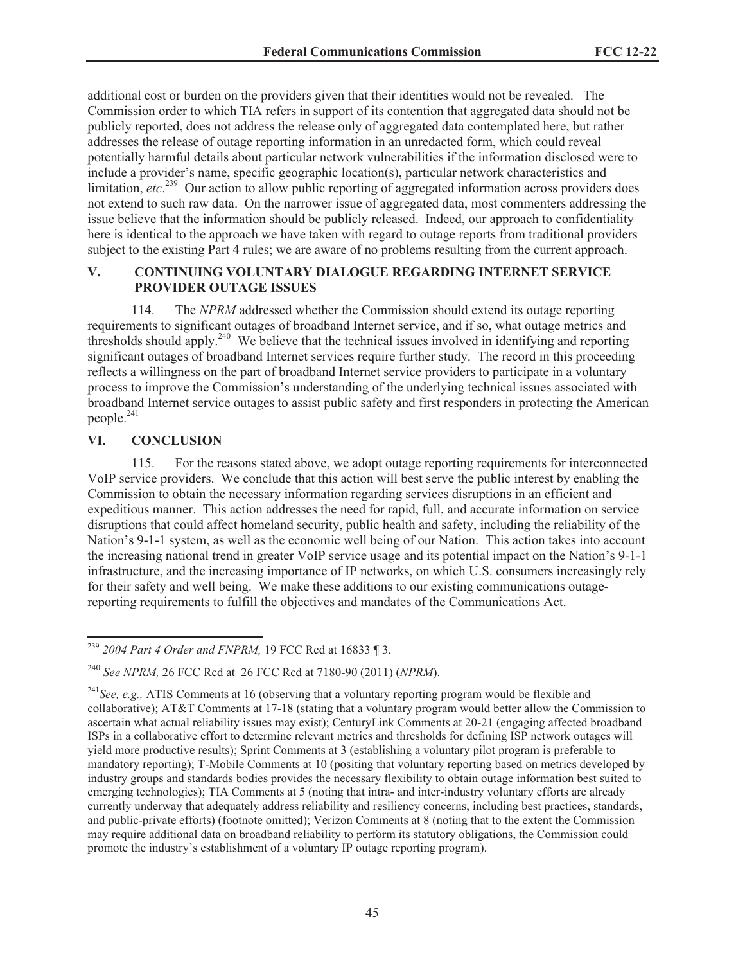additional cost or burden on the providers given that their identities would not be revealed. The Commission order to which TIA refers in support of its contention that aggregated data should not be publicly reported, does not address the release only of aggregated data contemplated here, but rather addresses the release of outage reporting information in an unredacted form, which could reveal potentially harmful details about particular network vulnerabilities if the information disclosed were to include a provider's name, specific geographic location(s), particular network characteristics and limitation, *etc.*<sup>239</sup> Our action to allow public reporting of aggregated information across providers does not extend to such raw data. On the narrower issue of aggregated data, most commenters addressing the issue believe that the information should be publicly released. Indeed, our approach to confidentiality here is identical to the approach we have taken with regard to outage reports from traditional providers subject to the existing Part 4 rules; we are aware of no problems resulting from the current approach.

## **V. CONTINUING VOLUNTARY DIALOGUE REGARDING INTERNET SERVICE PROVIDER OUTAGE ISSUES**

114. The *NPRM* addressed whether the Commission should extend its outage reporting requirements to significant outages of broadband Internet service, and if so, what outage metrics and thresholds should apply.<sup>240</sup> We believe that the technical issues involved in identifying and reporting significant outages of broadband Internet services require further study. The record in this proceeding reflects a willingness on the part of broadband Internet service providers to participate in a voluntary process to improve the Commission's understanding of the underlying technical issues associated with broadband Internet service outages to assist public safety and first responders in protecting the American people.<sup>241</sup>

## **VI. CONCLUSION**

115. For the reasons stated above, we adopt outage reporting requirements for interconnected VoIP service providers. We conclude that this action will best serve the public interest by enabling the Commission to obtain the necessary information regarding services disruptions in an efficient and expeditious manner. This action addresses the need for rapid, full, and accurate information on service disruptions that could affect homeland security, public health and safety, including the reliability of the Nation's 9-1-1 system, as well as the economic well being of our Nation. This action takes into account the increasing national trend in greater VoIP service usage and its potential impact on the Nation's 9-1-1 infrastructure, and the increasing importance of IP networks, on which U.S. consumers increasingly rely for their safety and well being. We make these additions to our existing communications outagereporting requirements to fulfill the objectives and mandates of the Communications Act.

<sup>239</sup> *2004 Part 4 Order and FNPRM,* 19 FCC Rcd at 16833 ¶ 3.

<sup>240</sup> *See NPRM,* 26 FCC Rcd at 26 FCC Rcd at 7180-90 (2011) (*NPRM*).

<sup>241</sup>*See, e.g.,* ATIS Comments at 16 (observing that a voluntary reporting program would be flexible and collaborative); AT&T Comments at 17-18 (stating that a voluntary program would better allow the Commission to ascertain what actual reliability issues may exist); CenturyLink Comments at 20-21 (engaging affected broadband ISPs in a collaborative effort to determine relevant metrics and thresholds for defining ISP network outages will yield more productive results); Sprint Comments at 3 (establishing a voluntary pilot program is preferable to mandatory reporting); T-Mobile Comments at 10 (positing that voluntary reporting based on metrics developed by industry groups and standards bodies provides the necessary flexibility to obtain outage information best suited to emerging technologies); TIA Comments at 5 (noting that intra- and inter-industry voluntary efforts are already currently underway that adequately address reliability and resiliency concerns, including best practices, standards, and public-private efforts) (footnote omitted); Verizon Comments at 8 (noting that to the extent the Commission may require additional data on broadband reliability to perform its statutory obligations, the Commission could promote the industry's establishment of a voluntary IP outage reporting program).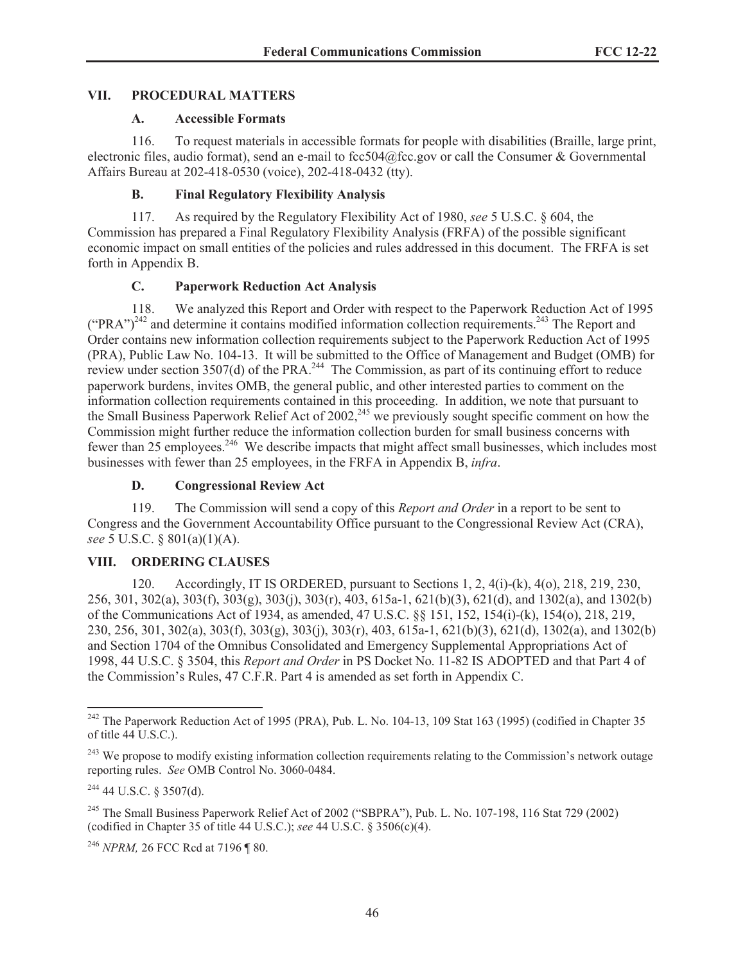### **VII. PROCEDURAL MATTERS**

### **A. Accessible Formats**

116. To request materials in accessible formats for people with disabilities (Braille, large print, electronic files, audio format), send an e-mail to fcc504@fcc.gov or call the Consumer & Governmental Affairs Bureau at 202-418-0530 (voice), 202-418-0432 (tty).

# **B. Final Regulatory Flexibility Analysis**

117. As required by the Regulatory Flexibility Act of 1980, *see* 5 U.S.C. § 604, the Commission has prepared a Final Regulatory Flexibility Analysis (FRFA) of the possible significant economic impact on small entities of the policies and rules addressed in this document. The FRFA is set forth in Appendix B.

# **C. Paperwork Reduction Act Analysis**

118. We analyzed this Report and Order with respect to the Paperwork Reduction Act of 1995  $({}^{\circ}PRA$ <sup>")<sup>242</sup> and determine it contains modified information collection requirements.<sup>243</sup> The Report and</sup> Order contains new information collection requirements subject to the Paperwork Reduction Act of 1995 (PRA), Public Law No. 104-13. It will be submitted to the Office of Management and Budget (OMB) for review under section  $3507(d)$  of the PRA.<sup>244</sup> The Commission, as part of its continuing effort to reduce paperwork burdens, invites OMB, the general public, and other interested parties to comment on the information collection requirements contained in this proceeding. In addition, we note that pursuant to the Small Business Paperwork Relief Act of 2002,<sup>245</sup> we previously sought specific comment on how the Commission might further reduce the information collection burden for small business concerns with fewer than 25 employees.<sup>246</sup> We describe impacts that might affect small businesses, which includes most businesses with fewer than 25 employees, in the FRFA in Appendix B, *infra*.

# **D. Congressional Review Act**

119. The Commission will send a copy of this *Report and Order* in a report to be sent to Congress and the Government Accountability Office pursuant to the Congressional Review Act (CRA), *see* 5 U.S.C. § 801(a)(1)(A).

# **VIII. ORDERING CLAUSES**

120. Accordingly, IT IS ORDERED, pursuant to Sections 1, 2, 4(i)-(k), 4(o), 218, 219, 230, 256, 301, 302(a), 303(f), 303(g), 303(j), 303(r), 403, 615a-1, 621(b)(3), 621(d), and 1302(a), and 1302(b) of the Communications Act of 1934, as amended, 47 U.S.C. §§ 151, 152, 154(i)-(k), 154(o), 218, 219, 230, 256, 301, 302(a), 303(f), 303(g), 303(j), 303(r), 403, 615a-1, 621(b)(3), 621(d), 1302(a), and 1302(b) and Section 1704 of the Omnibus Consolidated and Emergency Supplemental Appropriations Act of 1998, 44 U.S.C. § 3504, this *Report and Order* in PS Docket No. 11-82 IS ADOPTED and that Part 4 of the Commission's Rules, 47 C.F.R. Part 4 is amended as set forth in Appendix C.

<sup>&</sup>lt;sup>242</sup> The Paperwork Reduction Act of 1995 (PRA), Pub. L. No. 104-13, 109 Stat 163 (1995) (codified in Chapter 35 of title  $44 \overline{\text{U.S.C.}}$ 

<sup>&</sup>lt;sup>243</sup> We propose to modify existing information collection requirements relating to the Commission's network outage reporting rules. *See* OMB Control No. 3060-0484.

<sup>244</sup> 44 U.S.C. § 3507(d).

<sup>245</sup> The Small Business Paperwork Relief Act of 2002 ("SBPRA"), Pub. L. No. 107-198, 116 Stat 729 (2002) (codified in Chapter 35 of title 44 U.S.C.); *see* 44 U.S.C. § 3506(c)(4).

<sup>246</sup> *NPRM,* 26 FCC Rcd at 7196 ¶ 80.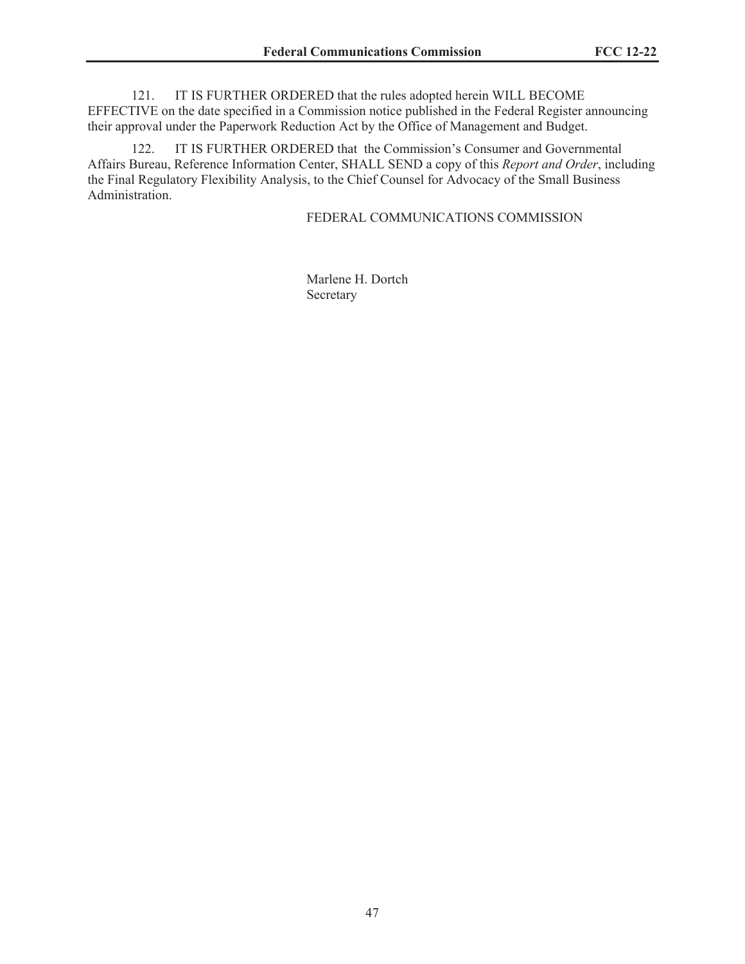121. IT IS FURTHER ORDERED that the rules adopted herein WILL BECOME EFFECTIVE on the date specified in a Commission notice published in the Federal Register announcing their approval under the Paperwork Reduction Act by the Office of Management and Budget.

122. IT IS FURTHER ORDERED that the Commission's Consumer and Governmental Affairs Bureau, Reference Information Center, SHALL SEND a copy of this *Report and Order*, including the Final Regulatory Flexibility Analysis, to the Chief Counsel for Advocacy of the Small Business Administration.

### FEDERAL COMMUNICATIONS COMMISSION

Marlene H. Dortch Secretary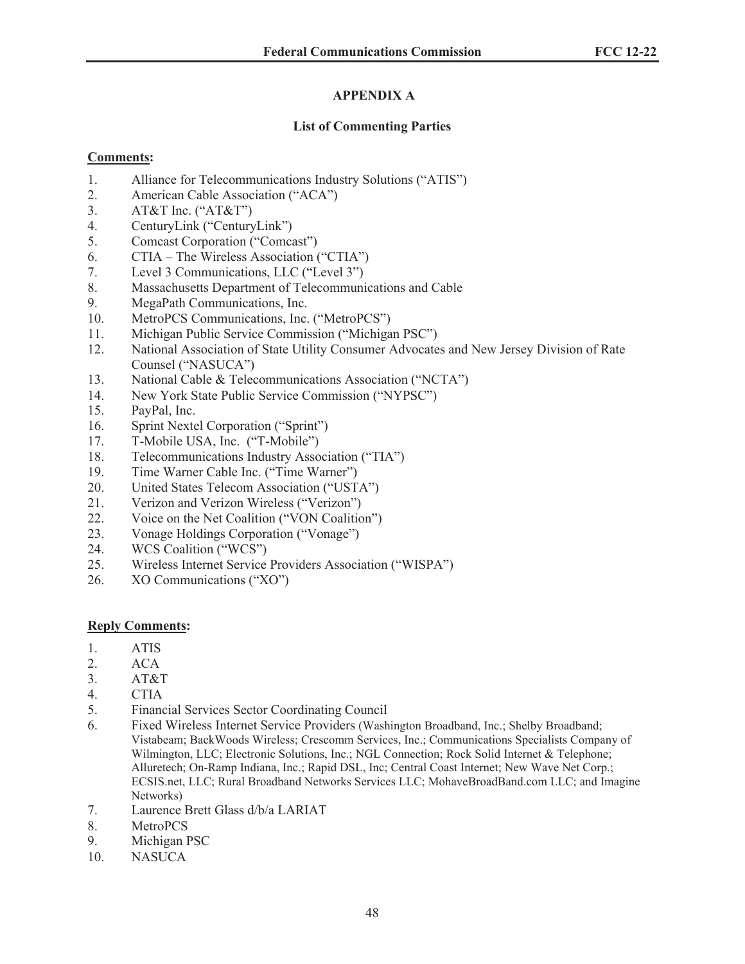# **APPENDIX A**

# **List of Commenting Parties**

# **Comments:**

- 1. Alliance for Telecommunications Industry Solutions ("ATIS")
- 2. American Cable Association ("ACA")
- 3. AT&T Inc. ("AT&T")
- 4. CenturyLink ("CenturyLink")
- 5. Comcast Corporation ("Comcast")
- 6. CTIA The Wireless Association ("CTIA")
- 7. Level 3 Communications, LLC ("Level 3")
- 8. Massachusetts Department of Telecommunications and Cable
- 9. MegaPath Communications, Inc.
- 10. MetroPCS Communications, Inc. ("MetroPCS")
- 11. Michigan Public Service Commission ("Michigan PSC")
- 12. National Association of State Utility Consumer Advocates and New Jersey Division of Rate Counsel ("NASUCA")
- 13. National Cable & Telecommunications Association ("NCTA")
- 14. New York State Public Service Commission ("NYPSC")
- 15. PayPal, Inc.
- 16. Sprint Nextel Corporation ("Sprint")
- 17. T-Mobile USA, Inc. ("T-Mobile")
- 18. Telecommunications Industry Association ("TIA")
- 19. Time Warner Cable Inc. ("Time Warner")
- 20. United States Telecom Association ("USTA")
- 21. Verizon and Verizon Wireless ("Verizon")
- 22. Voice on the Net Coalition ("VON Coalition")
- 23. Vonage Holdings Corporation ("Vonage")
- 24. WCS Coalition ("WCS")
- 25. Wireless Internet Service Providers Association ("WISPA")
- 26. XO Communications ("XO")

# **Reply Comments:**

- 1. ATIS
- 2. ACA
- 3. AT&T
- 4. CTIA
- 5. Financial Services Sector Coordinating Council
- 6. Fixed Wireless Internet Service Providers (Washington Broadband, Inc.; Shelby Broadband; Vistabeam; BackWoods Wireless; Crescomm Services, Inc.; Communications Specialists Company of Wilmington, LLC; Electronic Solutions, Inc.; NGL Connection; Rock Solid Internet & Telephone; Alluretech; On-Ramp Indiana, Inc.; Rapid DSL, Inc; Central Coast Internet; New Wave Net Corp.; ECSIS.net, LLC; Rural Broadband Networks Services LLC; MohaveBroadBand.com LLC; and Imagine Networks)
- 7. Laurence Brett Glass d/b/a LARIAT
- 8. MetroPCS
- 9. Michigan PSC
- 10. NASUCA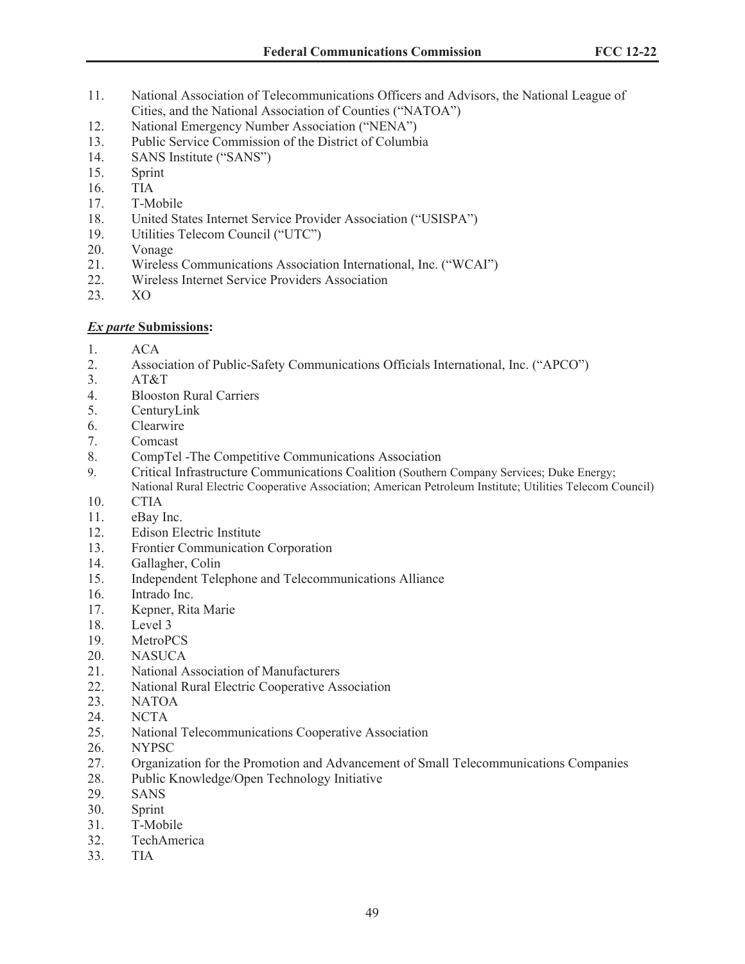- 11. National Association of Telecommunications Officers and Advisors, the National League of Cities, and the National Association of Counties ("NATOA")
- 12. National Emergency Number Association ("NENA")
- 13. Public Service Commission of the District of Columbia
- 14. SANS Institute ("SANS")
- 15. Sprint
- 16. TIA
- 17. T-Mobile
- 18. United States Internet Service Provider Association ("USISPA")
- 19. Utilities Telecom Council ("UTC")
- 20. Vonage
- 21. Wireless Communications Association International, Inc. ("WCAI")
- 22. Wireless Internet Service Providers Association
- 23. XO

### *Ex parte* **Submissions:**

- 1. ACA
- 2. Association of Public-Safety Communications Officials International, Inc. ("APCO")
- 3. AT&T
- 4. Blooston Rural Carriers
- 5. CenturyLink
- 6. Clearwire
- 7. Comcast
- 8. CompTel -The Competitive Communications Association
- 9. Critical Infrastructure Communications Coalition (Southern Company Services; Duke Energy; National Rural Electric Cooperative Association; American Petroleum Institute; Utilities Telecom Council)
- 10. CTIA
- 11. eBay Inc.
- 12. Edison Electric Institute
- 13. Frontier Communication Corporation
- 14. Gallagher, Colin
- 15. Independent Telephone and Telecommunications Alliance
- 16. Intrado Inc.
- 17. Kepner, Rita Marie
- 18. Level 3
- 19. MetroPCS
- 20. NASUCA
- 21. National Association of Manufacturers
- 22. National Rural Electric Cooperative Association
- 23. NATOA
- 24. NCTA
- 25. National Telecommunications Cooperative Association
- 26. NYPSC
- 27. Organization for the Promotion and Advancement of Small Telecommunications Companies
- 28. Public Knowledge/Open Technology Initiative
- 29. SANS
- 30. Sprint
- 31. T-Mobile
- 32. TechAmerica
- 33. TIA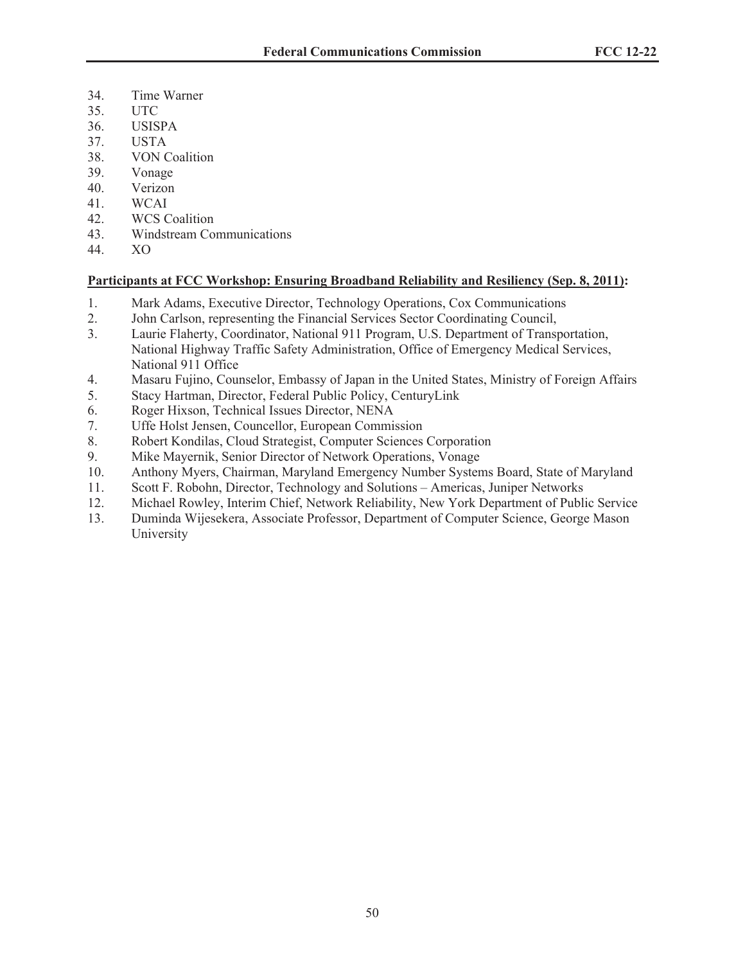- 34. Time Warner
- 35. UTC
- 36. USISPA
- 37. USTA
- 38. VON Coalition
- 39. Vonage
- 40. Verizon
- 41. WCAI
- 42. WCS Coalition
- 43. Windstream Communications
- 44. XO

# **Participants at FCC Workshop: Ensuring Broadband Reliability and Resiliency (Sep. 8, 2011):**

- 1. Mark Adams, Executive Director, Technology Operations, Cox Communications
- 2. John Carlson, representing the Financial Services Sector Coordinating Council,
- 3. Laurie Flaherty, Coordinator, National 911 Program, U.S. Department of Transportation, National Highway Traffic Safety Administration, Office of Emergency Medical Services, National 911 Office
- 4. Masaru Fujino, Counselor, Embassy of Japan in the United States, Ministry of Foreign Affairs
- 5. Stacy Hartman, Director, Federal Public Policy, CenturyLink
- 6. Roger Hixson, Technical Issues Director, NENA
- 7. Uffe Holst Jensen, Councellor, European Commission
- 8. Robert Kondilas, Cloud Strategist, Computer Sciences Corporation
- 9. Mike Mayernik, Senior Director of Network Operations, Vonage
- 10. Anthony Myers, Chairman, Maryland Emergency Number Systems Board, State of Maryland
- 11. Scott F. Robohn, Director, Technology and Solutions Americas, Juniper Networks
- 12. Michael Rowley, Interim Chief, Network Reliability, New York Department of Public Service
- 13. Duminda Wijesekera, Associate Professor, Department of Computer Science, George Mason University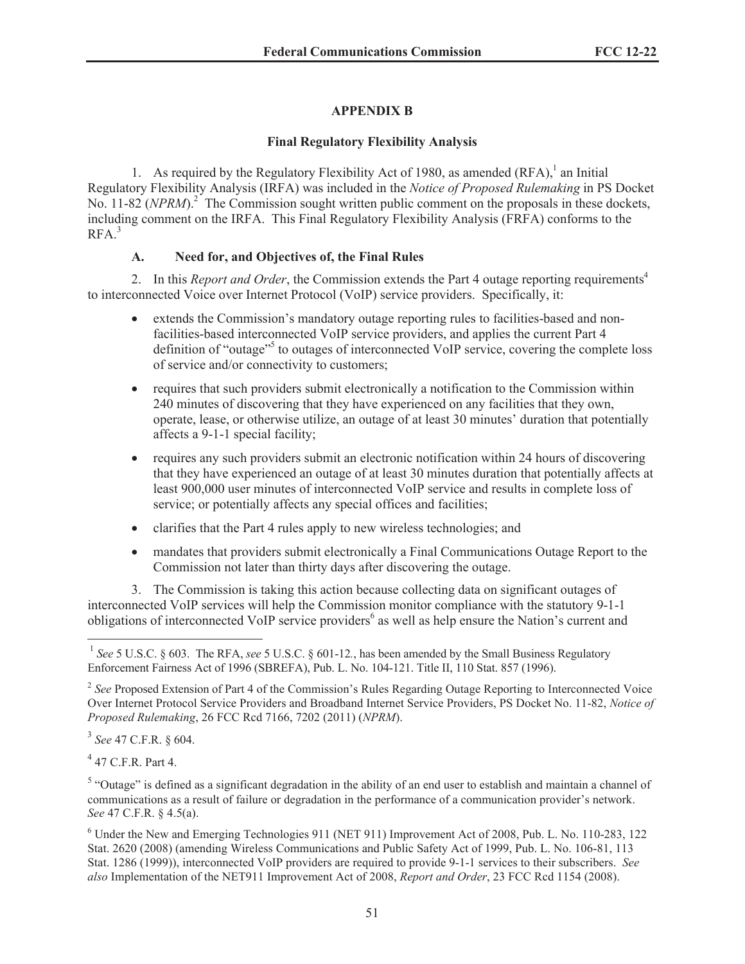# **APPENDIX B**

## **Final Regulatory Flexibility Analysis**

1. As required by the Regulatory Flexibility Act of 1980, as amended  $(RFA)$ ,<sup>1</sup> an Initial Regulatory Flexibility Analysis (IRFA) was included in the *Notice of Proposed Rulemaking* in PS Docket No. 11-82 (*NPRM*).<sup>2</sup> The Commission sought written public comment on the proposals in these dockets, including comment on the IRFA. This Final Regulatory Flexibility Analysis (FRFA) conforms to the  $RFA.<sup>3</sup>$ 

# **A. Need for, and Objectives of, the Final Rules**

2. In this *Report and Order*, the Commission extends the Part 4 outage reporting requirements<sup>4</sup> to interconnected Voice over Internet Protocol (VoIP) service providers. Specifically, it:

- extends the Commission's mandatory outage reporting rules to facilities-based and nonfacilities-based interconnected VoIP service providers, and applies the current Part 4 definition of "outage"<sup>5</sup> to outages of interconnected VoIP service, covering the complete loss of service and/or connectivity to customers;
- requires that such providers submit electronically a notification to the Commission within 240 minutes of discovering that they have experienced on any facilities that they own, operate, lease, or otherwise utilize, an outage of at least 30 minutes' duration that potentially affects a 9-1-1 special facility;
- requires any such providers submit an electronic notification within 24 hours of discovering that they have experienced an outage of at least 30 minutes duration that potentially affects at least 900,000 user minutes of interconnected VoIP service and results in complete loss of service; or potentially affects any special offices and facilities;
- clarifies that the Part 4 rules apply to new wireless technologies; and
- mandates that providers submit electronically a Final Communications Outage Report to the Commission not later than thirty days after discovering the outage.

3. The Commission is taking this action because collecting data on significant outages of interconnected VoIP services will help the Commission monitor compliance with the statutory 9-1-1 obligations of interconnected VoIP service providers<sup>6</sup> as well as help ensure the Nation's current and

3 *See* 47 C.F.R. § 604.

4 47 C.F.R. Part 4.

<sup>&</sup>lt;sup>1</sup> See 5 U.S.C. § 603. The RFA, see 5 U.S.C. § 601-12., has been amended by the Small Business Regulatory Enforcement Fairness Act of 1996 (SBREFA), Pub. L. No. 104-121. Title II, 110 Stat. 857 (1996).

<sup>&</sup>lt;sup>2</sup> See Proposed Extension of Part 4 of the Commission's Rules Regarding Outage Reporting to Interconnected Voice Over Internet Protocol Service Providers and Broadband Internet Service Providers, PS Docket No. 11-82, *Notice of Proposed Rulemaking*, 26 FCC Rcd 7166, 7202 (2011) (*NPRM*).

 $<sup>5</sup>$  "Outage" is defined as a significant degradation in the ability of an end user to establish and maintain a channel of</sup> communications as a result of failure or degradation in the performance of a communication provider's network. *See* 47 C.F.R. § 4.5(a).

<sup>6</sup> Under the New and Emerging Technologies 911 (NET 911) Improvement Act of 2008, Pub. L. No. 110-283, 122 Stat. 2620 (2008) (amending Wireless Communications and Public Safety Act of 1999, Pub. L. No. 106-81, 113 Stat. 1286 (1999)), interconnected VoIP providers are required to provide 9-1-1 services to their subscribers. *See also* Implementation of the NET911 Improvement Act of 2008, *Report and Order*, 23 FCC Rcd 1154 (2008).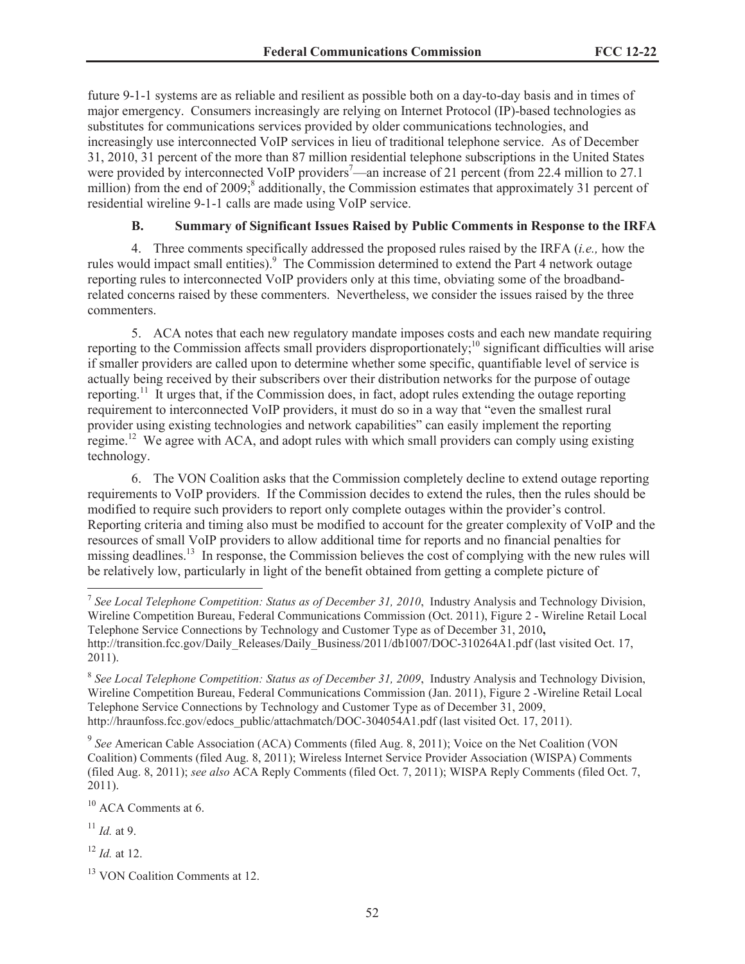future 9-1-1 systems are as reliable and resilient as possible both on a day-to-day basis and in times of major emergency. Consumers increasingly are relying on Internet Protocol (IP)-based technologies as substitutes for communications services provided by older communications technologies, and increasingly use interconnected VoIP services in lieu of traditional telephone service. As of December 31, 2010, 31 percent of the more than 87 million residential telephone subscriptions in the United States were provided by interconnected VoIP providers<sup>7</sup>—an increase of 21 percent (from 22.4 million to 27.1 million) from the end of 2009;<sup>8</sup> additionally, the Commission estimates that approximately 31 percent of residential wireline 9-1-1 calls are made using VoIP service.

### **B. Summary of Significant Issues Raised by Public Comments in Response to the IRFA**

4. Three comments specifically addressed the proposed rules raised by the IRFA (*i.e.,* how the rules would impact small entities).<sup>9</sup> The Commission determined to extend the Part 4 network outage reporting rules to interconnected VoIP providers only at this time, obviating some of the broadbandrelated concerns raised by these commenters. Nevertheless, we consider the issues raised by the three commenters.

5. ACA notes that each new regulatory mandate imposes costs and each new mandate requiring reporting to the Commission affects small providers disproportionately;<sup>10</sup> significant difficulties will arise if smaller providers are called upon to determine whether some specific, quantifiable level of service is actually being received by their subscribers over their distribution networks for the purpose of outage reporting.<sup>11</sup> It urges that, if the Commission does, in fact, adopt rules extending the outage reporting requirement to interconnected VoIP providers, it must do so in a way that "even the smallest rural provider using existing technologies and network capabilities" can easily implement the reporting regime.<sup>12</sup> We agree with ACA, and adopt rules with which small providers can comply using existing technology.

6. The VON Coalition asks that the Commission completely decline to extend outage reporting requirements to VoIP providers. If the Commission decides to extend the rules, then the rules should be modified to require such providers to report only complete outages within the provider's control. Reporting criteria and timing also must be modified to account for the greater complexity of VoIP and the resources of small VoIP providers to allow additional time for reports and no financial penalties for missing deadlines.<sup>13</sup> In response, the Commission believes the cost of complying with the new rules will be relatively low, particularly in light of the benefit obtained from getting a complete picture of

9 *See* American Cable Association (ACA) Comments (filed Aug. 8, 2011); Voice on the Net Coalition (VON Coalition) Comments (filed Aug. 8, 2011); Wireless Internet Service Provider Association (WISPA) Comments (filed Aug. 8, 2011); *see also* ACA Reply Comments (filed Oct. 7, 2011); WISPA Reply Comments (filed Oct. 7, 2011).

<sup>10</sup> ACA Comments at 6.

<sup>11</sup> *Id.* at 9.

<sup>12</sup> *Id.* at 12.

<sup>7</sup> *See Local Telephone Competition: Status as of December 31, 2010*, Industry Analysis and Technology Division, Wireline Competition Bureau, Federal Communications Commission (Oct. 2011), Figure 2 - Wireline Retail Local Telephone Service Connections by Technology and Customer Type as of December 31, 2010**,** http://transition.fcc.gov/Daily\_Releases/Daily\_Business/2011/db1007/DOC-310264A1.pdf (last visited Oct. 17, 2011).

<sup>&</sup>lt;sup>8</sup> See Local Telephone Competition: Status as of December 31, 2009, Industry Analysis and Technology Division, Wireline Competition Bureau, Federal Communications Commission (Jan. 2011), Figure 2 -Wireline Retail Local Telephone Service Connections by Technology and Customer Type as of December 31, 2009, http://hraunfoss.fcc.gov/edocs\_public/attachmatch/DOC-304054A1.pdf (last visited Oct. 17, 2011).

<sup>&</sup>lt;sup>13</sup> VON Coalition Comments at 12.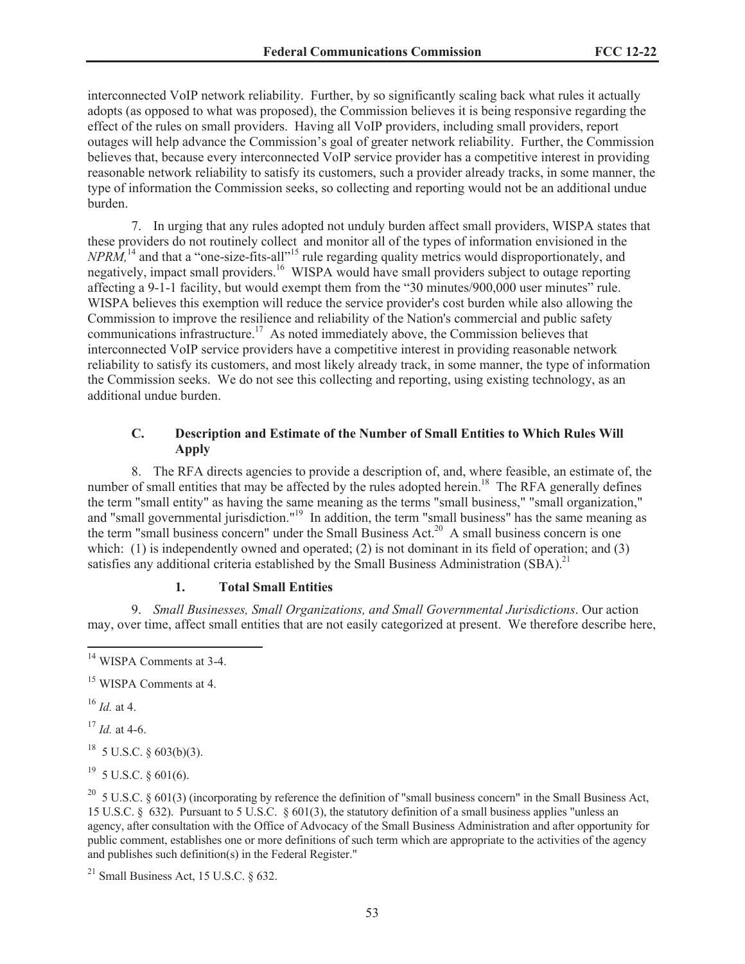interconnected VoIP network reliability. Further, by so significantly scaling back what rules it actually adopts (as opposed to what was proposed), the Commission believes it is being responsive regarding the effect of the rules on small providers. Having all VoIP providers, including small providers, report outages will help advance the Commission's goal of greater network reliability. Further, the Commission believes that, because every interconnected VoIP service provider has a competitive interest in providing reasonable network reliability to satisfy its customers, such a provider already tracks, in some manner, the type of information the Commission seeks, so collecting and reporting would not be an additional undue burden.

7. In urging that any rules adopted not unduly burden affect small providers, WISPA states that these providers do not routinely collect and monitor all of the types of information envisioned in the *NPRM*,<sup>14</sup> and that a "one-size-fits-all"<sup>15</sup> rule regarding quality metrics would disproportionately, and negatively, impact small providers.<sup>16</sup> WISPA would have small providers subject to outage reporting affecting a 9-1-1 facility, but would exempt them from the "30 minutes/900,000 user minutes" rule. WISPA believes this exemption will reduce the service provider's cost burden while also allowing the Commission to improve the resilience and reliability of the Nation's commercial and public safety communications infrastructure.<sup>17</sup> As noted immediately above, the Commission believes that interconnected VoIP service providers have a competitive interest in providing reasonable network reliability to satisfy its customers, and most likely already track, in some manner, the type of information the Commission seeks. We do not see this collecting and reporting, using existing technology, as an additional undue burden.

### **C. Description and Estimate of the Number of Small Entities to Which Rules Will Apply**

8. The RFA directs agencies to provide a description of, and, where feasible, an estimate of, the number of small entities that may be affected by the rules adopted herein.<sup>18</sup> The RFA generally defines the term "small entity" as having the same meaning as the terms "small business," "small organization," and "small governmental jurisdiction."<sup>19</sup> In addition, the term "small business" has the same meaning as the term "small business concern" under the Small Business Act.<sup>20</sup> A small business concern is one which: (1) is independently owned and operated; (2) is not dominant in its field of operation; and (3) satisfies any additional criteria established by the Small Business Administration  $(SBA)^{21}$ 

### **1. Total Small Entities**

9. *Small Businesses, Small Organizations, and Small Governmental Jurisdictions*. Our action may, over time, affect small entities that are not easily categorized at present. We therefore describe here,

<sup>16</sup> *Id.* at 4.

<sup>17</sup> *Id.* at 4-6.

 $18$  5 U.S.C. § 603(b)(3).

 $^{19}$  5 U.S.C. § 601(6).

<sup>20</sup> 5 U.S.C. § 601(3) (incorporating by reference the definition of "small business concern" in the Small Business Act, 15 U.S.C. § 632). Pursuant to 5 U.S.C. § 601(3), the statutory definition of a small business applies "unless an agency, after consultation with the Office of Advocacy of the Small Business Administration and after opportunity for public comment, establishes one or more definitions of such term which are appropriate to the activities of the agency and publishes such definition(s) in the Federal Register."

<sup>21</sup> Small Business Act, 15 U.S.C.  $\frac{632}{632}$ .

<sup>&</sup>lt;sup>14</sup> WISPA Comments at 3-4.

<sup>&</sup>lt;sup>15</sup> WISPA Comments at 4.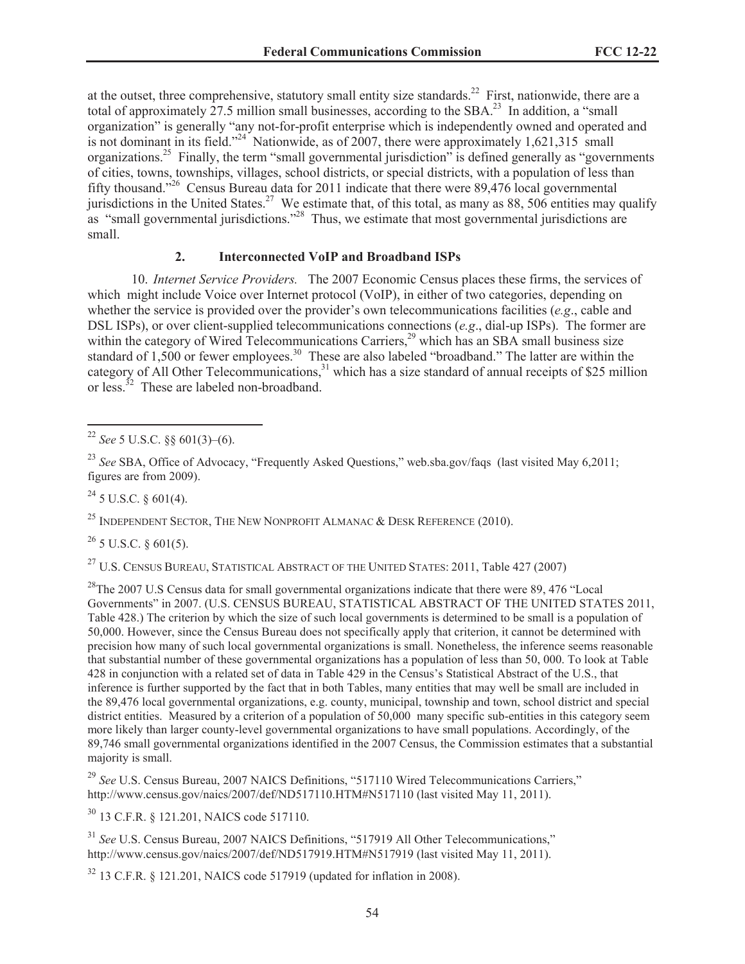at the outset, three comprehensive, statutory small entity size standards.<sup>22</sup> First, nationwide, there are a total of approximately  $27.5$  million small businesses, according to the SBA.<sup>23</sup> In addition, a "small" organization" is generally "any not-for-profit enterprise which is independently owned and operated and is not dominant in its field."<sup>24</sup> Nationwide, as of  $2007$ , there were approximately 1,621,315 small organizations.<sup>25</sup> Finally, the term "small governmental jurisdiction" is defined generally as "governments" of cities, towns, townships, villages, school districts, or special districts, with a population of less than fifty thousand."<sup>26</sup> Census Bureau data for 2011 indicate that there were 89,476 local governmental jurisdictions in the United States.<sup>27</sup> We estimate that, of this total, as many as 88, 506 entities may qualify as "small governmental jurisdictions."<sup>28</sup> Thus, we estimate that most governmental jurisdictions are small.

### **2. Interconnected VoIP and Broadband ISPs**

10. *Internet Service Providers.* The 2007 Economic Census places these firms, the services of which might include Voice over Internet protocol (VoIP), in either of two categories, depending on whether the service is provided over the provider's own telecommunications facilities (*e.g*., cable and DSL ISPs), or over client-supplied telecommunications connections (*e.g*., dial-up ISPs). The former are within the category of Wired Telecommunications Carriers,<sup>29</sup> which has an SBA small business size standard of 1,500 or fewer employees.<sup>30</sup> These are also labeled "broadband." The latter are within the category of All Other Telecommunications,<sup>31</sup> which has a size standard of annual receipts of \$25 million or less. $32$  These are labeled non-broadband.

<sup>23</sup> See SBA, Office of Advocacy, "Frequently Asked Questions," web.sba.gov/faqs (last visited May 6,2011; figures are from 2009).

 $^{24}$  5 U.S.C. § 601(4).

<sup>25</sup> INDEPENDENT SECTOR, THE NEW NONPROFIT ALMANAC  $\&$  DESK REFERENCE (2010).

 $^{26}$  5 U.S.C. § 601(5).

<sup>27</sup> U.S. CENSUS BUREAU, STATISTICAL ABSTRACT OF THE UNITED STATES: 2011, Table 427 (2007)

 $^{28}$ The 2007 U.S Census data for small governmental organizations indicate that there were 89, 476 "Local Governments" in 2007. (U.S. CENSUS BUREAU, STATISTICAL ABSTRACT OF THE UNITED STATES 2011, Table 428.) The criterion by which the size of such local governments is determined to be small is a population of 50,000. However, since the Census Bureau does not specifically apply that criterion, it cannot be determined with precision how many of such local governmental organizations is small. Nonetheless, the inference seems reasonable that substantial number of these governmental organizations has a population of less than 50, 000. To look at Table 428 in conjunction with a related set of data in Table 429 in the Census's Statistical Abstract of the U.S., that inference is further supported by the fact that in both Tables, many entities that may well be small are included in the 89,476 local governmental organizations, e.g. county, municipal, township and town, school district and special district entities. Measured by a criterion of a population of 50,000 many specific sub-entities in this category seem more likely than larger county-level governmental organizations to have small populations. Accordingly, of the 89,746 small governmental organizations identified in the 2007 Census, the Commission estimates that a substantial majority is small.

<sup>29</sup> See U.S. Census Bureau, 2007 NAICS Definitions, "517110 Wired Telecommunications Carriers," http://www.census.gov/naics/2007/def/ND517110.HTM#N517110 (last visited May 11, 2011).

<sup>30</sup> 13 C.F.R. § 121.201, NAICS code 517110.

<sup>31</sup> See U.S. Census Bureau, 2007 NAICS Definitions, "517919 All Other Telecommunications," http://www.census.gov/naics/2007/def/ND517919.HTM#N517919 (last visited May 11, 2011).

 $32$  13 C.F.R. § 121.201, NAICS code 517919 (updated for inflation in 2008).

<sup>&</sup>lt;sup>22</sup> *See* 5 U.S.C. §§ 601(3)–(6).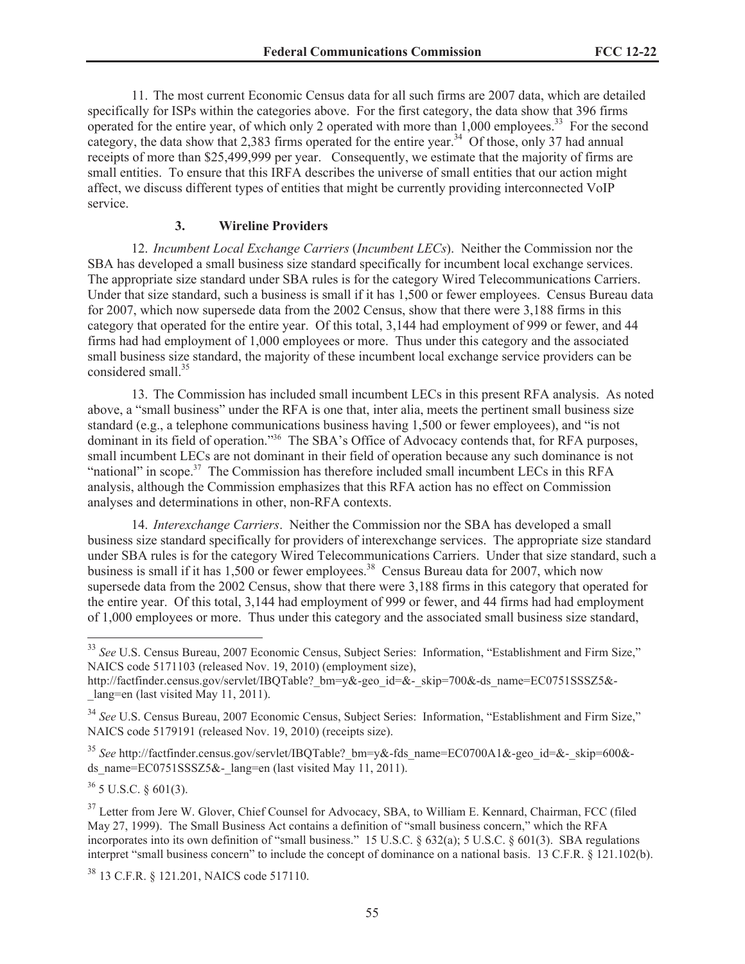11. The most current Economic Census data for all such firms are 2007 data, which are detailed specifically for ISPs within the categories above. For the first category, the data show that 396 firms operated for the entire year, of which only 2 operated with more than 1,000 employees.<sup>33</sup> For the second category, the data show that 2,383 firms operated for the entire year.<sup>34</sup> Of those, only 37 had annual receipts of more than \$25,499,999 per year. Consequently, we estimate that the majority of firms are small entities. To ensure that this IRFA describes the universe of small entities that our action might affect, we discuss different types of entities that might be currently providing interconnected VoIP service.

### **3. Wireline Providers**

12. *Incumbent Local Exchange Carriers* (*Incumbent LECs*). Neither the Commission nor the SBA has developed a small business size standard specifically for incumbent local exchange services. The appropriate size standard under SBA rules is for the category Wired Telecommunications Carriers. Under that size standard, such a business is small if it has 1,500 or fewer employees. Census Bureau data for 2007, which now supersede data from the 2002 Census, show that there were 3,188 firms in this category that operated for the entire year. Of this total, 3,144 had employment of 999 or fewer, and 44 firms had had employment of 1,000 employees or more. Thus under this category and the associated small business size standard, the majority of these incumbent local exchange service providers can be considered small.<sup>35</sup>

13. The Commission has included small incumbent LECs in this present RFA analysis. As noted above, a "small business" under the RFA is one that, inter alia, meets the pertinent small business size standard (e.g., a telephone communications business having 1,500 or fewer employees), and "is not dominant in its field of operation."<sup>36</sup> The SBA's Office of Advocacy contends that, for RFA purposes, small incumbent LECs are not dominant in their field of operation because any such dominance is not "national" in scope.<sup>37</sup> The Commission has therefore included small incumbent LECs in this RFA analysis, although the Commission emphasizes that this RFA action has no effect on Commission analyses and determinations in other, non-RFA contexts.

14. *Interexchange Carriers*. Neither the Commission nor the SBA has developed a small business size standard specifically for providers of interexchange services. The appropriate size standard under SBA rules is for the category Wired Telecommunications Carriers. Under that size standard, such a business is small if it has 1,500 or fewer employees.<sup>38</sup> Census Bureau data for 2007, which now supersede data from the 2002 Census, show that there were 3,188 firms in this category that operated for the entire year. Of this total, 3,144 had employment of 999 or fewer, and 44 firms had had employment of 1,000 employees or more. Thus under this category and the associated small business size standard,

 $36$  5 U.S.C. § 601(3).

<sup>38</sup> 13 C.F.R. § 121.201, NAICS code 517110.

<sup>&</sup>lt;sup>33</sup> See U.S. Census Bureau, 2007 Economic Census, Subject Series: Information, "Establishment and Firm Size," NAICS code 5171103 (released Nov. 19, 2010) (employment size),

http://factfinder.census.gov/servlet/IBQTable?\_bm=y&-geo\_id=&-\_skip=700&-ds\_name=EC0751SSSZ5&- \_lang=en (last visited May 11, 2011).

<sup>34</sup> *See* U.S. Census Bureau, 2007 Economic Census, Subject Series: Information, "Establishment and Firm Size," NAICS code 5179191 (released Nov. 19, 2010) (receipts size).

<sup>&</sup>lt;sup>35</sup> See http://factfinder.census.gov/servlet/IBQTable? bm=y&-fds\_name=EC0700A1&-geo\_id=&-\_skip=600&ds\_name=EC0751SSSZ5&-\_lang=en (last visited May 11, 2011).

<sup>&</sup>lt;sup>37</sup> Letter from Jere W. Glover, Chief Counsel for Advocacy, SBA, to William E. Kennard, Chairman, FCC (filed May 27, 1999). The Small Business Act contains a definition of "small business concern," which the RFA incorporates into its own definition of "small business." 15 U.S.C. § 632(a); 5 U.S.C. § 601(3). SBA regulations interpret "small business concern" to include the concept of dominance on a national basis. 13 C.F.R. § 121.102(b).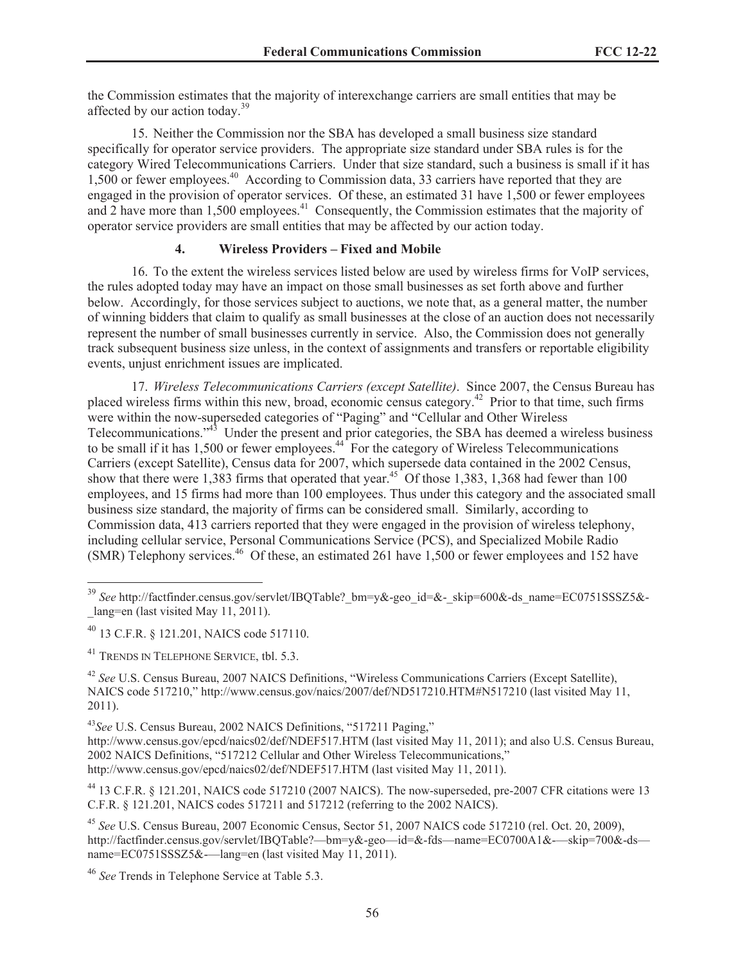the Commission estimates that the majority of interexchange carriers are small entities that may be affected by our action today.<sup>39</sup>

15. Neither the Commission nor the SBA has developed a small business size standard specifically for operator service providers. The appropriate size standard under SBA rules is for the category Wired Telecommunications Carriers. Under that size standard, such a business is small if it has 1,500 or fewer employees.<sup>40</sup> According to Commission data, 33 carriers have reported that they are engaged in the provision of operator services. Of these, an estimated 31 have 1,500 or fewer employees and 2 have more than 1,500 employees.<sup>41</sup> Consequently, the Commission estimates that the majority of operator service providers are small entities that may be affected by our action today.

### **4. Wireless Providers – Fixed and Mobile**

16. To the extent the wireless services listed below are used by wireless firms for VoIP services, the rules adopted today may have an impact on those small businesses as set forth above and further below. Accordingly, for those services subject to auctions, we note that, as a general matter, the number of winning bidders that claim to qualify as small businesses at the close of an auction does not necessarily represent the number of small businesses currently in service. Also, the Commission does not generally track subsequent business size unless, in the context of assignments and transfers or reportable eligibility events, unjust enrichment issues are implicated.

17. *Wireless Telecommunications Carriers (except Satellite)*. Since 2007, the Census Bureau has placed wireless firms within this new, broad, economic census category.<sup>42</sup> Prior to that time, such firms were within the now-superseded categories of "Paging" and "Cellular and Other Wireless Telecommunications."<sup>43</sup> Under the present and prior categories, the SBA has deemed a wireless business to be small if it has 1,500 or fewer employees.<sup>44</sup> For the category of Wireless Telecommunications Carriers (except Satellite), Census data for 2007, which supersede data contained in the 2002 Census, show that there were 1,383 firms that operated that year.<sup>45</sup> Of those 1,383, 1,368 had fewer than 100 employees, and 15 firms had more than 100 employees. Thus under this category and the associated small business size standard, the majority of firms can be considered small. Similarly, according to Commission data, 413 carriers reported that they were engaged in the provision of wireless telephony, including cellular service, Personal Communications Service (PCS), and Specialized Mobile Radio (SMR) Telephony services.<sup>46</sup> Of these, an estimated 261 have 1,500 or fewer employees and 152 have

<sup>&</sup>lt;sup>39</sup> See http://factfinder.census.gov/servlet/IBOTable? bm=y&-geo\_id=&-\_skip=600&-ds\_name=EC0751SSSZ5&-\_lang=en (last visited May 11, 2011).

<sup>40</sup> 13 C.F.R. § 121.201, NAICS code 517110.

<sup>&</sup>lt;sup>41</sup> TRENDS IN TELEPHONE SERVICE, tbl. 5.3.

<sup>42</sup> *See* U.S. Census Bureau, 2007 NAICS Definitions, "Wireless Communications Carriers (Except Satellite), NAICS code 517210," http://www.census.gov/naics/2007/def/ND517210.HTM#N517210 (last visited May 11, 2011).

<sup>43</sup>*See* U.S. Census Bureau, 2002 NAICS Definitions, "517211 Paging,"

http://www.census.gov/epcd/naics02/def/NDEF517.HTM (last visited May 11, 2011); and also U.S. Census Bureau, 2002 NAICS Definitions, "517212 Cellular and Other Wireless Telecommunications," http://www.census.gov/epcd/naics02/def/NDEF517.HTM (last visited May 11, 2011).

<sup>44</sup> 13 C.F.R. § 121.201, NAICS code 517210 (2007 NAICS). The now-superseded, pre-2007 CFR citations were 13 C.F.R. § 121.201, NAICS codes 517211 and 517212 (referring to the 2002 NAICS).

<sup>45</sup> *See* U.S. Census Bureau, 2007 Economic Census, Sector 51, 2007 NAICS code 517210 (rel. Oct. 20, 2009), http://factfinder.census.gov/servlet/IBQTable?—bm=y&-geo—id=&-fds—name=EC0700A1&-—skip=700&-ds name=EC0751SSSZ5&-----lang=en (last visited May 11, 2011).

<sup>46</sup> *See* Trends in Telephone Service at Table 5.3.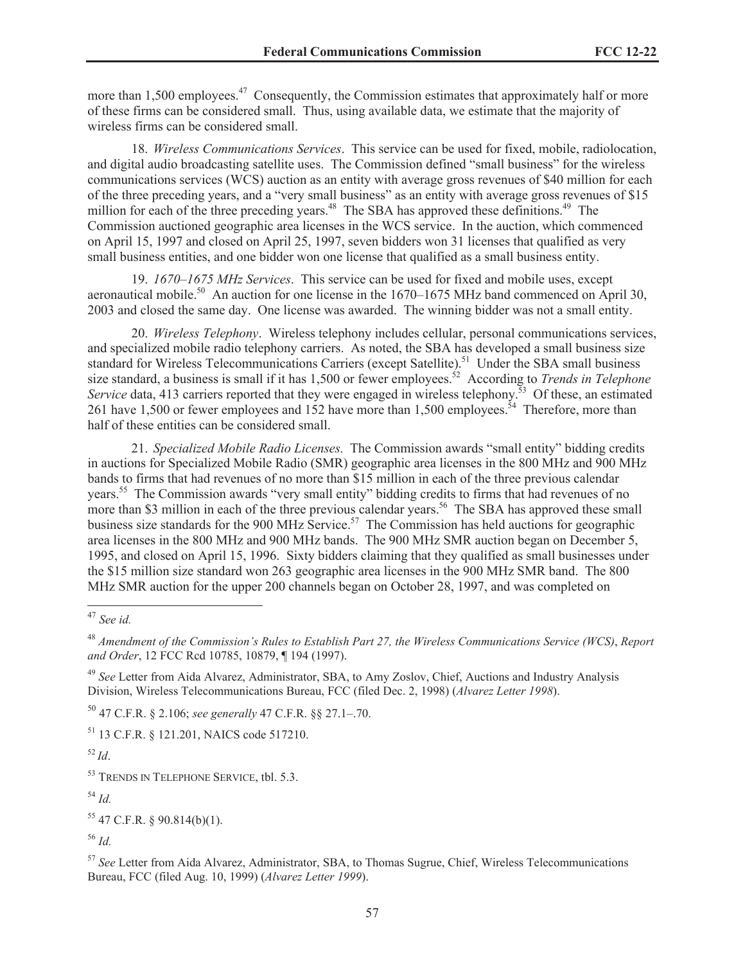more than 1,500 employees.<sup>47</sup> Consequently, the Commission estimates that approximately half or more of these firms can be considered small. Thus, using available data, we estimate that the majority of wireless firms can be considered small.

18. *Wireless Communications Services*. This service can be used for fixed, mobile, radiolocation, and digital audio broadcasting satellite uses. The Commission defined "small business" for the wireless communications services (WCS) auction as an entity with average gross revenues of \$40 million for each of the three preceding years, and a "very small business" as an entity with average gross revenues of \$15 million for each of the three preceding years.<sup>48</sup> The SBA has approved these definitions.<sup>49</sup> The Commission auctioned geographic area licenses in the WCS service. In the auction, which commenced on April 15, 1997 and closed on April 25, 1997, seven bidders won 31 licenses that qualified as very small business entities, and one bidder won one license that qualified as a small business entity.

19. *1670–1675 MHz Services*. This service can be used for fixed and mobile uses, except aeronautical mobile.<sup>50</sup> An auction for one license in the  $1670-1675$  MHz band commenced on April 30, 2003 and closed the same day. One license was awarded. The winning bidder was not a small entity.

20. *Wireless Telephony*. Wireless telephony includes cellular, personal communications services, and specialized mobile radio telephony carriers. As noted, the SBA has developed a small business size standard for Wireless Telecommunications Carriers (except Satellite).<sup>51</sup> Under the SBA small business size standard, a business is small if it has 1,500 or fewer employees.<sup>52</sup> According to *Trends in Telephone Service* data, 413 carriers reported that they were engaged in wireless telephony.<sup>53</sup> Of these, an estimated 261 have 1,500 or fewer employees and 152 have more than 1,500 employees.<sup>54</sup> Therefore, more than half of these entities can be considered small.

21. *Specialized Mobile Radio Licenses.* The Commission awards "small entity" bidding credits in auctions for Specialized Mobile Radio (SMR) geographic area licenses in the 800 MHz and 900 MHz bands to firms that had revenues of no more than \$15 million in each of the three previous calendar years.<sup>55</sup> The Commission awards "very small entity" bidding credits to firms that had revenues of no more than \$3 million in each of the three previous calendar years.<sup>56</sup> The SBA has approved these small business size standards for the 900 MHz Service.<sup>57</sup> The Commission has held auctions for geographic area licenses in the 800 MHz and 900 MHz bands. The 900 MHz SMR auction began on December 5, 1995, and closed on April 15, 1996. Sixty bidders claiming that they qualified as small businesses under the \$15 million size standard won 263 geographic area licenses in the 900 MHz SMR band. The 800 MHz SMR auction for the upper 200 channels began on October 28, 1997, and was completed on

<sup>50</sup> 47 C.F.R. § 2.106; *see generally* 47 C.F.R. §§ 27.1–.70.

<sup>51</sup> 13 C.F.R. § 121.201, NAICS code 517210.

<sup>52</sup> *Id*.

<sup>53</sup> TRENDS IN TELEPHONE SERVICE, tbl. 5.3.

<sup>54</sup> *Id.*

<sup>55</sup> 47 C.F.R. § 90.814(b)(1).

<sup>56</sup> *Id.*

<sup>57</sup> *See* Letter from Aida Alvarez, Administrator, SBA, to Thomas Sugrue, Chief, Wireless Telecommunications Bureau, FCC (filed Aug. 10, 1999) (*Alvarez Letter 1999*).

<sup>47</sup> *See id.*

<sup>48</sup> *Amendment of the Commission's Rules to Establish Part 27, the Wireless Communications Service (WCS)*, *Report and Order*, 12 FCC Rcd 10785, 10879, ¶ 194 (1997).

<sup>49</sup> *See* Letter from Aida Alvarez, Administrator, SBA, to Amy Zoslov, Chief, Auctions and Industry Analysis Division, Wireless Telecommunications Bureau, FCC (filed Dec. 2, 1998) (*Alvarez Letter 1998*).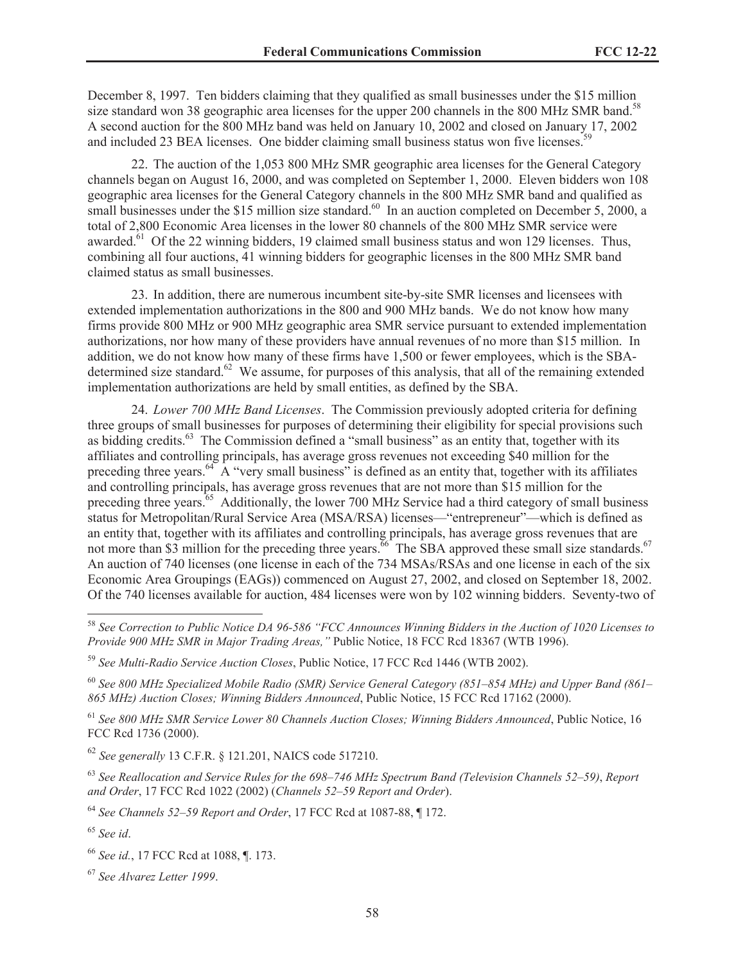December 8, 1997. Ten bidders claiming that they qualified as small businesses under the \$15 million size standard won 38 geographic area licenses for the upper 200 channels in the 800 MHz SMR band.<sup>58</sup> A second auction for the 800 MHz band was held on January 10, 2002 and closed on January 17, 2002 and included 23 BEA licenses. One bidder claiming small business status won five licenses.<sup>5</sup>

22. The auction of the 1,053 800 MHz SMR geographic area licenses for the General Category channels began on August 16, 2000, and was completed on September 1, 2000. Eleven bidders won 108 geographic area licenses for the General Category channels in the 800 MHz SMR band and qualified as small businesses under the \$15 million size standard.<sup>60</sup> In an auction completed on December 5, 2000, a total of 2,800 Economic Area licenses in the lower 80 channels of the 800 MHz SMR service were awarded.<sup>61</sup> Of the 22 winning bidders, 19 claimed small business status and won 129 licenses. Thus, combining all four auctions, 41 winning bidders for geographic licenses in the 800 MHz SMR band claimed status as small businesses.

23. In addition, there are numerous incumbent site-by-site SMR licenses and licensees with extended implementation authorizations in the 800 and 900 MHz bands. We do not know how many firms provide 800 MHz or 900 MHz geographic area SMR service pursuant to extended implementation authorizations, nor how many of these providers have annual revenues of no more than \$15 million. In addition, we do not know how many of these firms have 1,500 or fewer employees, which is the SBAdetermined size standard.<sup>62</sup> We assume, for purposes of this analysis, that all of the remaining extended implementation authorizations are held by small entities, as defined by the SBA.

24. *Lower 700 MHz Band Licenses*. The Commission previously adopted criteria for defining three groups of small businesses for purposes of determining their eligibility for special provisions such as bidding credits.<sup>63</sup> The Commission defined a "small business" as an entity that, together with its affiliates and controlling principals, has average gross revenues not exceeding \$40 million for the preceding three years.<sup>64</sup> A "very small business" is defined as an entity that, together with its affiliates and controlling principals, has average gross revenues that are not more than \$15 million for the preceding three years.<sup>65</sup> Additionally, the lower 700 MHz Service had a third category of small business status for Metropolitan/Rural Service Area (MSA/RSA) licenses—"entrepreneur"—which is defined as an entity that, together with its affiliates and controlling principals, has average gross revenues that are not more than \$3 million for the preceding three years.<sup>66</sup> The SBA approved these small size standards.<sup>67</sup> An auction of 740 licenses (one license in each of the 734 MSAs/RSAs and one license in each of the six Economic Area Groupings (EAGs)) commenced on August 27, 2002, and closed on September 18, 2002. Of the 740 licenses available for auction, 484 licenses were won by 102 winning bidders. Seventy-two of

<sup>60</sup> *See 800 MHz Specialized Mobile Radio (SMR) Service General Category (851–854 MHz) and Upper Band (861– 865 MHz) Auction Closes; Winning Bidders Announced*, Public Notice, 15 FCC Rcd 17162 (2000).

<sup>61</sup> *See 800 MHz SMR Service Lower 80 Channels Auction Closes; Winning Bidders Announced*, Public Notice, 16 FCC Rcd 1736 (2000).

<sup>62</sup> *See generally* 13 C.F.R. § 121.201, NAICS code 517210.

<sup>63</sup> *See Reallocation and Service Rules for the 698*–*746 MHz Spectrum Band (Television Channels 52*–*59)*, *Report and Order*, 17 FCC Rcd 1022 (2002) (*Channels 52*–*59 Report and Order*).

<sup>64</sup> *See Channels 52–59 Report and Order*, 17 FCC Rcd at 1087-88, ¶ 172.

<sup>58</sup> *See Correction to Public Notice DA 96-586 "FCC Announces Winning Bidders in the Auction of 1020 Licenses to Provide 900 MHz SMR in Major Trading Areas,"* Public Notice, 18 FCC Rcd 18367 (WTB 1996).

<sup>59</sup> *See Multi-Radio Service Auction Closes*, Public Notice, 17 FCC Rcd 1446 (WTB 2002).

<sup>65</sup> *See id*.

<sup>66</sup> *See id.*, 17 FCC Rcd at 1088, ¶. 173.

<sup>67</sup> *See Alvarez Letter 1999*.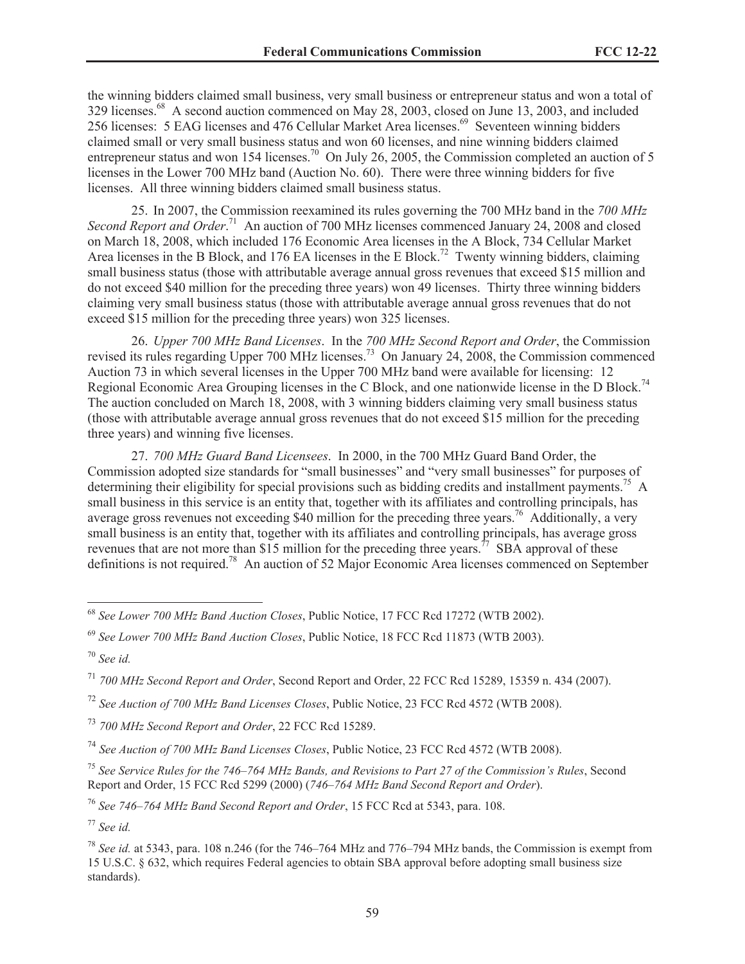the winning bidders claimed small business, very small business or entrepreneur status and won a total of 329 licenses.<sup>68</sup> A second auction commenced on May 28, 2003, closed on June 13, 2003, and included 256 licenses: 5 EAG licenses and 476 Cellular Market Area licenses.<sup>69</sup> Seventeen winning bidders claimed small or very small business status and won 60 licenses, and nine winning bidders claimed entrepreneur status and won 154 licenses.<sup>70</sup> On July 26, 2005, the Commission completed an auction of 5 licenses in the Lower 700 MHz band (Auction No. 60). There were three winning bidders for five licenses. All three winning bidders claimed small business status.

25. In 2007, the Commission reexamined its rules governing the 700 MHz band in the *700 MHz*  Second Report and Order.<sup>71</sup> An auction of 700 MHz licenses commenced January 24, 2008 and closed on March 18, 2008, which included 176 Economic Area licenses in the A Block, 734 Cellular Market Area licenses in the B Block, and 176 EA licenses in the E Block.<sup>72</sup> Twenty winning bidders, claiming small business status (those with attributable average annual gross revenues that exceed \$15 million and do not exceed \$40 million for the preceding three years) won 49 licenses. Thirty three winning bidders claiming very small business status (those with attributable average annual gross revenues that do not exceed \$15 million for the preceding three years) won 325 licenses.

26. *Upper 700 MHz Band Licenses*. In the *700 MHz Second Report and Order*, the Commission revised its rules regarding Upper 700 MHz licenses.<sup>73</sup> On January 24,  $2008$ , the Commission commenced Auction 73 in which several licenses in the Upper 700 MHz band were available for licensing: 12 Regional Economic Area Grouping licenses in the C Block, and one nationwide license in the D Block.<sup>74</sup> The auction concluded on March 18, 2008, with 3 winning bidders claiming very small business status (those with attributable average annual gross revenues that do not exceed \$15 million for the preceding three years) and winning five licenses.

27. *700 MHz Guard Band Licensees*. In 2000, in the 700 MHz Guard Band Order, the Commission adopted size standards for "small businesses" and "very small businesses" for purposes of determining their eligibility for special provisions such as bidding credits and installment payments.<sup>75</sup> A small business in this service is an entity that, together with its affiliates and controlling principals, has average gross revenues not exceeding \$40 million for the preceding three years.<sup>76</sup> Additionally, a very small business is an entity that, together with its affiliates and controlling principals, has average gross revenues that are not more than \$15 million for the preceding three years.<sup>77</sup> SBA approval of these definitions is not required.<sup>78</sup> An auction of 52 Major Economic Area licenses commenced on September

<sup>76</sup> *See 746–764 MHz Band Second Report and Order*, 15 FCC Rcd at 5343, para. 108.

<sup>68</sup> *See Lower 700 MHz Band Auction Closes*, Public Notice, 17 FCC Rcd 17272 (WTB 2002).

<sup>69</sup> *See Lower 700 MHz Band Auction Closes*, Public Notice, 18 FCC Rcd 11873 (WTB 2003).

<sup>70</sup> *See id.*

<sup>71</sup> *700 MHz Second Report and Order*, Second Report and Order, 22 FCC Rcd 15289, 15359 n. 434 (2007).

<sup>72</sup> *See Auction of 700 MHz Band Licenses Closes*, Public Notice, 23 FCC Rcd 4572 (WTB 2008).

<sup>73</sup> *700 MHz Second Report and Order*, 22 FCC Rcd 15289.

<sup>74</sup> *See Auction of 700 MHz Band Licenses Closes*, Public Notice, 23 FCC Rcd 4572 (WTB 2008).

<sup>75</sup> *See Service Rules for the 746–764 MHz Bands, and Revisions to Part 27 of the Commission's Rules*, Second Report and Order, 15 FCC Rcd 5299 (2000) (*746–764 MHz Band Second Report and Order*).

<sup>77</sup> *See id.*

<sup>78</sup> *See id.* at 5343, para. 108 n.246 (for the 746–764 MHz and 776–794 MHz bands, the Commission is exempt from 15 U.S.C. § 632, which requires Federal agencies to obtain SBA approval before adopting small business size standards).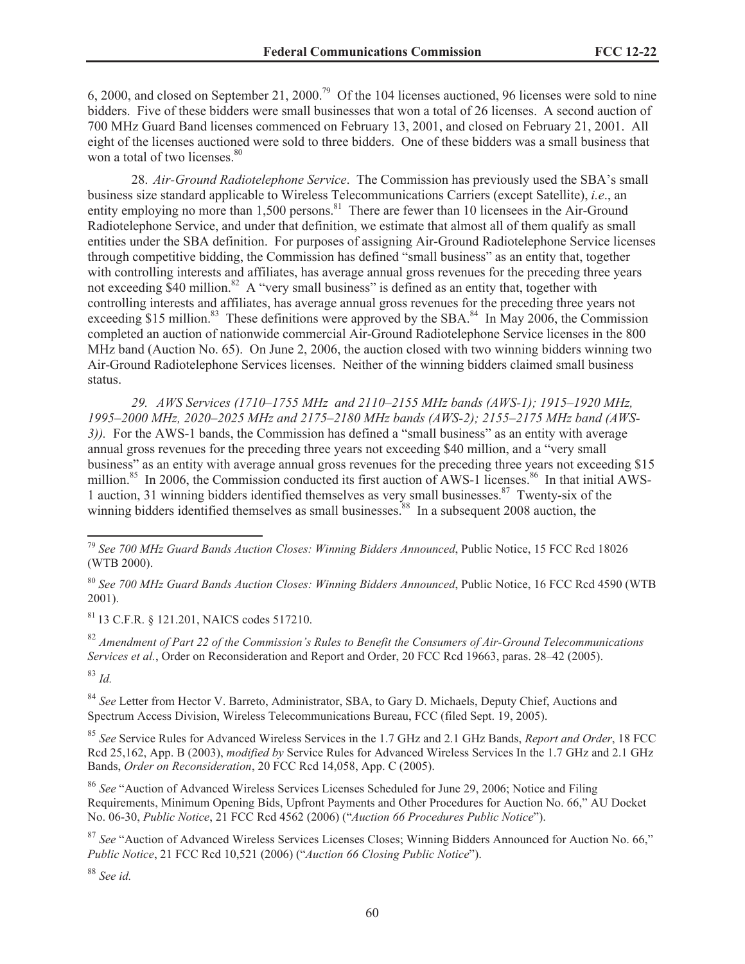6, 2000, and closed on September 21, 2000.<sup>79</sup> Of the 104 licenses auctioned, 96 licenses were sold to nine bidders. Five of these bidders were small businesses that won a total of 26 licenses. A second auction of 700 MHz Guard Band licenses commenced on February 13, 2001, and closed on February 21, 2001. All eight of the licenses auctioned were sold to three bidders. One of these bidders was a small business that won a total of two licenses.<sup>80</sup>

28. *Air-Ground Radiotelephone Service*. The Commission has previously used the SBA's small business size standard applicable to Wireless Telecommunications Carriers (except Satellite), *i.e*., an entity employing no more than 1,500 persons.<sup>81</sup> There are fewer than 10 licensees in the Air-Ground Radiotelephone Service, and under that definition, we estimate that almost all of them qualify as small entities under the SBA definition. For purposes of assigning Air-Ground Radiotelephone Service licenses through competitive bidding, the Commission has defined "small business" as an entity that, together with controlling interests and affiliates, has average annual gross revenues for the preceding three years not exceeding \$40 million.<sup>82</sup> A "very small business" is defined as an entity that, together with controlling interests and affiliates, has average annual gross revenues for the preceding three years not exceeding \$15 million.<sup>83</sup> These definitions were approved by the SBA.<sup>84</sup> In May 2006, the Commission completed an auction of nationwide commercial Air-Ground Radiotelephone Service licenses in the 800 MHz band (Auction No. 65). On June 2, 2006, the auction closed with two winning bidders winning two Air-Ground Radiotelephone Services licenses. Neither of the winning bidders claimed small business status.

*29. AWS Services (1710–1755 MHz and 2110–2155 MHz bands (AWS-1); 1915–1920 MHz, 1995–2000 MHz, 2020–2025 MHz and 2175–2180 MHz bands (AWS-2); 2155–2175 MHz band (AWS-3)).* For the AWS-1 bands, the Commission has defined a "small business" as an entity with average annual gross revenues for the preceding three years not exceeding \$40 million, and a "very small business" as an entity with average annual gross revenues for the preceding three years not exceeding \$15 million.<sup>85</sup> In 2006, the Commission conducted its first auction of AWS-1 licenses.<sup>86</sup> In that initial AWS-1 auction, 31 winning bidders identified themselves as very small businesses.<sup>87</sup> Twenty-six of the winning bidders identified themselves as small businesses.<sup>88</sup> In a subsequent 2008 auction, the

<sup>81</sup> 13 C.F.R. § 121.201, NAICS codes 517210.

<sup>82</sup> *Amendment of Part 22 of the Commission's Rules to Benefit the Consumers of Air-Ground Telecommunications Services et al.*, Order on Reconsideration and Report and Order, 20 FCC Rcd 19663, paras. 28*–*42 (2005). <sup>83</sup> *Id.*

<sup>84</sup> *See* Letter from Hector V. Barreto, Administrator, SBA, to Gary D. Michaels, Deputy Chief, Auctions and Spectrum Access Division, Wireless Telecommunications Bureau, FCC (filed Sept. 19, 2005).

<sup>85</sup> *See* Service Rules for Advanced Wireless Services in the 1.7 GHz and 2.1 GHz Bands, *Report and Order*, 18 FCC Rcd 25,162, App. B (2003), *modified by* Service Rules for Advanced Wireless Services In the 1.7 GHz and 2.1 GHz Bands, *Order on Reconsideration*, 20 FCC Rcd 14,058, App. C (2005).

<sup>86</sup> *See* "Auction of Advanced Wireless Services Licenses Scheduled for June 29, 2006; Notice and Filing Requirements, Minimum Opening Bids, Upfront Payments and Other Procedures for Auction No. 66," AU Docket No. 06-30, *Public Notice*, 21 FCC Rcd 4562 (2006) ("*Auction 66 Procedures Public Notice*").

<sup>87</sup> See "Auction of Advanced Wireless Services Licenses Closes; Winning Bidders Announced for Auction No. 66," *Public Notice*, 21 FCC Rcd 10,521 (2006) ("*Auction 66 Closing Public Notice*").

<sup>88</sup> *See id.*

<sup>79</sup> *See 700 MHz Guard Bands Auction Closes: Winning Bidders Announced*, Public Notice, 15 FCC Rcd 18026 (WTB 2000).

<sup>80</sup> *See 700 MHz Guard Bands Auction Closes: Winning Bidders Announced*, Public Notice, 16 FCC Rcd 4590 (WTB 2001).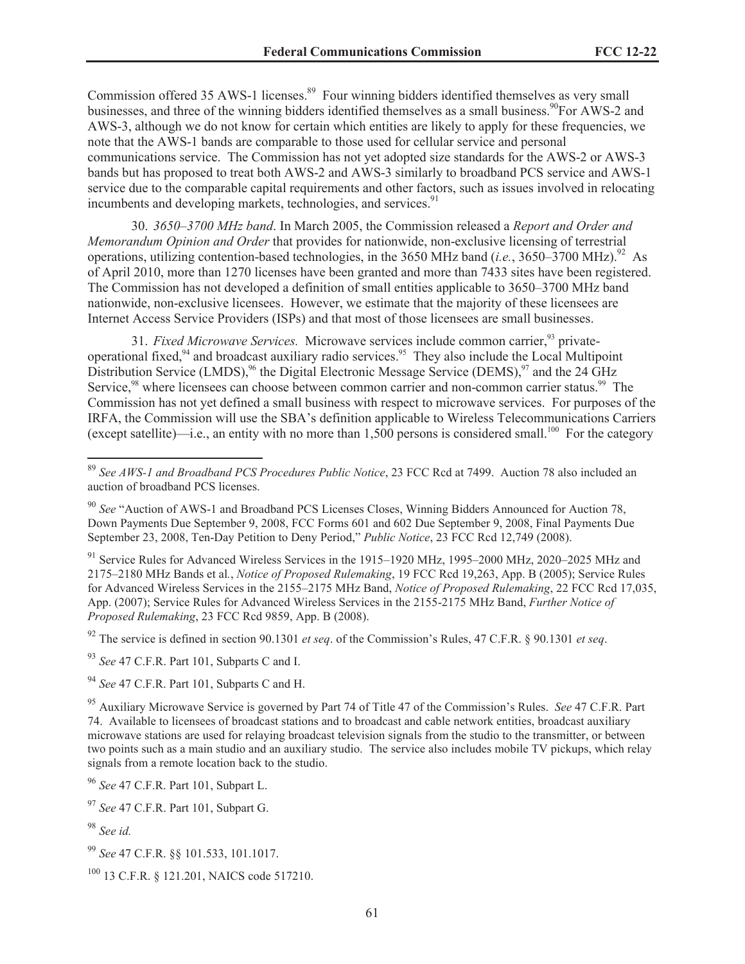Commission offered 35 AWS-1 licenses.<sup>89</sup> Four winning bidders identified themselves as very small businesses, and three of the winning bidders identified themselves as a small business.<sup>90</sup>For AWS-2 and AWS-3, although we do not know for certain which entities are likely to apply for these frequencies, we note that the AWS-1 bands are comparable to those used for cellular service and personal communications service. The Commission has not yet adopted size standards for the AWS-2 or AWS-3 bands but has proposed to treat both AWS-2 and AWS-3 similarly to broadband PCS service and AWS-1 service due to the comparable capital requirements and other factors, such as issues involved in relocating incumbents and developing markets, technologies, and services.<sup>91</sup>

30. *3650–3700 MHz band*. In March 2005, the Commission released a *Report and Order and Memorandum Opinion and Order* that provides for nationwide, non-exclusive licensing of terrestrial operations, utilizing contention-based technologies, in the 3650 MHz band (*i.e.*, 3650–3700 MHz).<sup>92</sup> As of April 2010, more than 1270 licenses have been granted and more than 7433 sites have been registered. The Commission has not developed a definition of small entities applicable to 3650–3700 MHz band nationwide, non-exclusive licensees. However, we estimate that the majority of these licensees are Internet Access Service Providers (ISPs) and that most of those licensees are small businesses.

31. *Fixed Microwave Services*. Microwave services include common carrier,<sup>93</sup> privateoperational fixed, $94$  and broadcast auxiliary radio services.  $95$  They also include the Local Multipoint Distribution Service (LMDS),<sup>96</sup> the Digital Electronic Message Service (DEMS),<sup>97</sup> and the 24 GHz Service,<sup>98</sup> where licensees can choose between common carrier and non-common carrier status.<sup>99</sup> The Commission has not yet defined a small business with respect to microwave services. For purposes of the IRFA, the Commission will use the SBA's definition applicable to Wireless Telecommunications Carriers (except satellite)—i.e., an entity with no more than 1,500 persons is considered small.<sup>100</sup> For the category

<sup>91</sup> Service Rules for Advanced Wireless Services in the 1915–1920 MHz, 1995–2000 MHz, 2020–2025 MHz and 2175–2180 MHz Bands et al*.*, *Notice of Proposed Rulemaking*, 19 FCC Rcd 19,263, App. B (2005); Service Rules for Advanced Wireless Services in the 2155–2175 MHz Band, *Notice of Proposed Rulemaking*, 22 FCC Rcd 17,035, App. (2007); Service Rules for Advanced Wireless Services in the 2155-2175 MHz Band, *Further Notice of Proposed Rulemaking*, 23 FCC Rcd 9859, App. B (2008).

<sup>92</sup> The service is defined in section 90.1301 *et seq*. of the Commission's Rules, 47 C.F.R. § 90.1301 *et seq*.

<sup>93</sup> *See* 47 C.F.R. Part 101, Subparts C and I.

<sup>94</sup> *See* 47 C.F.R. Part 101, Subparts C and H.

<sup>95</sup> Auxiliary Microwave Service is governed by Part 74 of Title 47 of the Commission's Rules. *See* 47 C.F.R. Part 74. Available to licensees of broadcast stations and to broadcast and cable network entities, broadcast auxiliary microwave stations are used for relaying broadcast television signals from the studio to the transmitter, or between two points such as a main studio and an auxiliary studio. The service also includes mobile TV pickups, which relay signals from a remote location back to the studio.

<sup>96</sup> *See* 47 C.F.R. Part 101, Subpart L.

<sup>97</sup> *See* 47 C.F.R. Part 101, Subpart G.

<sup>99</sup> *See* 47 C.F.R. §§ 101.533, 101.1017.

<sup>100</sup> 13 C.F.R. § 121.201, NAICS code 517210.

<sup>89</sup> *See AWS-1 and Broadband PCS Procedures Public Notice*, 23 FCC Rcd at 7499. Auction 78 also included an auction of broadband PCS licenses.

<sup>90</sup> *See* "Auction of AWS-1 and Broadband PCS Licenses Closes, Winning Bidders Announced for Auction 78, Down Payments Due September 9, 2008, FCC Forms 601 and 602 Due September 9, 2008, Final Payments Due September 23, 2008, Ten-Day Petition to Deny Period," *Public Notice*, 23 FCC Rcd 12,749 (2008).

<sup>98</sup> *See id.*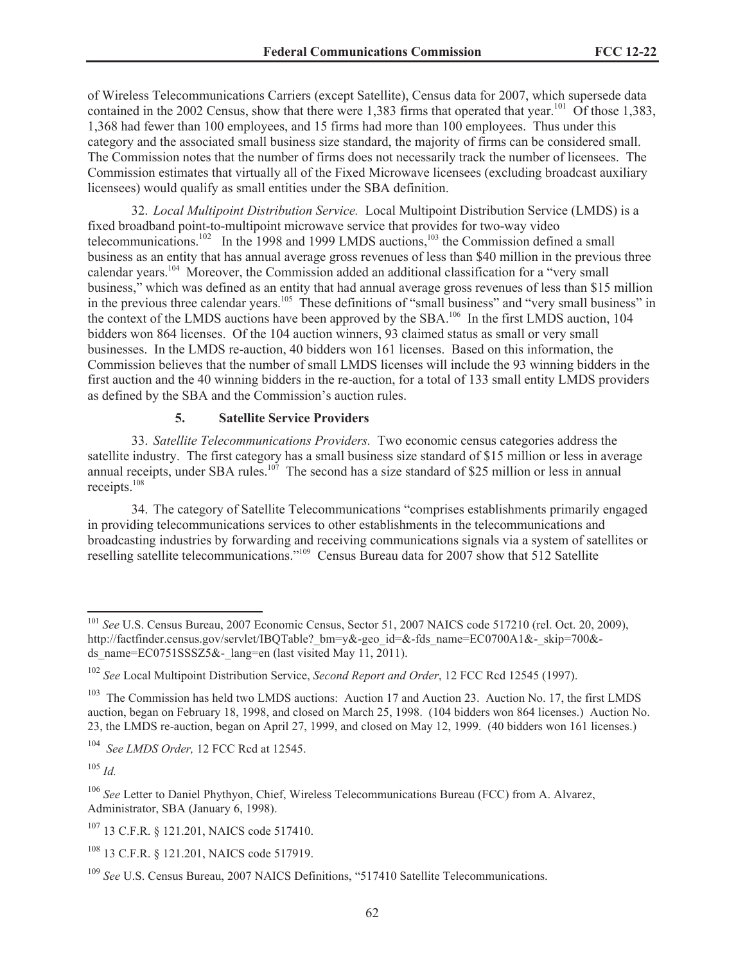of Wireless Telecommunications Carriers (except Satellite), Census data for 2007, which supersede data contained in the 2002 Census, show that there were 1,383 firms that operated that year.<sup>101</sup> Of those 1,383, 1,368 had fewer than 100 employees, and 15 firms had more than 100 employees. Thus under this category and the associated small business size standard, the majority of firms can be considered small. The Commission notes that the number of firms does not necessarily track the number of licensees. The Commission estimates that virtually all of the Fixed Microwave licensees (excluding broadcast auxiliary licensees) would qualify as small entities under the SBA definition.

32. *Local Multipoint Distribution Service.* Local Multipoint Distribution Service (LMDS) is a fixed broadband point-to-multipoint microwave service that provides for two-way video telecommunications.<sup>102</sup> In the 1998 and 1999 LMDS auctions,<sup>103</sup> the Commission defined a small business as an entity that has annual average gross revenues of less than \$40 million in the previous three calendar years.<sup>104</sup> Moreover, the Commission added an additional classification for a "very small business," which was defined as an entity that had annual average gross revenues of less than \$15 million in the previous three calendar years.<sup>105</sup> These definitions of "small business" and "very small business" in the context of the LMDS auctions have been approved by the SBA.<sup>106</sup> In the first LMDS auction, 104 bidders won 864 licenses. Of the 104 auction winners, 93 claimed status as small or very small businesses. In the LMDS re-auction, 40 bidders won 161 licenses. Based on this information, the Commission believes that the number of small LMDS licenses will include the 93 winning bidders in the first auction and the 40 winning bidders in the re-auction, for a total of 133 small entity LMDS providers as defined by the SBA and the Commission's auction rules.

### **5. Satellite Service Providers**

33. *Satellite Telecommunications Providers.* Two economic census categories address the satellite industry. The first category has a small business size standard of \$15 million or less in average annual receipts, under SBA rules.<sup>107</sup> The second has a size standard of \$25 million or less in annual receipts.<sup>108</sup>

34. The category of Satellite Telecommunications "comprises establishments primarily engaged in providing telecommunications services to other establishments in the telecommunications and broadcasting industries by forwarding and receiving communications signals via a system of satellites or reselling satellite telecommunications."<sup>109</sup> Census Bureau data for 2007 show that 512 Satellite

<sup>105</sup> *Id.*

<sup>&</sup>lt;sup>101</sup> *See* U.S. Census Bureau, 2007 Economic Census, Sector 51, 2007 NAICS code 517210 (rel. Oct. 20, 2009), http://factfinder.census.gov/servlet/IBOTable? bm=y&-geo\_id=&-fds\_name=EC0700A1&-\_skip=700&ds\_name=EC0751SSSZ5&-\_lang=en (last visited May 11, 2011).

<sup>102</sup> *See* Local Multipoint Distribution Service, *Second Report and Order*, 12 FCC Rcd 12545 (1997).

<sup>&</sup>lt;sup>103</sup> The Commission has held two LMDS auctions: Auction 17 and Auction 23. Auction No. 17, the first LMDS auction, began on February 18, 1998, and closed on March 25, 1998. (104 bidders won 864 licenses.) Auction No. 23, the LMDS re-auction, began on April 27, 1999, and closed on May 12, 1999. (40 bidders won 161 licenses.)

<sup>104</sup> *See LMDS Order,* 12 FCC Rcd at 12545.

<sup>106</sup> *See* Letter to Daniel Phythyon, Chief, Wireless Telecommunications Bureau (FCC) from A. Alvarez, Administrator, SBA (January 6, 1998).

<sup>&</sup>lt;sup>107</sup> 13 C.F.R. § 121.201, NAICS code 517410.

<sup>&</sup>lt;sup>108</sup> 13 C.F.R. § 121.201, NAICS code 517919.

<sup>109</sup> *See* U.S. Census Bureau, 2007 NAICS Definitions, "517410 Satellite Telecommunications.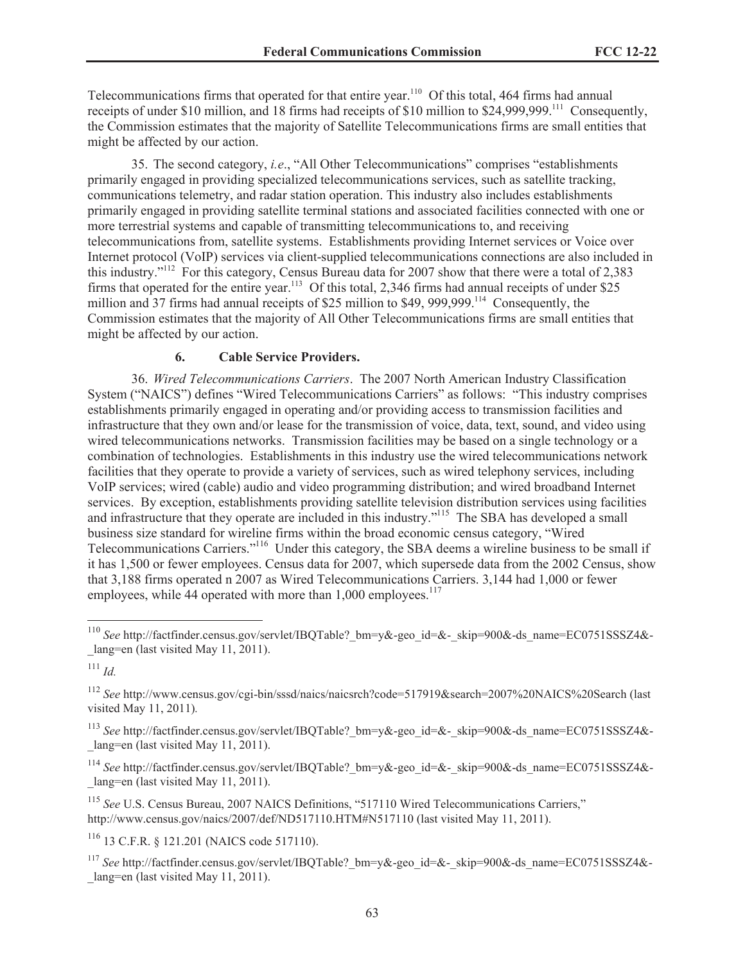Telecommunications firms that operated for that entire year.<sup>110</sup> Of this total, 464 firms had annual receipts of under \$10 million, and 18 firms had receipts of \$10 million to \$24,999,999.<sup>111</sup> Consequently, the Commission estimates that the majority of Satellite Telecommunications firms are small entities that might be affected by our action.

35. The second category, *i.e*., "All Other Telecommunications" comprises "establishments primarily engaged in providing specialized telecommunications services, such as satellite tracking, communications telemetry, and radar station operation. This industry also includes establishments primarily engaged in providing satellite terminal stations and associated facilities connected with one or more terrestrial systems and capable of transmitting telecommunications to, and receiving telecommunications from, satellite systems. Establishments providing Internet services or Voice over Internet protocol (VoIP) services via client-supplied telecommunications connections are also included in this industry."<sup>112</sup> For this category, Census Bureau data for 2007 show that there were a total of 2,383 firms that operated for the entire year.<sup>113</sup> Of this total, 2,346 firms had annual receipts of under \$25 million and 37 firms had annual receipts of \$25 million to \$49, 999,999.<sup>114</sup> Consequently, the Commission estimates that the majority of All Other Telecommunications firms are small entities that might be affected by our action.

### **6. Cable Service Providers.**

36. *Wired Telecommunications Carriers*. The 2007 North American Industry Classification System ("NAICS") defines "Wired Telecommunications Carriers" as follows: "This industry comprises establishments primarily engaged in operating and/or providing access to transmission facilities and infrastructure that they own and/or lease for the transmission of voice, data, text, sound, and video using wired telecommunications networks. Transmission facilities may be based on a single technology or a combination of technologies. Establishments in this industry use the wired telecommunications network facilities that they operate to provide a variety of services, such as wired telephony services, including VoIP services; wired (cable) audio and video programming distribution; and wired broadband Internet services. By exception, establishments providing satellite television distribution services using facilities and infrastructure that they operate are included in this industry."<sup>115</sup> The SBA has developed a small business size standard for wireline firms within the broad economic census category, "Wired Telecommunications Carriers."<sup>116</sup> Under this category, the SBA deems a wireline business to be small if it has 1,500 or fewer employees. Census data for 2007, which supersede data from the 2002 Census, show that 3,188 firms operated n 2007 as Wired Telecommunications Carriers. 3,144 had 1,000 or fewer employees, while 44 operated with more than 1,000 employees.<sup>117</sup>

<sup>113</sup> See http://factfinder.census.gov/servlet/IBQTable? bm=y&-geo\_id=&-\_skip=900&-ds\_name=EC0751SSSZ4&-\_lang=en (last visited May 11, 2011).

<sup>114</sup> See http://factfinder.census.gov/servlet/IBOTable? bm=y&-geo\_id=&-\_skip=900&-ds\_name=EC0751SSSZ4&-\_lang=en (last visited May 11, 2011).

<sup>115</sup> See U.S. Census Bureau, 2007 NAICS Definitions, "517110 Wired Telecommunications Carriers," http://www.census.gov/naics/2007/def/ND517110.HTM#N517110 (last visited May 11, 2011).

<sup>116</sup> 13 C.F.R. § 121.201 (NAICS code 517110).

<sup>117</sup> See http://factfinder.census.gov/servlet/IBQTable? bm=y&-geo\_id=&-\_skip=900&-ds\_name=EC0751SSSZ4&lang=en (last visited May 11, 2011).

<sup>&</sup>lt;sup>110</sup> See http://factfinder.census.gov/servlet/IBQTable? bm=y&-geo\_id=&-\_skip=900&-ds\_name=EC0751SSSZ4&-\_lang=en (last visited May 11, 2011).

<sup>111</sup> *Id.*

<sup>112</sup> *See* http://www.census.gov/cgi-bin/sssd/naics/naicsrch?code=517919&search=2007%20NAICS%20Search (last visited May 11, 2011)*.*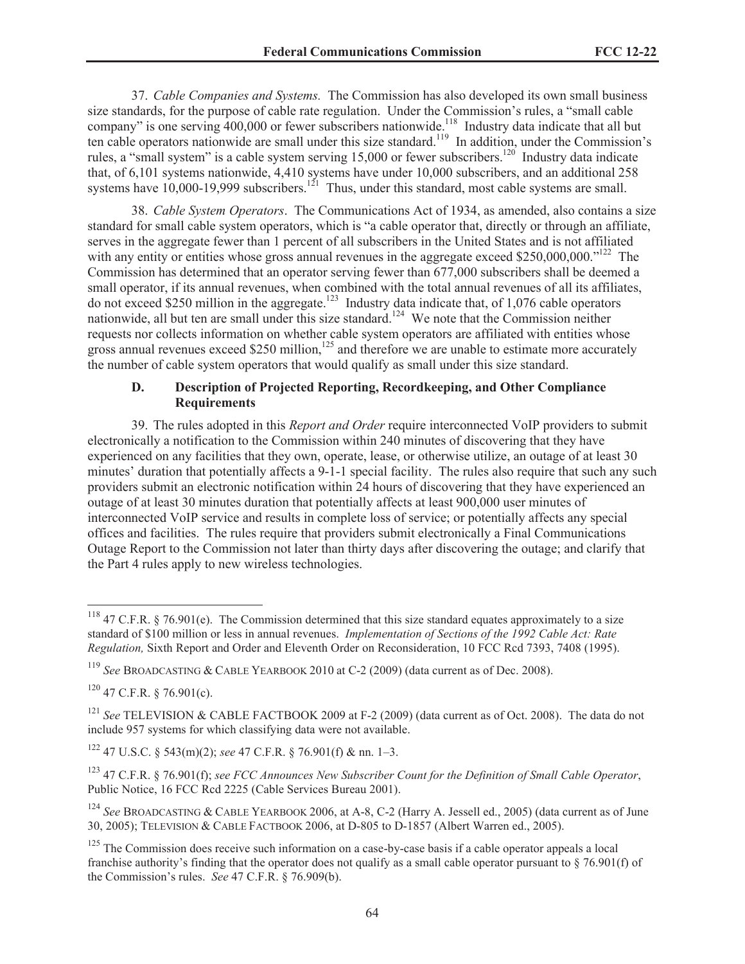37. *Cable Companies and Systems.* The Commission has also developed its own small business size standards, for the purpose of cable rate regulation. Under the Commission's rules, a "small cable company" is one serving 400,000 or fewer subscribers nationwide.<sup>118</sup> Industry data indicate that all but ten cable operators nationwide are small under this size standard.<sup>119</sup> In addition, under the Commission's rules, a "small system" is a cable system serving  $15,000$  or fewer subscribers.<sup>120</sup> Industry data indicate that, of 6,101 systems nationwide, 4,410 systems have under 10,000 subscribers, and an additional 258 systems have 10,000-19,999 subscribers.<sup>121</sup> Thus, under this standard, most cable systems are small.

38. *Cable System Operators*. The Communications Act of 1934, as amended, also contains a size standard for small cable system operators, which is "a cable operator that, directly or through an affiliate, serves in the aggregate fewer than 1 percent of all subscribers in the United States and is not affiliated with any entity or entities whose gross annual revenues in the aggregate exceed \$250,000,000."<sup>122</sup> The Commission has determined that an operator serving fewer than 677,000 subscribers shall be deemed a small operator, if its annual revenues, when combined with the total annual revenues of all its affiliates, do not exceed \$250 million in the aggregate.<sup>123</sup> Industry data indicate that, of 1,076 cable operators nationwide, all but ten are small under this size standard.<sup>124</sup> We note that the Commission neither requests nor collects information on whether cable system operators are affiliated with entities whose gross annual revenues exceed \$250 million, $125$  and therefore we are unable to estimate more accurately the number of cable system operators that would qualify as small under this size standard.

### **D. Description of Projected Reporting, Recordkeeping, and Other Compliance Requirements**

39. The rules adopted in this *Report and Order* require interconnected VoIP providers to submit electronically a notification to the Commission within 240 minutes of discovering that they have experienced on any facilities that they own, operate, lease, or otherwise utilize, an outage of at least 30 minutes' duration that potentially affects a 9-1-1 special facility. The rules also require that such any such providers submit an electronic notification within 24 hours of discovering that they have experienced an outage of at least 30 minutes duration that potentially affects at least 900,000 user minutes of interconnected VoIP service and results in complete loss of service; or potentially affects any special offices and facilities. The rules require that providers submit electronically a Final Communications Outage Report to the Commission not later than thirty days after discovering the outage; and clarify that the Part 4 rules apply to new wireless technologies.

<sup>&</sup>lt;sup>118</sup> 47 C.F.R. § 76.901(e). The Commission determined that this size standard equates approximately to a size standard of \$100 million or less in annual revenues. *Implementation of Sections of the 1992 Cable Act: Rate Regulation,* Sixth Report and Order and Eleventh Order on Reconsideration, 10 FCC Rcd 7393, 7408 (1995).

<sup>119</sup> *See* BROADCASTING & CABLE YEARBOOK 2010 at C-2 (2009) (data current as of Dec. 2008).

 $120$  47 C.F.R. § 76.901(c).

<sup>121</sup> *See* TELEVISION & CABLE FACTBOOK 2009 at F-2 (2009) (data current as of Oct. 2008). The data do not include 957 systems for which classifying data were not available.

<sup>122</sup> 47 U.S.C. § 543(m)(2); *see* 47 C.F.R. § 76.901(f) & nn. 1–3.

<sup>123</sup> 47 C.F.R. § 76.901(f); *see FCC Announces New Subscriber Count for the Definition of Small Cable Operator*, Public Notice, 16 FCC Rcd 2225 (Cable Services Bureau 2001).

<sup>124</sup> *See* BROADCASTING & CABLE YEARBOOK 2006, at A-8, C-2 (Harry A. Jessell ed., 2005) (data current as of June 30, 2005); TELEVISION & CABLE FACTBOOK 2006, at D-805 to D-1857 (Albert Warren ed., 2005).

 $125$  The Commission does receive such information on a case-by-case basis if a cable operator appeals a local franchise authority's finding that the operator does not qualify as a small cable operator pursuant to  $\S$  76.901(f) of the Commission's rules. *See* 47 C.F.R. § 76.909(b).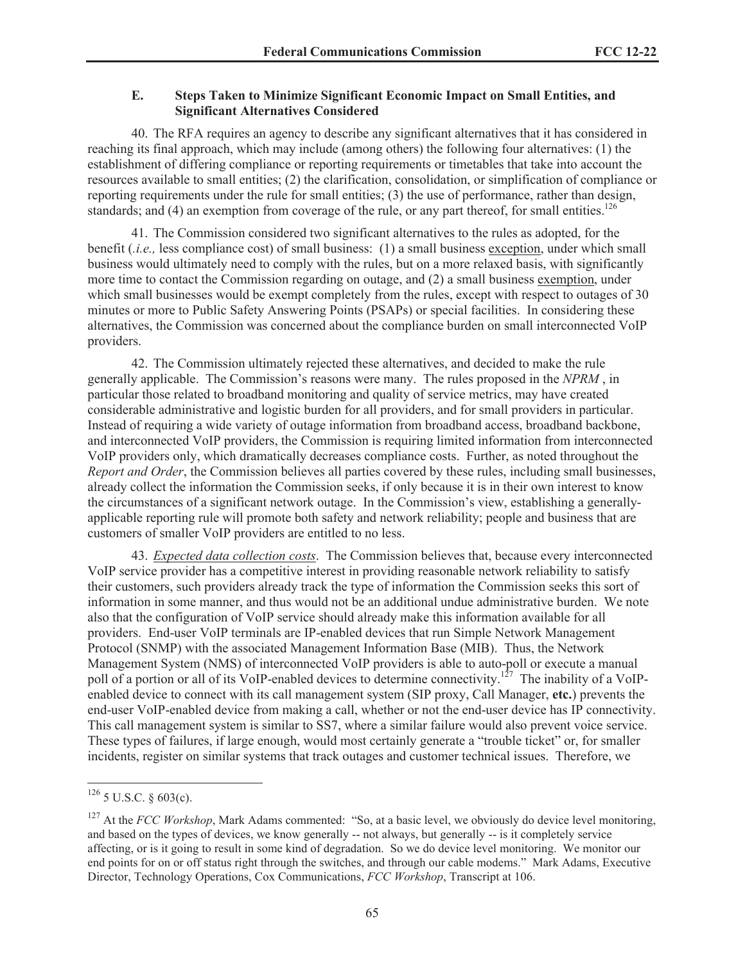### **E. Steps Taken to Minimize Significant Economic Impact on Small Entities, and Significant Alternatives Considered**

40. The RFA requires an agency to describe any significant alternatives that it has considered in reaching its final approach, which may include (among others) the following four alternatives: (1) the establishment of differing compliance or reporting requirements or timetables that take into account the resources available to small entities; (2) the clarification, consolidation, or simplification of compliance or reporting requirements under the rule for small entities; (3) the use of performance, rather than design, standards; and (4) an exemption from coverage of the rule, or any part thereof, for small entities.<sup>126</sup>

41. The Commission considered two significant alternatives to the rules as adopted, for the benefit (*.i.e.,* less compliance cost) of small business: (1) a small business exception, under which small business would ultimately need to comply with the rules, but on a more relaxed basis, with significantly more time to contact the Commission regarding on outage, and (2) a small business exemption, under which small businesses would be exempt completely from the rules, except with respect to outages of 30 minutes or more to Public Safety Answering Points (PSAPs) or special facilities. In considering these alternatives, the Commission was concerned about the compliance burden on small interconnected VoIP providers.

42. The Commission ultimately rejected these alternatives, and decided to make the rule generally applicable. The Commission's reasons were many. The rules proposed in the *NPRM* , in particular those related to broadband monitoring and quality of service metrics, may have created considerable administrative and logistic burden for all providers, and for small providers in particular. Instead of requiring a wide variety of outage information from broadband access, broadband backbone, and interconnected VoIP providers, the Commission is requiring limited information from interconnected VoIP providers only, which dramatically decreases compliance costs. Further, as noted throughout the *Report and Order*, the Commission believes all parties covered by these rules, including small businesses, already collect the information the Commission seeks, if only because it is in their own interest to know the circumstances of a significant network outage. In the Commission's view, establishing a generallyapplicable reporting rule will promote both safety and network reliability; people and business that are customers of smaller VoIP providers are entitled to no less.

43. *Expected data collection costs*. The Commission believes that, because every interconnected VoIP service provider has a competitive interest in providing reasonable network reliability to satisfy their customers, such providers already track the type of information the Commission seeks this sort of information in some manner, and thus would not be an additional undue administrative burden. We note also that the configuration of VoIP service should already make this information available for all providers. End-user VoIP terminals are IP-enabled devices that run Simple Network Management Protocol (SNMP) with the associated Management Information Base (MIB). Thus, the Network Management System (NMS) of interconnected VoIP providers is able to auto-poll or execute a manual poll of a portion or all of its VoIP-enabled devices to determine connectivity.<sup>127</sup> The inability of a VoIPenabled device to connect with its call management system (SIP proxy, Call Manager, **etc.**) prevents the end-user VoIP-enabled device from making a call, whether or not the end-user device has IP connectivity. This call management system is similar to SS7, where a similar failure would also prevent voice service. These types of failures, if large enough, would most certainly generate a "trouble ticket" or, for smaller incidents, register on similar systems that track outages and customer technical issues. Therefore, we

 $126$  5 U.S.C. § 603(c).

<sup>&</sup>lt;sup>127</sup> At the *FCC Workshop*, Mark Adams commented: "So, at a basic level, we obviously do device level monitoring, and based on the types of devices, we know generally -- not always, but generally -- is it completely service affecting, or is it going to result in some kind of degradation. So we do device level monitoring. We monitor our end points for on or off status right through the switches, and through our cable modems." Mark Adams, Executive Director, Technology Operations, Cox Communications, *FCC Workshop*, Transcript at 106.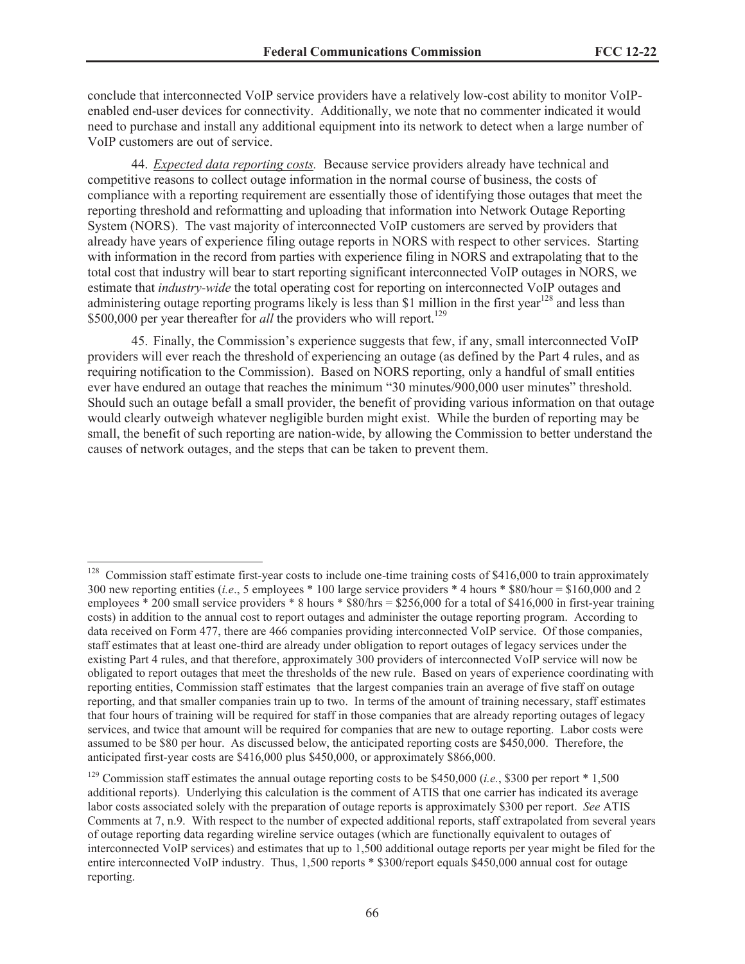conclude that interconnected VoIP service providers have a relatively low-cost ability to monitor VoIPenabled end-user devices for connectivity. Additionally, we note that no commenter indicated it would need to purchase and install any additional equipment into its network to detect when a large number of VoIP customers are out of service.

44. *Expected data reporting costs.* Because service providers already have technical and competitive reasons to collect outage information in the normal course of business, the costs of compliance with a reporting requirement are essentially those of identifying those outages that meet the reporting threshold and reformatting and uploading that information into Network Outage Reporting System (NORS). The vast majority of interconnected VoIP customers are served by providers that already have years of experience filing outage reports in NORS with respect to other services. Starting with information in the record from parties with experience filing in NORS and extrapolating that to the total cost that industry will bear to start reporting significant interconnected VoIP outages in NORS, we estimate that *industry-wide* the total operating cost for reporting on interconnected VoIP outages and administering outage reporting programs likely is less than \$1 million in the first year<sup>128</sup> and less than \$500,000 per year thereafter for *all* the providers who will report.<sup>129</sup>

45. Finally, the Commission's experience suggests that few, if any, small interconnected VoIP providers will ever reach the threshold of experiencing an outage (as defined by the Part 4 rules, and as requiring notification to the Commission). Based on NORS reporting, only a handful of small entities ever have endured an outage that reaches the minimum "30 minutes/900,000 user minutes" threshold. Should such an outage befall a small provider, the benefit of providing various information on that outage would clearly outweigh whatever negligible burden might exist. While the burden of reporting may be small, the benefit of such reporting are nation-wide, by allowing the Commission to better understand the causes of network outages, and the steps that can be taken to prevent them.

Commission staff estimate first-year costs to include one-time training costs of \$416,000 to train approximately 300 new reporting entities (*i.e*., 5 employees \* 100 large service providers \* 4 hours \* \$80/hour = \$160,000 and 2 employees  $*$  200 small service providers  $*$  8 hours  $*$  \$80/hrs = \$256,000 for a total of \$416,000 in first-year training costs) in addition to the annual cost to report outages and administer the outage reporting program. According to data received on Form 477, there are 466 companies providing interconnected VoIP service. Of those companies, staff estimates that at least one-third are already under obligation to report outages of legacy services under the existing Part 4 rules, and that therefore, approximately 300 providers of interconnected VoIP service will now be obligated to report outages that meet the thresholds of the new rule. Based on years of experience coordinating with reporting entities, Commission staff estimates that the largest companies train an average of five staff on outage reporting, and that smaller companies train up to two. In terms of the amount of training necessary, staff estimates that four hours of training will be required for staff in those companies that are already reporting outages of legacy services, and twice that amount will be required for companies that are new to outage reporting. Labor costs were assumed to be \$80 per hour. As discussed below, the anticipated reporting costs are \$450,000. Therefore, the anticipated first-year costs are \$416,000 plus \$450,000, or approximately \$866,000.

<sup>&</sup>lt;sup>129</sup> Commission staff estimates the annual outage reporting costs to be \$450,000 (*i.e.*, \$300 per report \* 1,500 additional reports). Underlying this calculation is the comment of ATIS that one carrier has indicated its average labor costs associated solely with the preparation of outage reports is approximately \$300 per report. *See* ATIS Comments at 7, n.9. With respect to the number of expected additional reports, staff extrapolated from several years of outage reporting data regarding wireline service outages (which are functionally equivalent to outages of interconnected VoIP services) and estimates that up to 1,500 additional outage reports per year might be filed for the entire interconnected VoIP industry. Thus, 1,500 reports \* \$300/report equals \$450,000 annual cost for outage reporting.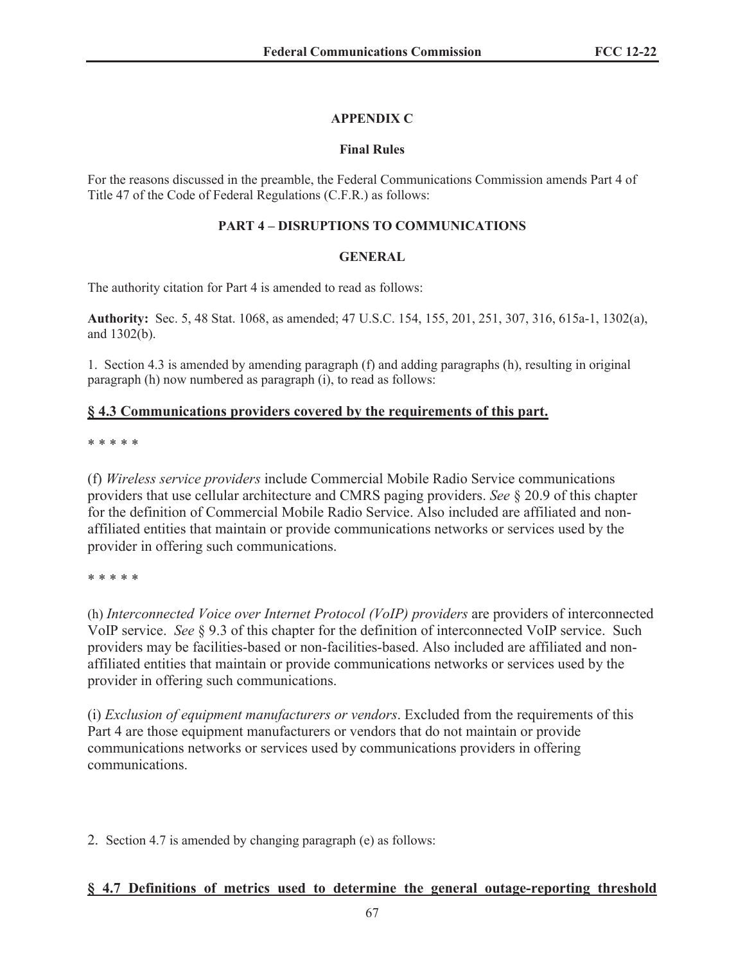# **APPENDIX C**

## **Final Rules**

For the reasons discussed in the preamble, the Federal Communications Commission amends Part 4 of Title 47 of the Code of Federal Regulations (C.F.R.) as follows:

## **PART 4 – DISRUPTIONS TO COMMUNICATIONS**

## **GENERAL**

The authority citation for Part 4 is amended to read as follows:

**Authority:** Sec. 5, 48 Stat. 1068, as amended; 47 U.S.C. 154, 155, 201, 251, 307, 316, 615a-1, 1302(a), and 1302(b).

1. Section 4.3 is amended by amending paragraph (f) and adding paragraphs (h), resulting in original paragraph (h) now numbered as paragraph (i), to read as follows:

# **§ 4.3 Communications providers covered by the requirements of this part.**

\* \* \* \* \*

(f) *Wireless service providers* include Commercial Mobile Radio Service communications providers that use cellular architecture and CMRS paging providers. *See* § 20.9 of this chapter for the definition of Commercial Mobile Radio Service. Also included are affiliated and nonaffiliated entities that maintain or provide communications networks or services used by the provider in offering such communications.

### \* \* \* \* \*

(h) *Interconnected Voice over Internet Protocol (VoIP) providers* are providers of interconnected VoIP service. *See* § 9.3 of this chapter for the definition of interconnected VoIP service. Such providers may be facilities-based or non-facilities-based. Also included are affiliated and nonaffiliated entities that maintain or provide communications networks or services used by the provider in offering such communications.

(i) *Exclusion of equipment manufacturers or vendors*. Excluded from the requirements of this Part 4 are those equipment manufacturers or vendors that do not maintain or provide communications networks or services used by communications providers in offering communications.

2. Section 4.7 is amended by changing paragraph (e) as follows:

# **§ 4.7 Definitions of metrics used to determine the general outage-reporting threshold**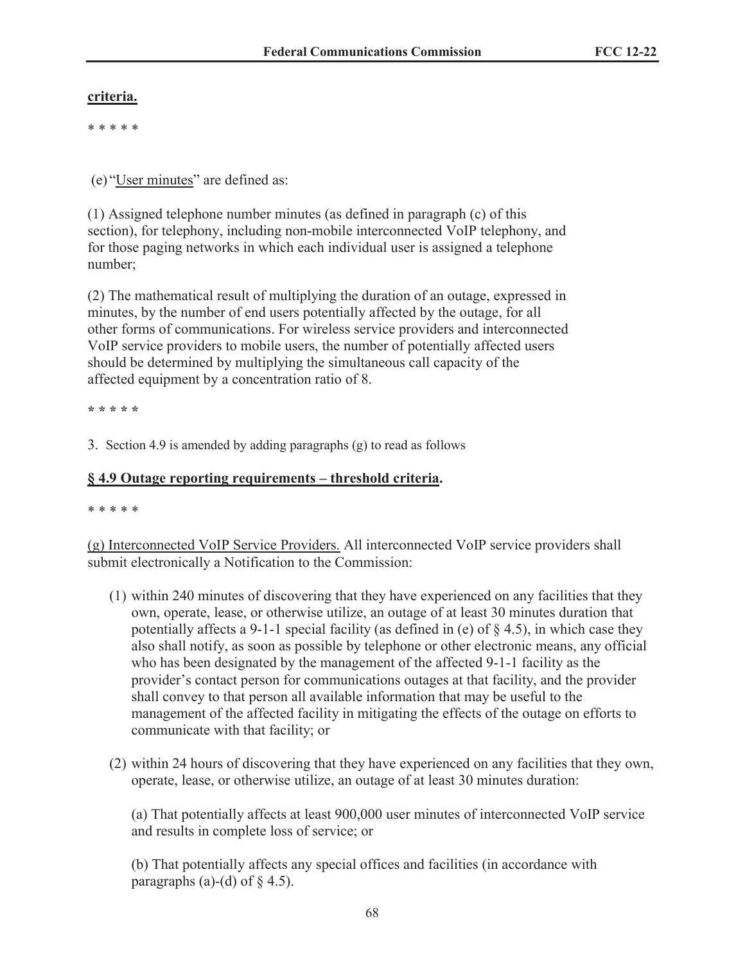# **criteria.**

\* \* \* \* \*

(e) "User minutes" are defined as:

(1) Assigned telephone number minutes (as defined in paragraph (c) of this section), for telephony, including non-mobile interconnected VoIP telephony, and for those paging networks in which each individual user is assigned a telephone number;

(2) The mathematical result of multiplying the duration of an outage, expressed in minutes, by the number of end users potentially affected by the outage, for all other forms of communications. For wireless service providers and interconnected VoIP service providers to mobile users, the number of potentially affected users should be determined by multiplying the simultaneous call capacity of the affected equipment by a concentration ratio of 8.

**\* \* \* \* \***

3. Section 4.9 is amended by adding paragraphs (g) to read as follows

# **§ 4.9 Outage reporting requirements – threshold criteria.**

\* \* \* \* \*

(g) Interconnected VoIP Service Providers. All interconnected VoIP service providers shall submit electronically a Notification to the Commission:

- (1) within 240 minutes of discovering that they have experienced on any facilities that they own, operate, lease, or otherwise utilize, an outage of at least 30 minutes duration that potentially affects a 9-1-1 special facility (as defined in (e) of  $\S$  4.5), in which case they also shall notify, as soon as possible by telephone or other electronic means, any official who has been designated by the management of the affected 9-1-1 facility as the provider's contact person for communications outages at that facility, and the provider shall convey to that person all available information that may be useful to the management of the affected facility in mitigating the effects of the outage on efforts to communicate with that facility; or
- (2) within 24 hours of discovering that they have experienced on any facilities that they own, operate, lease, or otherwise utilize, an outage of at least 30 minutes duration:

(a) That potentially affects at least 900,000 user minutes of interconnected VoIP service and results in complete loss of service; or

(b) That potentially affects any special offices and facilities (in accordance with paragraphs (a)-(d) of  $\S$  4.5).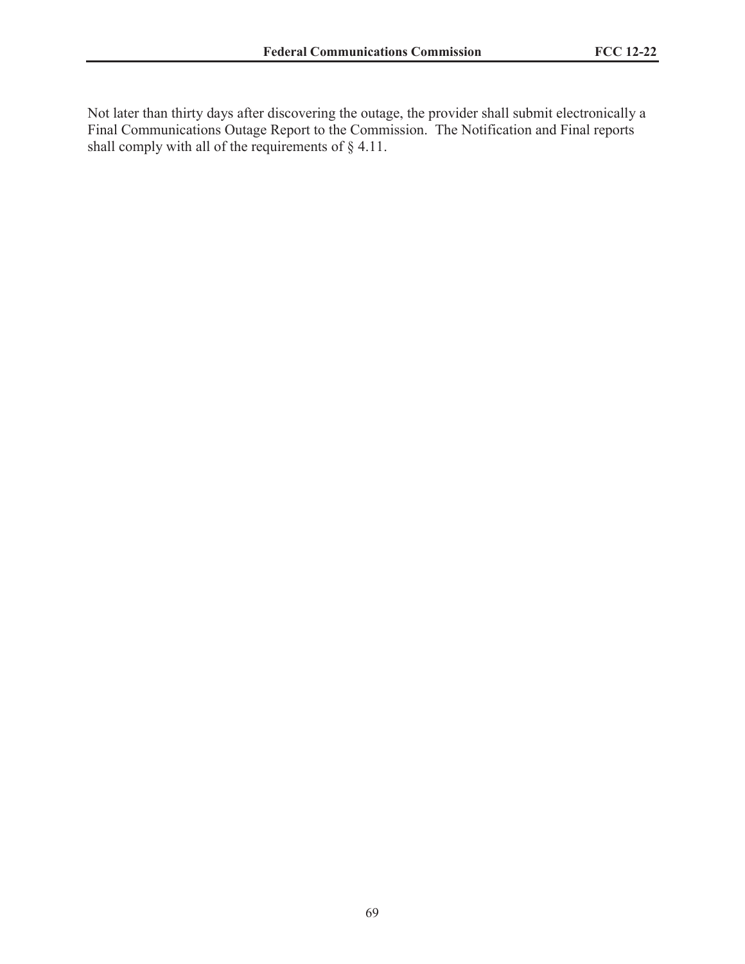Not later than thirty days after discovering the outage, the provider shall submit electronically a Final Communications Outage Report to the Commission. The Notification and Final reports shall comply with all of the requirements of  $\S$  4.11.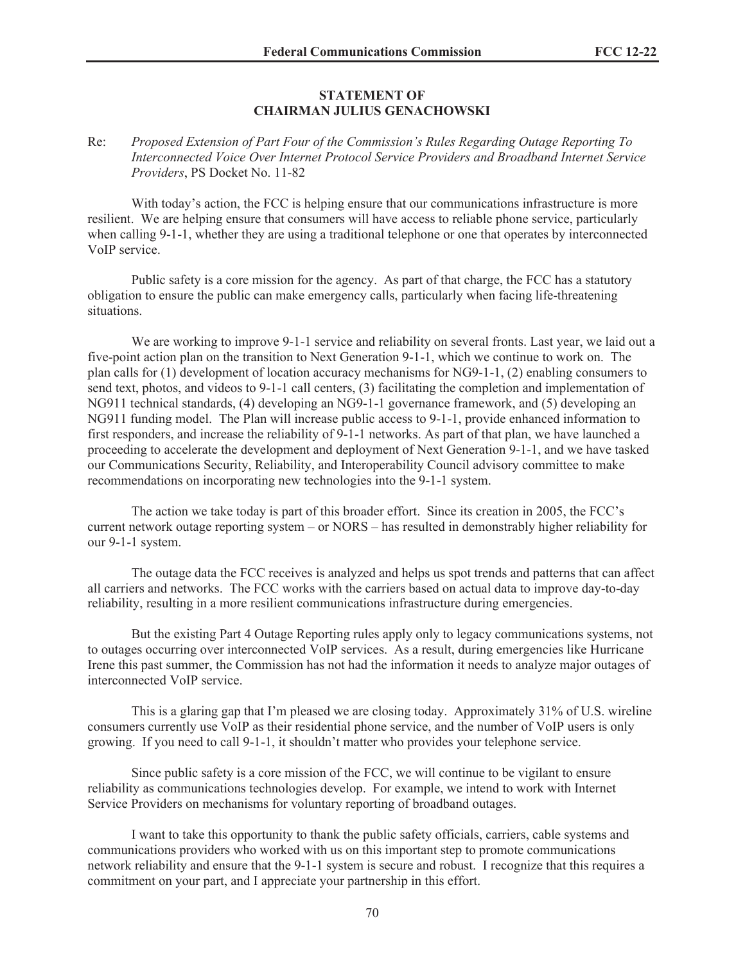#### **STATEMENT OF CHAIRMAN JULIUS GENACHOWSKI**

### Re: *Proposed Extension of Part Four of the Commission's Rules Regarding Outage Reporting To Interconnected Voice Over Internet Protocol Service Providers and Broadband Internet Service Providers*, PS Docket No. 11-82

With today's action, the FCC is helping ensure that our communications infrastructure is more resilient. We are helping ensure that consumers will have access to reliable phone service, particularly when calling 9-1-1, whether they are using a traditional telephone or one that operates by interconnected VoIP service.

Public safety is a core mission for the agency. As part of that charge, the FCC has a statutory obligation to ensure the public can make emergency calls, particularly when facing life-threatening situations.

We are working to improve 9-1-1 service and reliability on several fronts. Last year, we laid out a five-point action plan on the transition to Next Generation 9-1-1, which we continue to work on. The plan calls for (1) development of location accuracy mechanisms for NG9-1-1, (2) enabling consumers to send text, photos, and videos to 9-1-1 call centers, (3) facilitating the completion and implementation of NG911 technical standards, (4) developing an NG9-1-1 governance framework, and (5) developing an NG911 funding model. The Plan will increase public access to 9-1-1, provide enhanced information to first responders, and increase the reliability of 9-1-1 networks. As part of that plan, we have launched a proceeding to accelerate the development and deployment of Next Generation 9-1-1, and we have tasked our Communications Security, Reliability, and Interoperability Council advisory committee to make recommendations on incorporating new technologies into the 9-1-1 system.

The action we take today is part of this broader effort. Since its creation in 2005, the FCC's current network outage reporting system – or NORS – has resulted in demonstrably higher reliability for our 9-1-1 system.

The outage data the FCC receives is analyzed and helps us spot trends and patterns that can affect all carriers and networks. The FCC works with the carriers based on actual data to improve day-to-day reliability, resulting in a more resilient communications infrastructure during emergencies.

But the existing Part 4 Outage Reporting rules apply only to legacy communications systems, not to outages occurring over interconnected VoIP services. As a result, during emergencies like Hurricane Irene this past summer, the Commission has not had the information it needs to analyze major outages of interconnected VoIP service.

This is a glaring gap that I'm pleased we are closing today. Approximately 31% of U.S. wireline consumers currently use VoIP as their residential phone service, and the number of VoIP users is only growing. If you need to call 9-1-1, it shouldn't matter who provides your telephone service.

Since public safety is a core mission of the FCC, we will continue to be vigilant to ensure reliability as communications technologies develop. For example, we intend to work with Internet Service Providers on mechanisms for voluntary reporting of broadband outages.

I want to take this opportunity to thank the public safety officials, carriers, cable systems and communications providers who worked with us on this important step to promote communications network reliability and ensure that the 9-1-1 system is secure and robust. I recognize that this requires a commitment on your part, and I appreciate your partnership in this effort.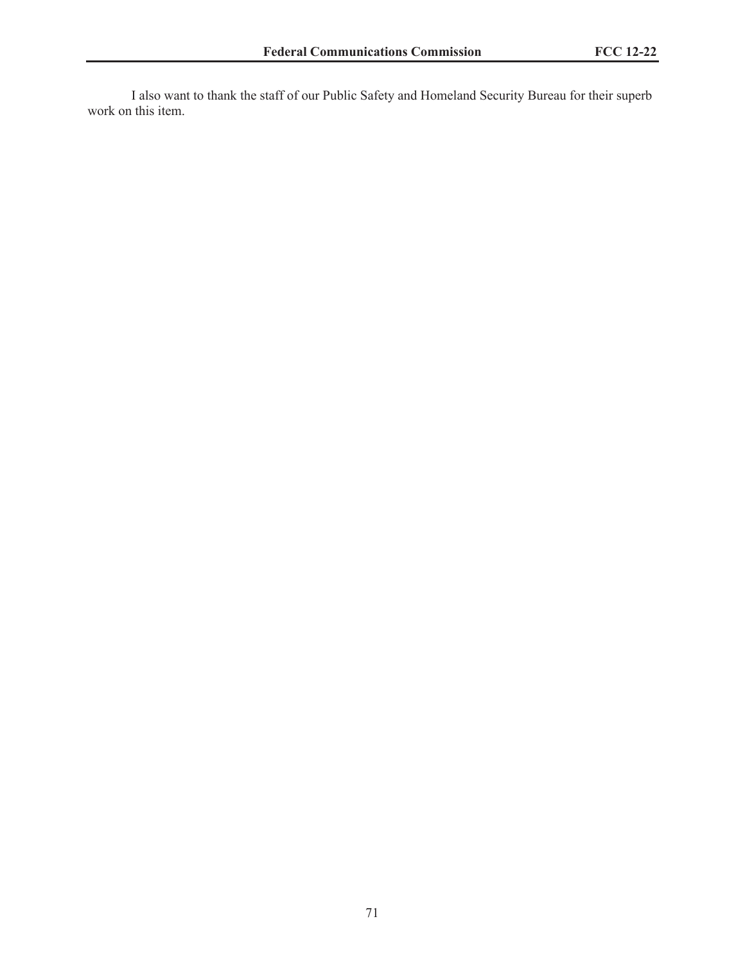I also want to thank the staff of our Public Safety and Homeland Security Bureau for their superb work on this item.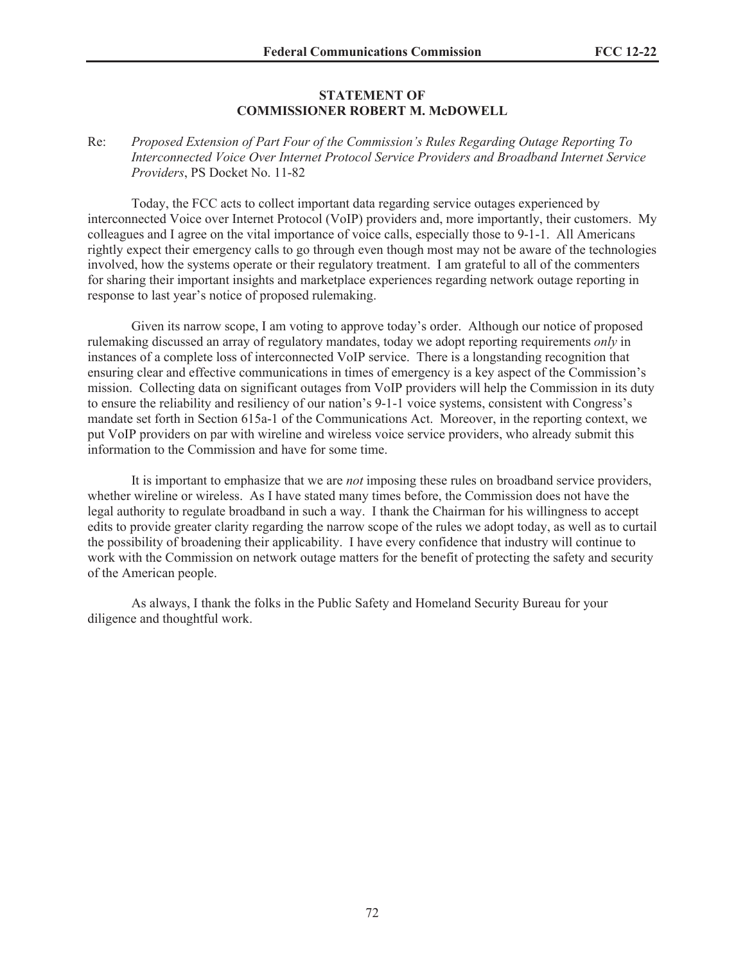#### **STATEMENT OF COMMISSIONER ROBERT M. McDOWELL**

### Re: *Proposed Extension of Part Four of the Commission's Rules Regarding Outage Reporting To Interconnected Voice Over Internet Protocol Service Providers and Broadband Internet Service Providers*, PS Docket No. 11-82

Today, the FCC acts to collect important data regarding service outages experienced by interconnected Voice over Internet Protocol (VoIP) providers and, more importantly, their customers. My colleagues and I agree on the vital importance of voice calls, especially those to 9-1-1. All Americans rightly expect their emergency calls to go through even though most may not be aware of the technologies involved, how the systems operate or their regulatory treatment. I am grateful to all of the commenters for sharing their important insights and marketplace experiences regarding network outage reporting in response to last year's notice of proposed rulemaking.

Given its narrow scope, I am voting to approve today's order. Although our notice of proposed rulemaking discussed an array of regulatory mandates, today we adopt reporting requirements *only* in instances of a complete loss of interconnected VoIP service. There is a longstanding recognition that ensuring clear and effective communications in times of emergency is a key aspect of the Commission's mission. Collecting data on significant outages from VoIP providers will help the Commission in its duty to ensure the reliability and resiliency of our nation's 9-1-1 voice systems, consistent with Congress's mandate set forth in Section 615a-1 of the Communications Act. Moreover, in the reporting context, we put VoIP providers on par with wireline and wireless voice service providers, who already submit this information to the Commission and have for some time.

It is important to emphasize that we are *not* imposing these rules on broadband service providers, whether wireline or wireless. As I have stated many times before, the Commission does not have the legal authority to regulate broadband in such a way. I thank the Chairman for his willingness to accept edits to provide greater clarity regarding the narrow scope of the rules we adopt today, as well as to curtail the possibility of broadening their applicability. I have every confidence that industry will continue to work with the Commission on network outage matters for the benefit of protecting the safety and security of the American people.

As always, I thank the folks in the Public Safety and Homeland Security Bureau for your diligence and thoughtful work.